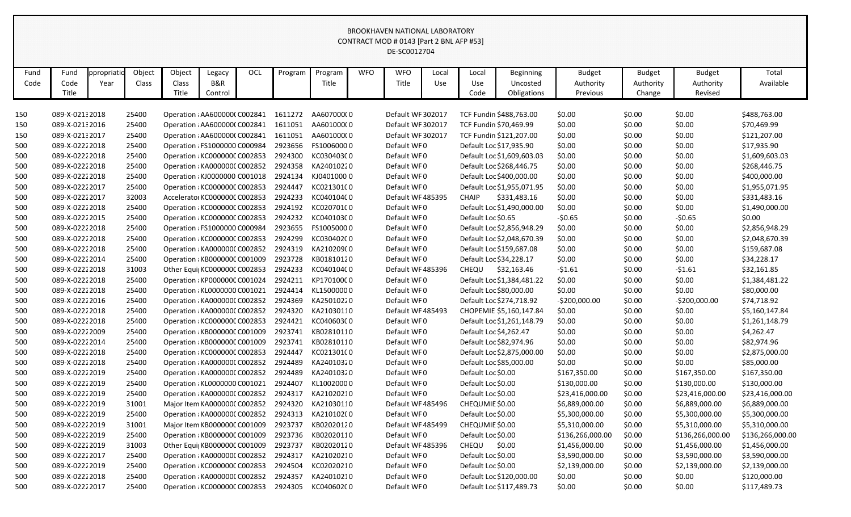|      |                |             |        |                               |         |            |         |            |            | CONTRACT MOD # 0143 [Part 2 BNL AFP #53] |       |                    |                            |                  |               |                  |                  |
|------|----------------|-------------|--------|-------------------------------|---------|------------|---------|------------|------------|------------------------------------------|-------|--------------------|----------------------------|------------------|---------------|------------------|------------------|
|      |                |             |        |                               |         |            |         |            |            | DE-SC0012704                             |       |                    |                            |                  |               |                  |                  |
|      |                |             |        |                               |         |            |         |            |            |                                          |       |                    |                            |                  |               |                  |                  |
| Fund | Fund           | ppropriatio | Object | Object                        | Legacy  | <b>OCL</b> | Program | Program    | <b>WFO</b> | <b>WFO</b>                               | Local | Local              | <b>Beginning</b>           | <b>Budget</b>    | <b>Budget</b> | <b>Budget</b>    | Total            |
| Code | Code           | Year        | Class  | Class                         | B&R     |            |         | Title      |            | Title                                    | Use   | Use                | Uncosted                   | Authority        | Authority     | Authority        | Available        |
|      | Title          |             |        | Title                         | Control |            |         |            |            |                                          |       | Code               | Obligations                | Previous         | Change        | Revised          |                  |
|      |                |             |        |                               |         |            |         |            |            |                                          |       |                    |                            |                  |               |                  |                  |
| 150  | 089-X-02132018 |             | 25400  | Operation : AA6000000 C002841 |         |            | 1611272 | AA60700000 |            | Default WF 302017                        |       |                    | TCF Fundin \$488,763.00    | \$0.00           | \$0.00        | \$0.00           | \$488,763.00     |
| 150  | 089-X-02132016 |             | 25400  | Operation : AA600000(C002841  |         |            | 1611051 | AA60100000 |            | Default WF 302017                        |       |                    | TCF Fundin \$70,469.99     | \$0.00           | \$0.00        | \$0.00           | \$70,469.99      |
| 150  | 089-X-02132017 |             | 25400  | Operation : AA600000(C002841  |         |            | 1611051 | AA60100000 |            | Default WF 302017                        |       |                    | TCF Fundin \$121,207.00    | \$0.00           | \$0.00        | \$0.00           | \$121,207.00     |
| 500  | 089-X-02222018 |             | 25400  | Operation : FS1000000 C000984 |         |            | 2923656 | FS10060000 |            | Default WF0                              |       |                    | Default Loc \$17,935.90    | \$0.00           | \$0.00        | \$0.00           | \$17,935.90      |
| 500  | 089-X-02222018 |             | 25400  | Operation : KC000000C C002853 |         |            | 2924300 | KC030403C0 |            | Default WF0                              |       |                    | Default Loc \$1,609,603.03 | \$0.00           | \$0.00        | \$0.00           | \$1,609,603.03   |
| 500  | 089-X-02222018 |             | 25400  | Operation : KA0000000 C002852 |         |            | 2924358 | KA24010220 |            | Default WF0                              |       |                    | Default Loc \$268,446.75   | \$0.00           | \$0.00        | \$0.00           | \$268,446.75     |
| 500  | 089-X-02222018 |             | 25400  | Operation : KJ0000000 C001018 |         |            | 2924134 | KJ04010000 |            | Default WF0                              |       |                    | Default Loc \$400,000.00   | \$0.00           | \$0.00        | \$0.00           | \$400,000.00     |
| 500  | 089-X-02222017 |             | 25400  | Operation : KC000000C C002853 |         |            | 2924447 | KC021301C0 |            | Default WF0                              |       |                    | Default Loc \$1,955,071.95 | \$0.00           | \$0.00        | \$0.00           | \$1,955,071.95   |
| 500  | 089-X-02222017 |             | 32003  | Accelerator KC000000C C002853 |         |            | 2924233 | KC040104C0 |            | Default WF 485395                        |       | <b>CHAIP</b>       | \$331,483.16               | \$0.00           | \$0.00        | \$0.00           | \$331,483.16     |
| 500  | 089-X-02222018 |             | 25400  | Operation : KC000000C C002853 |         |            | 2924192 | KC020701C0 |            | Default WF0                              |       |                    | Default Loc \$1,490,000.00 | \$0.00           | \$0.00        | \$0.00           | \$1,490,000.00   |
| 500  | 089-X-02222015 |             | 25400  | Operation : KC000000C C002853 |         |            | 2924232 | KC040103C0 |            | Default WF0                              |       | Default Loc \$0.65 |                            | $-50.65$         | \$0.00        | $-50.65$         | \$0.00           |
| 500  | 089-X-02222018 |             | 25400  | Operation : FS1000000 C000984 |         |            | 2923655 | FS10050000 |            | Default WF0                              |       |                    | Default Loc \$2,856,948.29 | \$0.00           | \$0.00        | \$0.00           | \$2,856,948.29   |
| 500  | 089-X-02222018 |             | 25400  | Operation : KC000000C C002853 |         |            | 2924299 | KC030402C0 |            | Default WF0                              |       |                    | Default Loc \$2,048,670.39 | \$0.00           | \$0.00        | \$0.00           | \$2,048,670.39   |
| 500  | 089-X-02222018 |             | 25400  | Operation : KA0000000 C002852 |         |            | 2924319 | KA21020900 |            | Default WF0                              |       |                    | Default Loc \$159,687.08   | \$0.00           | \$0.00        | \$0.00           | \$159,687.08     |
| 500  | 089-X-02222014 |             | 25400  | Operation : KB000000C C001009 |         |            | 2923728 | KB01810120 |            | Default WF0                              |       |                    | Default Loc \$34,228.17    | \$0.00           | \$0.00        | \$0.00           | \$34,228.17      |
| 500  | 089-X-02222018 |             | 31003  | Other Equi  KC000000C C002853 |         |            | 2924233 | KC040104C0 |            | Default WF485396                         |       | CHEQU              | \$32,163.46                | $-51.61$         | \$0.00        | $-51.61$         | \$32,161.85      |
| 500  | 089-X-02222018 |             | 25400  | Operation : KP000000C C001024 |         |            | 2924211 | KP17010000 |            | Default WF0                              |       |                    | Default Loc \$1,384,481.22 | \$0.00           | \$0.00        | \$0.00           | \$1,384,481.22   |
| 500  | 089-X-02222018 |             | 25400  | Operation : KL0000000 C001021 |         |            | 2924414 | KL15000000 |            | Default WF0                              |       |                    | Default Loc \$80,000.00    | \$0.00           | \$0.00        | \$0.00           | \$80,000.00      |
| 500  | 089-X-02222016 |             | 25400  | Operation : KA0000000 C002852 |         |            | 2924369 | KA25010220 |            | Default WF0                              |       |                    | Default Loc \$274,718.92   | $-5200,000.00$   | \$0.00        | $-5200,000.00$   | \$74,718.92      |
| 500  | 089-X-02222018 |             | 25400  | Operation : KA0000000 C002852 |         |            | 2924320 | KA21030110 |            | Default WF 485493                        |       |                    | CHOPEMIE \$5,160,147.84    | \$0.00           | \$0.00        | \$0.00           | \$5,160,147.84   |
| 500  | 089-X-02222018 |             | 25400  | Operation : KC000000C C002853 |         |            | 2924421 | KC040603C0 |            | Default WF0                              |       |                    | Default Loc \$1,261,148.79 | \$0.00           | \$0.00        | \$0.00           | \$1,261,148.79   |
| 500  | 089-X-02222009 |             | 25400  | Operation : KB000000C C001009 |         |            | 2923741 | KB02810110 |            | Default WF0                              |       |                    | Default Loc \$4,262.47     | \$0.00           | \$0.00        | \$0.00           | \$4,262.47       |
| 500  | 089-X-02222014 |             | 25400  | Operation : KB000000C C001009 |         |            | 2923741 | KB02810110 |            | Default WF0                              |       |                    | Default Loc \$82,974.96    | \$0.00           | \$0.00        | \$0.00           | \$82,974.96      |
| 500  | 089-X-02222018 |             | 25400  | Operation : KC000000C C002853 |         |            | 2924447 | KC021301C0 |            | Default WF0                              |       |                    | Default Loc \$2,875,000.00 | \$0.00           | \$0.00        | \$0.00           | \$2,875,000.00   |
| 500  | 089-X-02222018 |             | 25400  | Operation : KA0000000 C002852 |         |            | 2924489 | KA24010320 |            | Default WF0                              |       |                    | Default Loc \$85,000.00    | \$0.00           | \$0.00        | \$0.00           | \$85,000.00      |
| 500  | 089-X-02222019 |             | 25400  | Operation : KA0000000 C002852 |         |            | 2924489 | KA24010320 |            | Default WF0                              |       | Default Loc \$0.00 |                            | \$167,350.00     | \$0.00        | \$167,350.00     | \$167,350.00     |
| 500  | 089-X-02222019 |             | 25400  | Operation : KL0000000 C001021 |         |            | 2924407 | KL10020000 |            | Default WF0                              |       | Default Loc \$0.00 |                            | \$130,000.00     | \$0.00        | \$130,000.00     | \$130,000.00     |
| 500  | 089-X-02222019 |             | 25400  | Operation : KA0000000 C002852 |         |            | 2924317 | KA21020210 |            | Default WF0                              |       | Default Loc \$0.00 |                            | \$23,416,000.00  | \$0.00        | \$23,416,000.00  | \$23,416,000.00  |
| 500  | 089-X-02222019 |             | 31001  | Major Item KA0000000 C002852  |         |            | 2924320 | KA21030110 |            | Default WF 485496                        |       | CHEQUMIE \$0.00    |                            | \$6,889,000.00   | \$0.00        | \$6,889,000.00   | \$6,889,000.00   |
| 500  | 089-X-02222019 |             | 25400  | Operation : KA0000000 C002852 |         |            | 2924313 | KA210102C0 |            | Default WF0                              |       | Default Loc \$0.00 |                            | \$5,300,000.00   | \$0.00        | \$5,300,000.00   | \$5,300,000.00   |
| 500  | 089-X-02222019 |             | 31001  | Major Item KB000000C C001009  |         |            | 2923737 | KB02020120 |            | Default WF 485499                        |       | CHEQUMIE \$0.00    |                            | \$5,310,000.00   | \$0.00        | \$5,310,000.00   | \$5,310,000.00   |
| 500  | 089-X-02222019 |             | 25400  | Operation : KB000000C C001009 |         |            | 2923736 | KB02020110 |            | Default WF0                              |       | Default Loc \$0.00 |                            | \$136,266,000.00 | \$0.00        | \$136,266,000.00 | \$136,266,000.00 |
| 500  | 089-X-02222019 |             | 31003  | Other Equi  KB000000C C001009 |         |            | 2923737 | KB02020120 |            | Default WF 485396                        |       | CHEQU              | \$0.00                     | \$1,456,000.00   | \$0.00        | \$1,456,000.00   | \$1,456,000.00   |
| 500  | 089-X-02222017 |             | 25400  | Operation : KA0000000 C002852 |         |            | 2924317 | KA21020210 |            | Default WF0                              |       | Default Loc \$0.00 |                            | \$3,590,000.00   | \$0.00        | \$3,590,000.00   | \$3,590,000.00   |
| 500  | 089-X-02222019 |             | 25400  | Operation : KC000000C C002853 |         |            | 2924504 | KC02020210 |            | Default WF0                              |       | Default Loc \$0.00 |                            | \$2,139,000.00   | \$0.00        | \$2,139,000.00   | \$2,139,000.00   |
| 500  | 089-X-02222018 |             | 25400  | Operation : KA0000000 C002852 |         |            | 2924357 | KA24010210 |            | Default WF0                              |       |                    | Default Loc \$120,000.00   | \$0.00           | \$0.00        | \$0.00           | \$120,000.00     |
| 500  | 089-X-02222017 |             | 25400  | Operation : KC000000C C002853 |         |            | 2924305 | KC040602C0 |            | Default WF0                              |       |                    | Default Loc \$117,489.73   | \$0.00           | \$0.00        | \$0.00           | \$117,489.73     |
|      |                |             |        |                               |         |            |         |            |            |                                          |       |                    |                            |                  |               |                  |                  |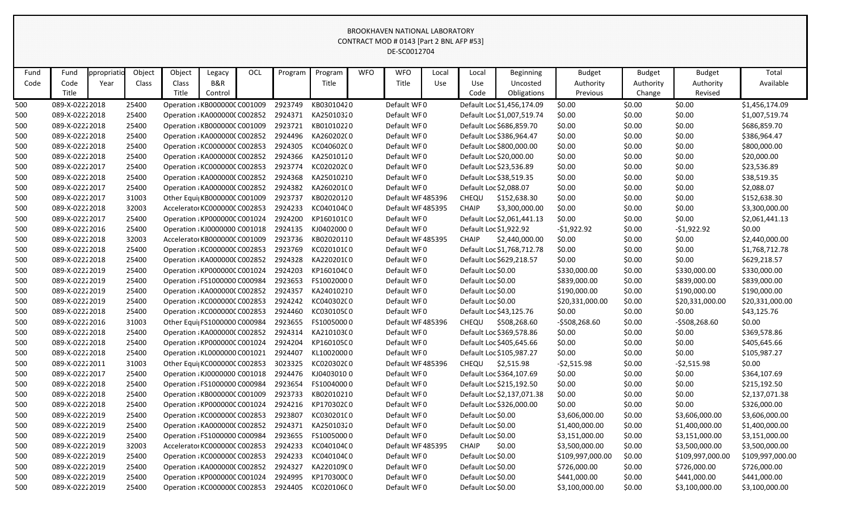|                                                                                                                                          | CONTRACT MOD # 0143 [Part 2 BNL AFP #53]<br>DE-SC0012704<br>Object<br>Object<br><b>OCL</b><br><b>WFO</b><br><b>WFO</b><br>Total<br>Fund<br>ppropriati<br>Legacy<br>Program<br>Program<br><b>Budget</b><br><b>Budget</b><br><b>Budget</b><br>Local<br>Local<br><b>Beginning</b><br>B&R<br>Title<br>Code<br>Class<br>Class<br>Title<br>Use<br>Authority<br>Available<br>Year<br>Use<br>Uncosted<br>Authority<br>Authority<br>Title<br>Title<br>Code<br>Obligations<br>Revised<br>Control<br>Previous<br>Change<br>\$0.00<br>089-X-02222018<br>Operation : KB000000C C001009<br>2923749<br>KB03010420<br>Default WF0<br>\$0.00<br>\$0.00<br>\$1,456,174.09<br>25400<br>Default Loc \$1,456,174.09<br>25400<br>KA25010320<br>Default WF0<br>\$0.00<br>089-X-02222018<br>Operation : KA0000000 C002852<br>2924371<br>Default Loc \$1,007,519.74<br>\$0.00<br>\$0.00<br>\$1,007,519.74<br>2923721<br>KB01010220<br>Default WF0<br>Default Loc \$686,859.70<br>\$0.00<br>\$0.00<br>\$686,859.70<br>089-X-02222018<br>25400<br>Operation : KB000000C C001009<br>\$0.00<br>KA26020200<br>25400<br>2924496<br>Default WF0<br>\$0.00<br>\$0.00<br>\$0.00<br>\$386,964.47<br>089-X-02222018<br>Operation : KA0000000 C002852<br>Default Loc \$386,964.47<br>089-X-02222018<br>25400<br>2924305<br>KC040602C0<br>Default WF0<br>Default Loc \$800,000.00<br>\$0.00<br>\$0.00<br>\$0.00<br>\$800,000.00<br>Operation: KC000000C C002853<br>2924366<br>KA25010120<br>Default Loc \$20,000.00<br>\$0.00<br>\$0.00<br>089-X-02222018<br>25400<br>Operation : KA0000000 C002852<br>Default WF0<br>\$0.00<br>\$20,000.00<br>25400<br>2923774<br>KC020202C0<br>Default Loc \$23,536.89<br>\$0.00<br>\$0.00<br>\$0.00<br>\$23,536.89<br>089-X-02222017<br>Operation : KC000000C C002853<br>Default WF0<br>2924368<br>KA25010210<br>Default WF0<br>Default Loc \$38,519.35<br>\$0.00<br>\$0.00<br>\$38,519.35<br>089-X-02222018<br>25400<br>Operation : KA0000000 C002852<br>\$0.00<br>25400<br>2924382<br>KA260201(0<br>Default WF0<br>Default Loc \$2,088.07<br>\$0.00<br>\$0.00<br>\$0.00<br>\$2,088.07<br>089-X-02222017<br>Operation : KA0000000 C002852<br>31003<br>2923737<br>KB02020120<br>\$0.00<br>\$0.00<br>\$152,638.30<br>089-X-02222017<br>Other Equi KB000000C C001009<br>Default WF 485396<br>CHEQU<br>\$152,638.30<br>\$0.00<br>32003<br>2924233<br>KC040104C0<br><b>CHAIP</b><br>\$0.00<br>089-X-02222018<br>Default WF 485395<br>\$3,300,000.00<br>\$0.00<br>\$0.00<br>\$3,300,000.00<br>Accelerator KC000000C C002853<br>25400<br>2924200<br>KP16010100<br>Default Loc \$2,061,441.13<br>\$0.00<br>\$0.00<br>\$0.00<br>089-X-02222017<br>Operation : KP000000C C001024<br>Default WF0<br>\$2,061,441.13<br>KJ04020000<br>2924135<br>Default Loc \$1,922.92<br>\$0.00<br>089-X-02222016<br>25400<br>Operation : KJ0000000 C001018<br>Default WF0<br>$-51,922.92$<br>\$0.00<br>-\$1,922.92<br>2923736<br>KB02020110<br>32003<br>Default WF 485395<br><b>CHAIP</b><br>\$2,440,000.00<br>\$0.00<br>\$0.00<br>\$0.00<br>089-X-02222018<br>Accelerator KB000000C C001009<br>\$2,440,000.00<br>089-X-02222018<br>25400<br>2923769<br>KC020101C0<br>Default WF0<br>Default Loc \$1,768,712.78<br>\$0.00<br>Operation : KC000000C C002853<br>\$0.00<br>\$0.00<br>\$1,768,712.78<br>2924328<br>KA220201C0<br>\$0.00<br>089-X-02222018<br>25400<br>Operation : KA0000000 C002852<br>Default WF0<br>Default Loc \$629,218.57<br>\$0.00<br>\$0.00<br>\$629,218.57<br>089-X-02222019<br>25400<br>2924203<br>KP16010400<br>Default WF0<br>Default Loc \$0.00<br>\$0.00<br>Operation : KP000000C C001024<br>\$330,000.00<br>\$330,000.00<br>\$330,000.00<br>FS10020000<br>2923653<br>Default Loc \$0.00<br>\$839,000.00<br>\$839,000.00<br>\$839,000.00<br>089-X-02222019<br>25400<br>Operation : FS1000000 C000984<br>Default WF0<br>\$0.00<br>2924357<br>25400<br>KA24010210<br>Default WF0<br>Default Loc \$0.00<br>\$190,000.00<br>\$0.00<br>\$190,000.00<br>\$190,000.00<br>089-X-02222019<br>Operation : KA0000000 C002852<br>2924242<br>KC040302C0<br>Default WF0<br>Default Loc \$0.00<br>089-X-02222019<br>25400<br>Operation : KC000000C C002853<br>\$20,331,000.00<br>\$0.00<br>\$20,331,000.00<br>\$20,331,000.00<br>2924460<br>KC030105C0<br>089-X-02222018<br>25400<br>Operation : KC000000C C002853<br>Default WF0<br>Default Loc \$43,125.76<br>\$0.00<br>\$0.00<br>\$0.00<br>\$43,125.76<br>31003<br>2923655<br>FS10050000<br>CHEQU<br>\$508,268.60<br>\$0.00<br>\$0.00<br>089-X-02222016<br>Other Equi FS1000000 C000984<br>Default WF 485396<br>$-5508,268.60$<br>$-5508,268.60$<br>2924314<br>KA21010300<br>Default WF0<br>089-X-02222018<br>25400<br>Operation : KA0000000 C002852<br>Default Loc \$369,578.86<br>\$0.00<br>\$0.00<br>\$0.00<br>\$369,578.86<br>25400<br>2924204<br>KP16010500<br>Default WF0<br>\$0.00<br>\$0.00<br>089-X-02222018<br>Operation : KP000000C C001024<br>Default Loc \$405,645.66<br>\$0.00<br>\$405,645.66<br>25400<br>2924407<br>\$0.00<br>089-X-02222018<br>Operation : KL0000000 C001021<br>KL10020000<br>Default WF0<br>Default Loc \$105,987.27<br>\$0.00<br>\$0.00<br>\$105,987.27<br>KC020302C0<br>089-X-02222011<br>31003<br>Other Equi KC000000C C002853<br>3023325<br>Default WF 485396<br>CHEQU<br>\$2,515.98<br>$-52,515.98$<br>\$0.00<br>$-52,515.98$<br>\$0.00<br>2924476<br>KJ04030100<br>Default Loc \$364,107.69<br>\$0.00<br>\$0.00<br>\$0.00<br>\$364,107.69<br>089-X-02222017<br>25400<br>Operation : KJ0000000 C001018<br>Default WF0<br>\$0.00<br>089-X-02222018<br>Operation : FS1000000 C000984<br>2923654<br>FS10040000<br>Default WF0<br>Default Loc \$215,192.50<br>\$0.00<br>\$0.00<br>\$215,192.50<br>25400<br>2923733<br>KB02010210<br>Default Loc \$2,137,071.38<br>\$0.00<br>089-X-02222018<br>25400<br>Operation : KB000000C C001009<br>Default WF0<br>\$0.00<br>\$0.00<br>\$2,137,071.38<br>KP17030200<br>Default WF0<br>\$0.00<br>\$0.00<br>\$0.00<br>\$326,000.00<br>089-X-02222018<br>25400<br>Operation : KP000000C C001024<br>2924216<br>Default Loc \$326,000.00 |  |       |                               |  |  |         |            |  |                   |                    |                    |                |                  |                |                  |                  |
|------------------------------------------------------------------------------------------------------------------------------------------|---------------------------------------------------------------------------------------------------------------------------------------------------------------------------------------------------------------------------------------------------------------------------------------------------------------------------------------------------------------------------------------------------------------------------------------------------------------------------------------------------------------------------------------------------------------------------------------------------------------------------------------------------------------------------------------------------------------------------------------------------------------------------------------------------------------------------------------------------------------------------------------------------------------------------------------------------------------------------------------------------------------------------------------------------------------------------------------------------------------------------------------------------------------------------------------------------------------------------------------------------------------------------------------------------------------------------------------------------------------------------------------------------------------------------------------------------------------------------------------------------------------------------------------------------------------------------------------------------------------------------------------------------------------------------------------------------------------------------------------------------------------------------------------------------------------------------------------------------------------------------------------------------------------------------------------------------------------------------------------------------------------------------------------------------------------------------------------------------------------------------------------------------------------------------------------------------------------------------------------------------------------------------------------------------------------------------------------------------------------------------------------------------------------------------------------------------------------------------------------------------------------------------------------------------------------------------------------------------------------------------------------------------------------------------------------------------------------------------------------------------------------------------------------------------------------------------------------------------------------------------------------------------------------------------------------------------------------------------------------------------------------------------------------------------------------------------------------------------------------------------------------------------------------------------------------------------------------------------------------------------------------------------------------------------------------------------------------------------------------------------------------------------------------------------------------------------------------------------------------------------------------------------------------------------------------------------------------------------------------------------------------------------------------------------------------------------------------------------------------------------------------------------------------------------------------------------------------------------------------------------------------------------------------------------------------------------------------------------------------------------------------------------------------------------------------------------------------------------------------------------------------------------------------------------------------------------------------------------------------------------------------------------------------------------------------------------------------------------------------------------------------------------------------------------------------------------------------------------------------------------------------------------------------------------------------------------------------------------------------------------------------------------------------------------------------------------------------------------------------------------------------------------------------------------------------------------------------------------------------------------------------------------------------------------------------------------------------------------------------------------------------------------------------------------------------------------------------------------------------------------------------------------------------------------------------------------------------------------------------------------------------------------------------------------------------------------------------------------------------------------------------------------------------------------------------------------------------------------------------------------------------------------------------------------------------------------------------------------------------------------------------------------------------------------------------------------------------------------------------------------------------------------------------------------------------------------------------------------------------------------------------------------------------------------------------------------------------------------------------------------------------------------------------------|--|-------|-------------------------------|--|--|---------|------------|--|-------------------|--------------------|--------------------|----------------|------------------|----------------|------------------|------------------|
|                                                                                                                                          |                                                                                                                                                                                                                                                                                                                                                                                                                                                                                                                                                                                                                                                                                                                                                                                                                                                                                                                                                                                                                                                                                                                                                                                                                                                                                                                                                                                                                                                                                                                                                                                                                                                                                                                                                                                                                                                                                                                                                                                                                                                                                                                                                                                                                                                                                                                                                                                                                                                                                                                                                                                                                                                                                                                                                                                                                                                                                                                                                                                                                                                                                                                                                                                                                                                                                                                                                                                                                                                                                                                                                                                                                                                                                                                                                                                                                                                                                                                                                                                                                                                                                                                                                                                                                                                                                                                                                                                                                                                                                                                                                                                                                                                                                                                                                                                                                                                                                                                                                                                                                                                                                                                                                                                                                                                                                                                                                                                                                                                                                                                                                                                                                                                                                                                                                                                                                                                                                                                                                                                                                                             |  |       |                               |  |  |         |            |  |                   |                    |                    |                |                  |                |                  |                  |
| Fund                                                                                                                                     |                                                                                                                                                                                                                                                                                                                                                                                                                                                                                                                                                                                                                                                                                                                                                                                                                                                                                                                                                                                                                                                                                                                                                                                                                                                                                                                                                                                                                                                                                                                                                                                                                                                                                                                                                                                                                                                                                                                                                                                                                                                                                                                                                                                                                                                                                                                                                                                                                                                                                                                                                                                                                                                                                                                                                                                                                                                                                                                                                                                                                                                                                                                                                                                                                                                                                                                                                                                                                                                                                                                                                                                                                                                                                                                                                                                                                                                                                                                                                                                                                                                                                                                                                                                                                                                                                                                                                                                                                                                                                                                                                                                                                                                                                                                                                                                                                                                                                                                                                                                                                                                                                                                                                                                                                                                                                                                                                                                                                                                                                                                                                                                                                                                                                                                                                                                                                                                                                                                                                                                                                                             |  |       |                               |  |  |         |            |  |                   |                    |                    |                |                  |                |                  |                  |
| Code                                                                                                                                     |                                                                                                                                                                                                                                                                                                                                                                                                                                                                                                                                                                                                                                                                                                                                                                                                                                                                                                                                                                                                                                                                                                                                                                                                                                                                                                                                                                                                                                                                                                                                                                                                                                                                                                                                                                                                                                                                                                                                                                                                                                                                                                                                                                                                                                                                                                                                                                                                                                                                                                                                                                                                                                                                                                                                                                                                                                                                                                                                                                                                                                                                                                                                                                                                                                                                                                                                                                                                                                                                                                                                                                                                                                                                                                                                                                                                                                                                                                                                                                                                                                                                                                                                                                                                                                                                                                                                                                                                                                                                                                                                                                                                                                                                                                                                                                                                                                                                                                                                                                                                                                                                                                                                                                                                                                                                                                                                                                                                                                                                                                                                                                                                                                                                                                                                                                                                                                                                                                                                                                                                                                             |  |       |                               |  |  |         |            |  |                   |                    |                    |                |                  |                |                  |                  |
|                                                                                                                                          |                                                                                                                                                                                                                                                                                                                                                                                                                                                                                                                                                                                                                                                                                                                                                                                                                                                                                                                                                                                                                                                                                                                                                                                                                                                                                                                                                                                                                                                                                                                                                                                                                                                                                                                                                                                                                                                                                                                                                                                                                                                                                                                                                                                                                                                                                                                                                                                                                                                                                                                                                                                                                                                                                                                                                                                                                                                                                                                                                                                                                                                                                                                                                                                                                                                                                                                                                                                                                                                                                                                                                                                                                                                                                                                                                                                                                                                                                                                                                                                                                                                                                                                                                                                                                                                                                                                                                                                                                                                                                                                                                                                                                                                                                                                                                                                                                                                                                                                                                                                                                                                                                                                                                                                                                                                                                                                                                                                                                                                                                                                                                                                                                                                                                                                                                                                                                                                                                                                                                                                                                                             |  |       |                               |  |  |         |            |  |                   |                    |                    |                |                  |                |                  |                  |
| 500                                                                                                                                      |                                                                                                                                                                                                                                                                                                                                                                                                                                                                                                                                                                                                                                                                                                                                                                                                                                                                                                                                                                                                                                                                                                                                                                                                                                                                                                                                                                                                                                                                                                                                                                                                                                                                                                                                                                                                                                                                                                                                                                                                                                                                                                                                                                                                                                                                                                                                                                                                                                                                                                                                                                                                                                                                                                                                                                                                                                                                                                                                                                                                                                                                                                                                                                                                                                                                                                                                                                                                                                                                                                                                                                                                                                                                                                                                                                                                                                                                                                                                                                                                                                                                                                                                                                                                                                                                                                                                                                                                                                                                                                                                                                                                                                                                                                                                                                                                                                                                                                                                                                                                                                                                                                                                                                                                                                                                                                                                                                                                                                                                                                                                                                                                                                                                                                                                                                                                                                                                                                                                                                                                                                             |  |       |                               |  |  |         |            |  |                   |                    |                    |                |                  |                |                  |                  |
| 500                                                                                                                                      |                                                                                                                                                                                                                                                                                                                                                                                                                                                                                                                                                                                                                                                                                                                                                                                                                                                                                                                                                                                                                                                                                                                                                                                                                                                                                                                                                                                                                                                                                                                                                                                                                                                                                                                                                                                                                                                                                                                                                                                                                                                                                                                                                                                                                                                                                                                                                                                                                                                                                                                                                                                                                                                                                                                                                                                                                                                                                                                                                                                                                                                                                                                                                                                                                                                                                                                                                                                                                                                                                                                                                                                                                                                                                                                                                                                                                                                                                                                                                                                                                                                                                                                                                                                                                                                                                                                                                                                                                                                                                                                                                                                                                                                                                                                                                                                                                                                                                                                                                                                                                                                                                                                                                                                                                                                                                                                                                                                                                                                                                                                                                                                                                                                                                                                                                                                                                                                                                                                                                                                                                                             |  |       |                               |  |  |         |            |  |                   |                    |                    |                |                  |                |                  |                  |
| 500                                                                                                                                      |                                                                                                                                                                                                                                                                                                                                                                                                                                                                                                                                                                                                                                                                                                                                                                                                                                                                                                                                                                                                                                                                                                                                                                                                                                                                                                                                                                                                                                                                                                                                                                                                                                                                                                                                                                                                                                                                                                                                                                                                                                                                                                                                                                                                                                                                                                                                                                                                                                                                                                                                                                                                                                                                                                                                                                                                                                                                                                                                                                                                                                                                                                                                                                                                                                                                                                                                                                                                                                                                                                                                                                                                                                                                                                                                                                                                                                                                                                                                                                                                                                                                                                                                                                                                                                                                                                                                                                                                                                                                                                                                                                                                                                                                                                                                                                                                                                                                                                                                                                                                                                                                                                                                                                                                                                                                                                                                                                                                                                                                                                                                                                                                                                                                                                                                                                                                                                                                                                                                                                                                                                             |  |       |                               |  |  |         |            |  |                   |                    |                    |                |                  |                |                  |                  |
| 500                                                                                                                                      |                                                                                                                                                                                                                                                                                                                                                                                                                                                                                                                                                                                                                                                                                                                                                                                                                                                                                                                                                                                                                                                                                                                                                                                                                                                                                                                                                                                                                                                                                                                                                                                                                                                                                                                                                                                                                                                                                                                                                                                                                                                                                                                                                                                                                                                                                                                                                                                                                                                                                                                                                                                                                                                                                                                                                                                                                                                                                                                                                                                                                                                                                                                                                                                                                                                                                                                                                                                                                                                                                                                                                                                                                                                                                                                                                                                                                                                                                                                                                                                                                                                                                                                                                                                                                                                                                                                                                                                                                                                                                                                                                                                                                                                                                                                                                                                                                                                                                                                                                                                                                                                                                                                                                                                                                                                                                                                                                                                                                                                                                                                                                                                                                                                                                                                                                                                                                                                                                                                                                                                                                                             |  |       |                               |  |  |         |            |  |                   |                    |                    |                |                  |                |                  |                  |
| 500                                                                                                                                      |                                                                                                                                                                                                                                                                                                                                                                                                                                                                                                                                                                                                                                                                                                                                                                                                                                                                                                                                                                                                                                                                                                                                                                                                                                                                                                                                                                                                                                                                                                                                                                                                                                                                                                                                                                                                                                                                                                                                                                                                                                                                                                                                                                                                                                                                                                                                                                                                                                                                                                                                                                                                                                                                                                                                                                                                                                                                                                                                                                                                                                                                                                                                                                                                                                                                                                                                                                                                                                                                                                                                                                                                                                                                                                                                                                                                                                                                                                                                                                                                                                                                                                                                                                                                                                                                                                                                                                                                                                                                                                                                                                                                                                                                                                                                                                                                                                                                                                                                                                                                                                                                                                                                                                                                                                                                                                                                                                                                                                                                                                                                                                                                                                                                                                                                                                                                                                                                                                                                                                                                                                             |  |       |                               |  |  |         |            |  |                   |                    |                    |                |                  |                |                  |                  |
| 500                                                                                                                                      |                                                                                                                                                                                                                                                                                                                                                                                                                                                                                                                                                                                                                                                                                                                                                                                                                                                                                                                                                                                                                                                                                                                                                                                                                                                                                                                                                                                                                                                                                                                                                                                                                                                                                                                                                                                                                                                                                                                                                                                                                                                                                                                                                                                                                                                                                                                                                                                                                                                                                                                                                                                                                                                                                                                                                                                                                                                                                                                                                                                                                                                                                                                                                                                                                                                                                                                                                                                                                                                                                                                                                                                                                                                                                                                                                                                                                                                                                                                                                                                                                                                                                                                                                                                                                                                                                                                                                                                                                                                                                                                                                                                                                                                                                                                                                                                                                                                                                                                                                                                                                                                                                                                                                                                                                                                                                                                                                                                                                                                                                                                                                                                                                                                                                                                                                                                                                                                                                                                                                                                                                                             |  |       |                               |  |  |         |            |  |                   |                    |                    |                |                  |                |                  |                  |
| 500                                                                                                                                      |                                                                                                                                                                                                                                                                                                                                                                                                                                                                                                                                                                                                                                                                                                                                                                                                                                                                                                                                                                                                                                                                                                                                                                                                                                                                                                                                                                                                                                                                                                                                                                                                                                                                                                                                                                                                                                                                                                                                                                                                                                                                                                                                                                                                                                                                                                                                                                                                                                                                                                                                                                                                                                                                                                                                                                                                                                                                                                                                                                                                                                                                                                                                                                                                                                                                                                                                                                                                                                                                                                                                                                                                                                                                                                                                                                                                                                                                                                                                                                                                                                                                                                                                                                                                                                                                                                                                                                                                                                                                                                                                                                                                                                                                                                                                                                                                                                                                                                                                                                                                                                                                                                                                                                                                                                                                                                                                                                                                                                                                                                                                                                                                                                                                                                                                                                                                                                                                                                                                                                                                                                             |  |       |                               |  |  |         |            |  |                   |                    |                    |                |                  |                |                  |                  |
| 500                                                                                                                                      |                                                                                                                                                                                                                                                                                                                                                                                                                                                                                                                                                                                                                                                                                                                                                                                                                                                                                                                                                                                                                                                                                                                                                                                                                                                                                                                                                                                                                                                                                                                                                                                                                                                                                                                                                                                                                                                                                                                                                                                                                                                                                                                                                                                                                                                                                                                                                                                                                                                                                                                                                                                                                                                                                                                                                                                                                                                                                                                                                                                                                                                                                                                                                                                                                                                                                                                                                                                                                                                                                                                                                                                                                                                                                                                                                                                                                                                                                                                                                                                                                                                                                                                                                                                                                                                                                                                                                                                                                                                                                                                                                                                                                                                                                                                                                                                                                                                                                                                                                                                                                                                                                                                                                                                                                                                                                                                                                                                                                                                                                                                                                                                                                                                                                                                                                                                                                                                                                                                                                                                                                                             |  |       |                               |  |  |         |            |  |                   |                    |                    |                |                  |                |                  |                  |
| 500                                                                                                                                      |                                                                                                                                                                                                                                                                                                                                                                                                                                                                                                                                                                                                                                                                                                                                                                                                                                                                                                                                                                                                                                                                                                                                                                                                                                                                                                                                                                                                                                                                                                                                                                                                                                                                                                                                                                                                                                                                                                                                                                                                                                                                                                                                                                                                                                                                                                                                                                                                                                                                                                                                                                                                                                                                                                                                                                                                                                                                                                                                                                                                                                                                                                                                                                                                                                                                                                                                                                                                                                                                                                                                                                                                                                                                                                                                                                                                                                                                                                                                                                                                                                                                                                                                                                                                                                                                                                                                                                                                                                                                                                                                                                                                                                                                                                                                                                                                                                                                                                                                                                                                                                                                                                                                                                                                                                                                                                                                                                                                                                                                                                                                                                                                                                                                                                                                                                                                                                                                                                                                                                                                                                             |  |       |                               |  |  |         |            |  |                   |                    |                    |                |                  |                |                  |                  |
| 500                                                                                                                                      |                                                                                                                                                                                                                                                                                                                                                                                                                                                                                                                                                                                                                                                                                                                                                                                                                                                                                                                                                                                                                                                                                                                                                                                                                                                                                                                                                                                                                                                                                                                                                                                                                                                                                                                                                                                                                                                                                                                                                                                                                                                                                                                                                                                                                                                                                                                                                                                                                                                                                                                                                                                                                                                                                                                                                                                                                                                                                                                                                                                                                                                                                                                                                                                                                                                                                                                                                                                                                                                                                                                                                                                                                                                                                                                                                                                                                                                                                                                                                                                                                                                                                                                                                                                                                                                                                                                                                                                                                                                                                                                                                                                                                                                                                                                                                                                                                                                                                                                                                                                                                                                                                                                                                                                                                                                                                                                                                                                                                                                                                                                                                                                                                                                                                                                                                                                                                                                                                                                                                                                                                                             |  |       |                               |  |  |         |            |  |                   |                    |                    |                |                  |                |                  |                  |
| 500                                                                                                                                      |                                                                                                                                                                                                                                                                                                                                                                                                                                                                                                                                                                                                                                                                                                                                                                                                                                                                                                                                                                                                                                                                                                                                                                                                                                                                                                                                                                                                                                                                                                                                                                                                                                                                                                                                                                                                                                                                                                                                                                                                                                                                                                                                                                                                                                                                                                                                                                                                                                                                                                                                                                                                                                                                                                                                                                                                                                                                                                                                                                                                                                                                                                                                                                                                                                                                                                                                                                                                                                                                                                                                                                                                                                                                                                                                                                                                                                                                                                                                                                                                                                                                                                                                                                                                                                                                                                                                                                                                                                                                                                                                                                                                                                                                                                                                                                                                                                                                                                                                                                                                                                                                                                                                                                                                                                                                                                                                                                                                                                                                                                                                                                                                                                                                                                                                                                                                                                                                                                                                                                                                                                             |  |       |                               |  |  |         |            |  |                   |                    |                    |                |                  |                |                  |                  |
| 500                                                                                                                                      |                                                                                                                                                                                                                                                                                                                                                                                                                                                                                                                                                                                                                                                                                                                                                                                                                                                                                                                                                                                                                                                                                                                                                                                                                                                                                                                                                                                                                                                                                                                                                                                                                                                                                                                                                                                                                                                                                                                                                                                                                                                                                                                                                                                                                                                                                                                                                                                                                                                                                                                                                                                                                                                                                                                                                                                                                                                                                                                                                                                                                                                                                                                                                                                                                                                                                                                                                                                                                                                                                                                                                                                                                                                                                                                                                                                                                                                                                                                                                                                                                                                                                                                                                                                                                                                                                                                                                                                                                                                                                                                                                                                                                                                                                                                                                                                                                                                                                                                                                                                                                                                                                                                                                                                                                                                                                                                                                                                                                                                                                                                                                                                                                                                                                                                                                                                                                                                                                                                                                                                                                                             |  |       |                               |  |  |         |            |  |                   |                    |                    |                |                  |                |                  |                  |
| 500                                                                                                                                      |                                                                                                                                                                                                                                                                                                                                                                                                                                                                                                                                                                                                                                                                                                                                                                                                                                                                                                                                                                                                                                                                                                                                                                                                                                                                                                                                                                                                                                                                                                                                                                                                                                                                                                                                                                                                                                                                                                                                                                                                                                                                                                                                                                                                                                                                                                                                                                                                                                                                                                                                                                                                                                                                                                                                                                                                                                                                                                                                                                                                                                                                                                                                                                                                                                                                                                                                                                                                                                                                                                                                                                                                                                                                                                                                                                                                                                                                                                                                                                                                                                                                                                                                                                                                                                                                                                                                                                                                                                                                                                                                                                                                                                                                                                                                                                                                                                                                                                                                                                                                                                                                                                                                                                                                                                                                                                                                                                                                                                                                                                                                                                                                                                                                                                                                                                                                                                                                                                                                                                                                                                             |  |       |                               |  |  |         |            |  |                   |                    |                    |                |                  |                |                  |                  |
| 500                                                                                                                                      |                                                                                                                                                                                                                                                                                                                                                                                                                                                                                                                                                                                                                                                                                                                                                                                                                                                                                                                                                                                                                                                                                                                                                                                                                                                                                                                                                                                                                                                                                                                                                                                                                                                                                                                                                                                                                                                                                                                                                                                                                                                                                                                                                                                                                                                                                                                                                                                                                                                                                                                                                                                                                                                                                                                                                                                                                                                                                                                                                                                                                                                                                                                                                                                                                                                                                                                                                                                                                                                                                                                                                                                                                                                                                                                                                                                                                                                                                                                                                                                                                                                                                                                                                                                                                                                                                                                                                                                                                                                                                                                                                                                                                                                                                                                                                                                                                                                                                                                                                                                                                                                                                                                                                                                                                                                                                                                                                                                                                                                                                                                                                                                                                                                                                                                                                                                                                                                                                                                                                                                                                                             |  |       |                               |  |  |         |            |  |                   |                    |                    |                |                  |                |                  |                  |
| 500                                                                                                                                      |                                                                                                                                                                                                                                                                                                                                                                                                                                                                                                                                                                                                                                                                                                                                                                                                                                                                                                                                                                                                                                                                                                                                                                                                                                                                                                                                                                                                                                                                                                                                                                                                                                                                                                                                                                                                                                                                                                                                                                                                                                                                                                                                                                                                                                                                                                                                                                                                                                                                                                                                                                                                                                                                                                                                                                                                                                                                                                                                                                                                                                                                                                                                                                                                                                                                                                                                                                                                                                                                                                                                                                                                                                                                                                                                                                                                                                                                                                                                                                                                                                                                                                                                                                                                                                                                                                                                                                                                                                                                                                                                                                                                                                                                                                                                                                                                                                                                                                                                                                                                                                                                                                                                                                                                                                                                                                                                                                                                                                                                                                                                                                                                                                                                                                                                                                                                                                                                                                                                                                                                                                             |  |       |                               |  |  |         |            |  |                   |                    |                    |                |                  |                |                  |                  |
| 500                                                                                                                                      |                                                                                                                                                                                                                                                                                                                                                                                                                                                                                                                                                                                                                                                                                                                                                                                                                                                                                                                                                                                                                                                                                                                                                                                                                                                                                                                                                                                                                                                                                                                                                                                                                                                                                                                                                                                                                                                                                                                                                                                                                                                                                                                                                                                                                                                                                                                                                                                                                                                                                                                                                                                                                                                                                                                                                                                                                                                                                                                                                                                                                                                                                                                                                                                                                                                                                                                                                                                                                                                                                                                                                                                                                                                                                                                                                                                                                                                                                                                                                                                                                                                                                                                                                                                                                                                                                                                                                                                                                                                                                                                                                                                                                                                                                                                                                                                                                                                                                                                                                                                                                                                                                                                                                                                                                                                                                                                                                                                                                                                                                                                                                                                                                                                                                                                                                                                                                                                                                                                                                                                                                                             |  |       |                               |  |  |         |            |  |                   |                    |                    |                |                  |                |                  |                  |
| 500                                                                                                                                      |                                                                                                                                                                                                                                                                                                                                                                                                                                                                                                                                                                                                                                                                                                                                                                                                                                                                                                                                                                                                                                                                                                                                                                                                                                                                                                                                                                                                                                                                                                                                                                                                                                                                                                                                                                                                                                                                                                                                                                                                                                                                                                                                                                                                                                                                                                                                                                                                                                                                                                                                                                                                                                                                                                                                                                                                                                                                                                                                                                                                                                                                                                                                                                                                                                                                                                                                                                                                                                                                                                                                                                                                                                                                                                                                                                                                                                                                                                                                                                                                                                                                                                                                                                                                                                                                                                                                                                                                                                                                                                                                                                                                                                                                                                                                                                                                                                                                                                                                                                                                                                                                                                                                                                                                                                                                                                                                                                                                                                                                                                                                                                                                                                                                                                                                                                                                                                                                                                                                                                                                                                             |  |       |                               |  |  |         |            |  |                   |                    |                    |                |                  |                |                  |                  |
| 500                                                                                                                                      |                                                                                                                                                                                                                                                                                                                                                                                                                                                                                                                                                                                                                                                                                                                                                                                                                                                                                                                                                                                                                                                                                                                                                                                                                                                                                                                                                                                                                                                                                                                                                                                                                                                                                                                                                                                                                                                                                                                                                                                                                                                                                                                                                                                                                                                                                                                                                                                                                                                                                                                                                                                                                                                                                                                                                                                                                                                                                                                                                                                                                                                                                                                                                                                                                                                                                                                                                                                                                                                                                                                                                                                                                                                                                                                                                                                                                                                                                                                                                                                                                                                                                                                                                                                                                                                                                                                                                                                                                                                                                                                                                                                                                                                                                                                                                                                                                                                                                                                                                                                                                                                                                                                                                                                                                                                                                                                                                                                                                                                                                                                                                                                                                                                                                                                                                                                                                                                                                                                                                                                                                                             |  |       |                               |  |  |         |            |  |                   |                    |                    |                |                  |                |                  |                  |
| 500                                                                                                                                      |                                                                                                                                                                                                                                                                                                                                                                                                                                                                                                                                                                                                                                                                                                                                                                                                                                                                                                                                                                                                                                                                                                                                                                                                                                                                                                                                                                                                                                                                                                                                                                                                                                                                                                                                                                                                                                                                                                                                                                                                                                                                                                                                                                                                                                                                                                                                                                                                                                                                                                                                                                                                                                                                                                                                                                                                                                                                                                                                                                                                                                                                                                                                                                                                                                                                                                                                                                                                                                                                                                                                                                                                                                                                                                                                                                                                                                                                                                                                                                                                                                                                                                                                                                                                                                                                                                                                                                                                                                                                                                                                                                                                                                                                                                                                                                                                                                                                                                                                                                                                                                                                                                                                                                                                                                                                                                                                                                                                                                                                                                                                                                                                                                                                                                                                                                                                                                                                                                                                                                                                                                             |  |       |                               |  |  |         |            |  |                   |                    |                    |                |                  |                |                  |                  |
| 500                                                                                                                                      |                                                                                                                                                                                                                                                                                                                                                                                                                                                                                                                                                                                                                                                                                                                                                                                                                                                                                                                                                                                                                                                                                                                                                                                                                                                                                                                                                                                                                                                                                                                                                                                                                                                                                                                                                                                                                                                                                                                                                                                                                                                                                                                                                                                                                                                                                                                                                                                                                                                                                                                                                                                                                                                                                                                                                                                                                                                                                                                                                                                                                                                                                                                                                                                                                                                                                                                                                                                                                                                                                                                                                                                                                                                                                                                                                                                                                                                                                                                                                                                                                                                                                                                                                                                                                                                                                                                                                                                                                                                                                                                                                                                                                                                                                                                                                                                                                                                                                                                                                                                                                                                                                                                                                                                                                                                                                                                                                                                                                                                                                                                                                                                                                                                                                                                                                                                                                                                                                                                                                                                                                                             |  |       |                               |  |  |         |            |  |                   |                    |                    |                |                  |                |                  |                  |
| 500                                                                                                                                      |                                                                                                                                                                                                                                                                                                                                                                                                                                                                                                                                                                                                                                                                                                                                                                                                                                                                                                                                                                                                                                                                                                                                                                                                                                                                                                                                                                                                                                                                                                                                                                                                                                                                                                                                                                                                                                                                                                                                                                                                                                                                                                                                                                                                                                                                                                                                                                                                                                                                                                                                                                                                                                                                                                                                                                                                                                                                                                                                                                                                                                                                                                                                                                                                                                                                                                                                                                                                                                                                                                                                                                                                                                                                                                                                                                                                                                                                                                                                                                                                                                                                                                                                                                                                                                                                                                                                                                                                                                                                                                                                                                                                                                                                                                                                                                                                                                                                                                                                                                                                                                                                                                                                                                                                                                                                                                                                                                                                                                                                                                                                                                                                                                                                                                                                                                                                                                                                                                                                                                                                                                             |  |       |                               |  |  |         |            |  |                   |                    |                    |                |                  |                |                  |                  |
| 500                                                                                                                                      |                                                                                                                                                                                                                                                                                                                                                                                                                                                                                                                                                                                                                                                                                                                                                                                                                                                                                                                                                                                                                                                                                                                                                                                                                                                                                                                                                                                                                                                                                                                                                                                                                                                                                                                                                                                                                                                                                                                                                                                                                                                                                                                                                                                                                                                                                                                                                                                                                                                                                                                                                                                                                                                                                                                                                                                                                                                                                                                                                                                                                                                                                                                                                                                                                                                                                                                                                                                                                                                                                                                                                                                                                                                                                                                                                                                                                                                                                                                                                                                                                                                                                                                                                                                                                                                                                                                                                                                                                                                                                                                                                                                                                                                                                                                                                                                                                                                                                                                                                                                                                                                                                                                                                                                                                                                                                                                                                                                                                                                                                                                                                                                                                                                                                                                                                                                                                                                                                                                                                                                                                                             |  |       |                               |  |  |         |            |  |                   |                    |                    |                |                  |                |                  |                  |
| 500                                                                                                                                      |                                                                                                                                                                                                                                                                                                                                                                                                                                                                                                                                                                                                                                                                                                                                                                                                                                                                                                                                                                                                                                                                                                                                                                                                                                                                                                                                                                                                                                                                                                                                                                                                                                                                                                                                                                                                                                                                                                                                                                                                                                                                                                                                                                                                                                                                                                                                                                                                                                                                                                                                                                                                                                                                                                                                                                                                                                                                                                                                                                                                                                                                                                                                                                                                                                                                                                                                                                                                                                                                                                                                                                                                                                                                                                                                                                                                                                                                                                                                                                                                                                                                                                                                                                                                                                                                                                                                                                                                                                                                                                                                                                                                                                                                                                                                                                                                                                                                                                                                                                                                                                                                                                                                                                                                                                                                                                                                                                                                                                                                                                                                                                                                                                                                                                                                                                                                                                                                                                                                                                                                                                             |  |       |                               |  |  |         |            |  |                   |                    |                    |                |                  |                |                  |                  |
| 500                                                                                                                                      |                                                                                                                                                                                                                                                                                                                                                                                                                                                                                                                                                                                                                                                                                                                                                                                                                                                                                                                                                                                                                                                                                                                                                                                                                                                                                                                                                                                                                                                                                                                                                                                                                                                                                                                                                                                                                                                                                                                                                                                                                                                                                                                                                                                                                                                                                                                                                                                                                                                                                                                                                                                                                                                                                                                                                                                                                                                                                                                                                                                                                                                                                                                                                                                                                                                                                                                                                                                                                                                                                                                                                                                                                                                                                                                                                                                                                                                                                                                                                                                                                                                                                                                                                                                                                                                                                                                                                                                                                                                                                                                                                                                                                                                                                                                                                                                                                                                                                                                                                                                                                                                                                                                                                                                                                                                                                                                                                                                                                                                                                                                                                                                                                                                                                                                                                                                                                                                                                                                                                                                                                                             |  |       |                               |  |  |         |            |  |                   |                    |                    |                |                  |                |                  |                  |
| 500                                                                                                                                      |                                                                                                                                                                                                                                                                                                                                                                                                                                                                                                                                                                                                                                                                                                                                                                                                                                                                                                                                                                                                                                                                                                                                                                                                                                                                                                                                                                                                                                                                                                                                                                                                                                                                                                                                                                                                                                                                                                                                                                                                                                                                                                                                                                                                                                                                                                                                                                                                                                                                                                                                                                                                                                                                                                                                                                                                                                                                                                                                                                                                                                                                                                                                                                                                                                                                                                                                                                                                                                                                                                                                                                                                                                                                                                                                                                                                                                                                                                                                                                                                                                                                                                                                                                                                                                                                                                                                                                                                                                                                                                                                                                                                                                                                                                                                                                                                                                                                                                                                                                                                                                                                                                                                                                                                                                                                                                                                                                                                                                                                                                                                                                                                                                                                                                                                                                                                                                                                                                                                                                                                                                             |  |       |                               |  |  |         |            |  |                   |                    |                    |                |                  |                |                  |                  |
| 500                                                                                                                                      |                                                                                                                                                                                                                                                                                                                                                                                                                                                                                                                                                                                                                                                                                                                                                                                                                                                                                                                                                                                                                                                                                                                                                                                                                                                                                                                                                                                                                                                                                                                                                                                                                                                                                                                                                                                                                                                                                                                                                                                                                                                                                                                                                                                                                                                                                                                                                                                                                                                                                                                                                                                                                                                                                                                                                                                                                                                                                                                                                                                                                                                                                                                                                                                                                                                                                                                                                                                                                                                                                                                                                                                                                                                                                                                                                                                                                                                                                                                                                                                                                                                                                                                                                                                                                                                                                                                                                                                                                                                                                                                                                                                                                                                                                                                                                                                                                                                                                                                                                                                                                                                                                                                                                                                                                                                                                                                                                                                                                                                                                                                                                                                                                                                                                                                                                                                                                                                                                                                                                                                                                                             |  |       |                               |  |  |         |            |  |                   |                    |                    |                |                  |                |                  |                  |
| 500                                                                                                                                      |                                                                                                                                                                                                                                                                                                                                                                                                                                                                                                                                                                                                                                                                                                                                                                                                                                                                                                                                                                                                                                                                                                                                                                                                                                                                                                                                                                                                                                                                                                                                                                                                                                                                                                                                                                                                                                                                                                                                                                                                                                                                                                                                                                                                                                                                                                                                                                                                                                                                                                                                                                                                                                                                                                                                                                                                                                                                                                                                                                                                                                                                                                                                                                                                                                                                                                                                                                                                                                                                                                                                                                                                                                                                                                                                                                                                                                                                                                                                                                                                                                                                                                                                                                                                                                                                                                                                                                                                                                                                                                                                                                                                                                                                                                                                                                                                                                                                                                                                                                                                                                                                                                                                                                                                                                                                                                                                                                                                                                                                                                                                                                                                                                                                                                                                                                                                                                                                                                                                                                                                                                             |  |       |                               |  |  |         |            |  |                   |                    |                    |                |                  |                |                  |                  |
| 500                                                                                                                                      |                                                                                                                                                                                                                                                                                                                                                                                                                                                                                                                                                                                                                                                                                                                                                                                                                                                                                                                                                                                                                                                                                                                                                                                                                                                                                                                                                                                                                                                                                                                                                                                                                                                                                                                                                                                                                                                                                                                                                                                                                                                                                                                                                                                                                                                                                                                                                                                                                                                                                                                                                                                                                                                                                                                                                                                                                                                                                                                                                                                                                                                                                                                                                                                                                                                                                                                                                                                                                                                                                                                                                                                                                                                                                                                                                                                                                                                                                                                                                                                                                                                                                                                                                                                                                                                                                                                                                                                                                                                                                                                                                                                                                                                                                                                                                                                                                                                                                                                                                                                                                                                                                                                                                                                                                                                                                                                                                                                                                                                                                                                                                                                                                                                                                                                                                                                                                                                                                                                                                                                                                                             |  |       |                               |  |  |         |            |  |                   |                    |                    |                |                  |                |                  |                  |
| 500                                                                                                                                      |                                                                                                                                                                                                                                                                                                                                                                                                                                                                                                                                                                                                                                                                                                                                                                                                                                                                                                                                                                                                                                                                                                                                                                                                                                                                                                                                                                                                                                                                                                                                                                                                                                                                                                                                                                                                                                                                                                                                                                                                                                                                                                                                                                                                                                                                                                                                                                                                                                                                                                                                                                                                                                                                                                                                                                                                                                                                                                                                                                                                                                                                                                                                                                                                                                                                                                                                                                                                                                                                                                                                                                                                                                                                                                                                                                                                                                                                                                                                                                                                                                                                                                                                                                                                                                                                                                                                                                                                                                                                                                                                                                                                                                                                                                                                                                                                                                                                                                                                                                                                                                                                                                                                                                                                                                                                                                                                                                                                                                                                                                                                                                                                                                                                                                                                                                                                                                                                                                                                                                                                                                             |  |       |                               |  |  |         |            |  |                   |                    |                    |                |                  |                |                  |                  |
| 500                                                                                                                                      |                                                                                                                                                                                                                                                                                                                                                                                                                                                                                                                                                                                                                                                                                                                                                                                                                                                                                                                                                                                                                                                                                                                                                                                                                                                                                                                                                                                                                                                                                                                                                                                                                                                                                                                                                                                                                                                                                                                                                                                                                                                                                                                                                                                                                                                                                                                                                                                                                                                                                                                                                                                                                                                                                                                                                                                                                                                                                                                                                                                                                                                                                                                                                                                                                                                                                                                                                                                                                                                                                                                                                                                                                                                                                                                                                                                                                                                                                                                                                                                                                                                                                                                                                                                                                                                                                                                                                                                                                                                                                                                                                                                                                                                                                                                                                                                                                                                                                                                                                                                                                                                                                                                                                                                                                                                                                                                                                                                                                                                                                                                                                                                                                                                                                                                                                                                                                                                                                                                                                                                                                                             |  |       |                               |  |  |         |            |  |                   |                    |                    |                |                  |                |                  |                  |
| 500                                                                                                                                      | 089-X-02222019                                                                                                                                                                                                                                                                                                                                                                                                                                                                                                                                                                                                                                                                                                                                                                                                                                                                                                                                                                                                                                                                                                                                                                                                                                                                                                                                                                                                                                                                                                                                                                                                                                                                                                                                                                                                                                                                                                                                                                                                                                                                                                                                                                                                                                                                                                                                                                                                                                                                                                                                                                                                                                                                                                                                                                                                                                                                                                                                                                                                                                                                                                                                                                                                                                                                                                                                                                                                                                                                                                                                                                                                                                                                                                                                                                                                                                                                                                                                                                                                                                                                                                                                                                                                                                                                                                                                                                                                                                                                                                                                                                                                                                                                                                                                                                                                                                                                                                                                                                                                                                                                                                                                                                                                                                                                                                                                                                                                                                                                                                                                                                                                                                                                                                                                                                                                                                                                                                                                                                                                                              |  | 25400 | Operation : KC000000C C002853 |  |  | 2923807 | KC030201C0 |  | Default WF0       |                    | Default Loc \$0.00 |                | \$3,606,000.00   | \$0.00         | \$3,606,000.00   | \$3,606,000.00   |
| 500                                                                                                                                      | 089-X-02222019                                                                                                                                                                                                                                                                                                                                                                                                                                                                                                                                                                                                                                                                                                                                                                                                                                                                                                                                                                                                                                                                                                                                                                                                                                                                                                                                                                                                                                                                                                                                                                                                                                                                                                                                                                                                                                                                                                                                                                                                                                                                                                                                                                                                                                                                                                                                                                                                                                                                                                                                                                                                                                                                                                                                                                                                                                                                                                                                                                                                                                                                                                                                                                                                                                                                                                                                                                                                                                                                                                                                                                                                                                                                                                                                                                                                                                                                                                                                                                                                                                                                                                                                                                                                                                                                                                                                                                                                                                                                                                                                                                                                                                                                                                                                                                                                                                                                                                                                                                                                                                                                                                                                                                                                                                                                                                                                                                                                                                                                                                                                                                                                                                                                                                                                                                                                                                                                                                                                                                                                                              |  | 25400 |                               |  |  | 2924371 | KA25010320 |  | Default WF0       |                    | Default Loc \$0.00 |                | \$1,400,000.00   | \$0.00         | \$1,400,000.00   | \$1,400,000.00   |
| Operation : KA0000000 C002852<br>FS10050000<br>089-X-02222019<br>25400<br>Operation : FS1000000 C000984<br>2923655<br>Default WF0<br>500 |                                                                                                                                                                                                                                                                                                                                                                                                                                                                                                                                                                                                                                                                                                                                                                                                                                                                                                                                                                                                                                                                                                                                                                                                                                                                                                                                                                                                                                                                                                                                                                                                                                                                                                                                                                                                                                                                                                                                                                                                                                                                                                                                                                                                                                                                                                                                                                                                                                                                                                                                                                                                                                                                                                                                                                                                                                                                                                                                                                                                                                                                                                                                                                                                                                                                                                                                                                                                                                                                                                                                                                                                                                                                                                                                                                                                                                                                                                                                                                                                                                                                                                                                                                                                                                                                                                                                                                                                                                                                                                                                                                                                                                                                                                                                                                                                                                                                                                                                                                                                                                                                                                                                                                                                                                                                                                                                                                                                                                                                                                                                                                                                                                                                                                                                                                                                                                                                                                                                                                                                                                             |  |       |                               |  |  |         |            |  |                   | Default Loc \$0.00 |                    | \$3,151,000.00 | \$0.00           | \$3,151,000.00 | \$3,151,000.00   |                  |
| 500                                                                                                                                      | 089-X-02222019                                                                                                                                                                                                                                                                                                                                                                                                                                                                                                                                                                                                                                                                                                                                                                                                                                                                                                                                                                                                                                                                                                                                                                                                                                                                                                                                                                                                                                                                                                                                                                                                                                                                                                                                                                                                                                                                                                                                                                                                                                                                                                                                                                                                                                                                                                                                                                                                                                                                                                                                                                                                                                                                                                                                                                                                                                                                                                                                                                                                                                                                                                                                                                                                                                                                                                                                                                                                                                                                                                                                                                                                                                                                                                                                                                                                                                                                                                                                                                                                                                                                                                                                                                                                                                                                                                                                                                                                                                                                                                                                                                                                                                                                                                                                                                                                                                                                                                                                                                                                                                                                                                                                                                                                                                                                                                                                                                                                                                                                                                                                                                                                                                                                                                                                                                                                                                                                                                                                                                                                                              |  | 32003 | Accelerator KC000000C C002853 |  |  | 2924233 | KC040104C0 |  | Default WF 485395 |                    | <b>CHAIP</b>       | \$0.00         | \$3,500,000.00   | \$0.00         | \$3,500,000.00   | \$3,500,000.00   |
| 500                                                                                                                                      | 089-X-02222019                                                                                                                                                                                                                                                                                                                                                                                                                                                                                                                                                                                                                                                                                                                                                                                                                                                                                                                                                                                                                                                                                                                                                                                                                                                                                                                                                                                                                                                                                                                                                                                                                                                                                                                                                                                                                                                                                                                                                                                                                                                                                                                                                                                                                                                                                                                                                                                                                                                                                                                                                                                                                                                                                                                                                                                                                                                                                                                                                                                                                                                                                                                                                                                                                                                                                                                                                                                                                                                                                                                                                                                                                                                                                                                                                                                                                                                                                                                                                                                                                                                                                                                                                                                                                                                                                                                                                                                                                                                                                                                                                                                                                                                                                                                                                                                                                                                                                                                                                                                                                                                                                                                                                                                                                                                                                                                                                                                                                                                                                                                                                                                                                                                                                                                                                                                                                                                                                                                                                                                                                              |  | 25400 | Operation : KC000000C C002853 |  |  | 2924233 | KC040104C0 |  | Default WF0       |                    | Default Loc \$0.00 |                | \$109,997,000.00 | \$0.00         | \$109,997,000.00 | \$109,997,000.00 |
| 500                                                                                                                                      | 089-X-02222019                                                                                                                                                                                                                                                                                                                                                                                                                                                                                                                                                                                                                                                                                                                                                                                                                                                                                                                                                                                                                                                                                                                                                                                                                                                                                                                                                                                                                                                                                                                                                                                                                                                                                                                                                                                                                                                                                                                                                                                                                                                                                                                                                                                                                                                                                                                                                                                                                                                                                                                                                                                                                                                                                                                                                                                                                                                                                                                                                                                                                                                                                                                                                                                                                                                                                                                                                                                                                                                                                                                                                                                                                                                                                                                                                                                                                                                                                                                                                                                                                                                                                                                                                                                                                                                                                                                                                                                                                                                                                                                                                                                                                                                                                                                                                                                                                                                                                                                                                                                                                                                                                                                                                                                                                                                                                                                                                                                                                                                                                                                                                                                                                                                                                                                                                                                                                                                                                                                                                                                                                              |  | 25400 | Operation : KA0000000 C002852 |  |  | 2924327 | KA220109C0 |  | Default WF0       |                    | Default Loc \$0.00 |                | \$726,000.00     | \$0.00         | \$726,000.00     | \$726,000.00     |
| 500                                                                                                                                      | 089-X-02222019                                                                                                                                                                                                                                                                                                                                                                                                                                                                                                                                                                                                                                                                                                                                                                                                                                                                                                                                                                                                                                                                                                                                                                                                                                                                                                                                                                                                                                                                                                                                                                                                                                                                                                                                                                                                                                                                                                                                                                                                                                                                                                                                                                                                                                                                                                                                                                                                                                                                                                                                                                                                                                                                                                                                                                                                                                                                                                                                                                                                                                                                                                                                                                                                                                                                                                                                                                                                                                                                                                                                                                                                                                                                                                                                                                                                                                                                                                                                                                                                                                                                                                                                                                                                                                                                                                                                                                                                                                                                                                                                                                                                                                                                                                                                                                                                                                                                                                                                                                                                                                                                                                                                                                                                                                                                                                                                                                                                                                                                                                                                                                                                                                                                                                                                                                                                                                                                                                                                                                                                                              |  | 25400 | Operation : KP000000C C001024 |  |  | 2924995 | KP17030000 |  | Default WF0       |                    | Default Loc \$0.00 |                | \$441,000.00     | \$0.00         | \$441,000.00     | \$441,000.00     |
| 500                                                                                                                                      | 089-X-02222019                                                                                                                                                                                                                                                                                                                                                                                                                                                                                                                                                                                                                                                                                                                                                                                                                                                                                                                                                                                                                                                                                                                                                                                                                                                                                                                                                                                                                                                                                                                                                                                                                                                                                                                                                                                                                                                                                                                                                                                                                                                                                                                                                                                                                                                                                                                                                                                                                                                                                                                                                                                                                                                                                                                                                                                                                                                                                                                                                                                                                                                                                                                                                                                                                                                                                                                                                                                                                                                                                                                                                                                                                                                                                                                                                                                                                                                                                                                                                                                                                                                                                                                                                                                                                                                                                                                                                                                                                                                                                                                                                                                                                                                                                                                                                                                                                                                                                                                                                                                                                                                                                                                                                                                                                                                                                                                                                                                                                                                                                                                                                                                                                                                                                                                                                                                                                                                                                                                                                                                                                              |  | 25400 | Operation : KC000000C C002853 |  |  | 2924405 | KC020106C0 |  | Default WF0       |                    | Default Loc \$0.00 |                | \$3,100,000.00   | \$0.00         | \$3,100,000.00   | \$3,100,000.00   |
|                                                                                                                                          |                                                                                                                                                                                                                                                                                                                                                                                                                                                                                                                                                                                                                                                                                                                                                                                                                                                                                                                                                                                                                                                                                                                                                                                                                                                                                                                                                                                                                                                                                                                                                                                                                                                                                                                                                                                                                                                                                                                                                                                                                                                                                                                                                                                                                                                                                                                                                                                                                                                                                                                                                                                                                                                                                                                                                                                                                                                                                                                                                                                                                                                                                                                                                                                                                                                                                                                                                                                                                                                                                                                                                                                                                                                                                                                                                                                                                                                                                                                                                                                                                                                                                                                                                                                                                                                                                                                                                                                                                                                                                                                                                                                                                                                                                                                                                                                                                                                                                                                                                                                                                                                                                                                                                                                                                                                                                                                                                                                                                                                                                                                                                                                                                                                                                                                                                                                                                                                                                                                                                                                                                                             |  |       |                               |  |  |         |            |  |                   |                    |                    |                |                  |                |                  |                  |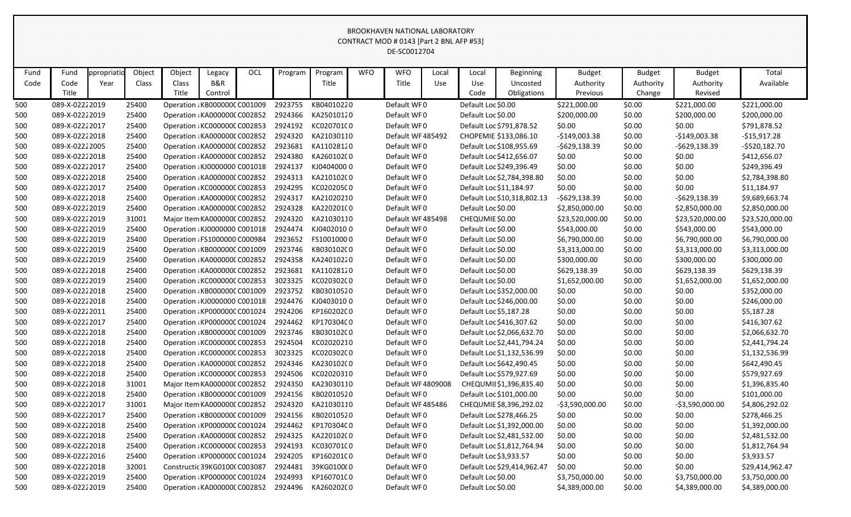#### BROOKHAVEN NATIONAL LABORATORY  $\frac{1}{2}$ CT MOD # 0143  $\frac{1}{2}$   $\frac{1}{2}$  BNL AFR #53]

|      |                |            |        |                               |         |     |         |                    |            | CONTRACT MOD # 0143 [Part 2 BNL AFP #53]<br>DE-SC0012704 |       |                        |                             |                 |               |                  |                 |
|------|----------------|------------|--------|-------------------------------|---------|-----|---------|--------------------|------------|----------------------------------------------------------|-------|------------------------|-----------------------------|-----------------|---------------|------------------|-----------------|
| Fund | Fund           | ppropriati | Object | Object                        | Legacy  | OCL | Program | Program            | <b>WFO</b> | <b>WFO</b>                                               | Local | Local                  | Beginning                   | <b>Budget</b>   | <b>Budget</b> | <b>Budget</b>    | Total           |
| Code | Code           | Year       | Class  | Class                         | B&R     |     |         | Title              |            | Title                                                    | Use   | Use                    | Uncosted                    | Authority       | Authority     | Authority        | Available       |
|      | Title          |            |        | Title                         | Control |     |         |                    |            |                                                          |       | Code                   | Obligations                 | Previous        | Change        | Revised          |                 |
| 500  | 089-X-02222019 |            | 25400  | Operation : KB000000C C001009 |         |     | 2923755 | KB04010220         |            | Default WF0                                              |       | Default Loc \$0.00     |                             | \$221,000.00    | \$0.00        | \$221,000.00     | \$221,000.00    |
| 500  | 089-X-02222019 |            | 25400  | Operation : KA000000C C002852 |         |     | 2924366 | KA25010120         |            | Default WF0                                              |       | Default Loc \$0.00     |                             | \$200,000.00    | \$0.00        | \$200,000.00     | \$200,000.00    |
| 500  | 089-X-02222017 |            | 25400  | Operation : KC000000C C002853 |         |     | 2924192 | KC020701C0         |            | Default WF0                                              |       |                        | Default Loc \$791,878.52    | \$0.00          | \$0.00        | \$0.00           | \$791,878.52    |
| 500  | 089-X-02222018 |            | 25400  | Operation : KA0000000 C002852 |         |     | 2924320 | KA21030110         |            | Default WF 485492                                        |       |                        | CHOPEMIE \$133,086.10       | $-$149,003.38$  | \$0.00        | $-$149,003.38$   | -\$15,917.28    |
| 500  | 089-X-02222005 |            | 25400  | Operation : KA0000000 C002852 |         |     | 2923681 | KA11028120         |            | Default WF0                                              |       |                        | Default Loc \$108,955.69    | $-5629,138.39$  | \$0.00        | $-5629,138.39$   | $-5520,182.70$  |
| 500  | 089-X-02222018 |            | 25400  | Operation : KA0000000 C002852 |         |     | 2924380 | KA26010200         |            | Default WF0                                              |       |                        | Default Loc \$412,656.07    | \$0.00          | \$0.00        | \$0.00           | \$412,656.07    |
| 500  | 089-X-02222017 |            | 25400  | Operation : KJ0000000 C001018 |         |     | 2924137 | KJ04040000         |            | Default WF0                                              |       |                        | Default Loc \$249,396.49    | \$0.00          | \$0.00        | \$0.00           | \$249,396.49    |
| 500  | 089-X-02222018 |            | 25400  | Operation : KA0000000 C002852 |         |     | 2924313 | KA21010200         |            | Default WF0                                              |       |                        | Default Loc \$2,784,398.80  | \$0.00          | \$0.00        | \$0.00           | \$2,784,398.80  |
| 500  | 089-X-02222017 |            | 25400  | Operation : KC000000C C002853 |         |     | 2924295 | KC020205C0         |            | Default WF0                                              |       |                        | Default Loc \$11,184.97     | \$0.00          | \$0.00        | \$0.00           | \$11,184.97     |
| 500  | 089-X-02222018 |            | 25400  | Operation : KA0000000 C002852 |         |     | 2924317 | KA21020210         |            | Default WF0                                              |       |                        | Default Loc \$10,318,802.13 | $-5629,138.39$  | \$0.00        | $-5629,138.39$   | \$9,689,663.74  |
| 500  | 089-X-02222019 |            | 25400  | Operation : KA0000000 C002852 |         |     | 2924328 | KA220201(0         |            | Default WF0                                              |       | Default Loc \$0.00     |                             | \$2,850,000.00  | \$0.00        | \$2,850,000.00   | \$2,850,000.00  |
| 500  | 089-X-02222019 |            | 31001  | Major Item KA0000000 C002852  |         |     | 2924320 | KA21030110         |            | Default WF 485498                                        |       | CHEQUMIE \$0.00        |                             | \$23,520,000.00 | \$0.00        | \$23,520,000.00  | \$23,520,000.00 |
| 500  | 089-X-02222019 |            | 25400  | Operation : KJ0000000 C001018 |         |     | 2924474 | KJ0402010 0        |            | Default WF0                                              |       | Default Loc \$0.00     |                             | \$543,000.00    | \$0.00        | \$543,000.00     | \$543,000.00    |
| 500  | 089-X-02222019 |            | 25400  | Operation : FS1000000 C000984 |         |     | 2923652 | FS10010000         |            | Default WF0                                              |       | Default Loc \$0.00     |                             | \$6,790,000.00  | \$0.00        | \$6,790,000.00   | \$6,790,000.00  |
| 500  | 089-X-02222019 |            | 25400  | Operation : KB000000C C001009 |         |     | 2923746 | KB030102C0         |            | Default WF0                                              |       | Default Loc \$0.00     |                             | \$3,313,000.00  | \$0.00        | \$3,313,000.00   | \$3,313,000.00  |
| 500  | 089-X-02222019 |            | 25400  | Operation : KA0000000 C002852 |         |     | 2924358 | KA24010220         |            | Default WF0                                              |       | Default Loc \$0.00     |                             | \$300,000.00    | \$0.00        | \$300,000.00     | \$300,000.00    |
| 500  | 089-X-02222018 |            | 25400  | Operation : KA0000000 C002852 |         |     | 2923681 | KA11028120         |            | Default WF0                                              |       | Default Loc \$0.00     |                             | \$629,138.39    | \$0.00        | \$629,138.39     | \$629,138.39    |
| 500  | 089-X-02222019 |            | 25400  | Operation : KC000000C C002853 |         |     | 3023325 | KC020302C0         |            | Default WF0                                              |       | Default Loc \$0.00     |                             | \$1,652,000.00  | \$0.00        | \$1,652,000.00   | \$1,652,000.00  |
| 500  | 089-X-02222018 |            | 25400  | Operation : KB000000C C001009 |         |     | 2923752 | KB03010520         |            | Default WF0                                              |       |                        | Default Loc \$352,000.00    | \$0.00          | \$0.00        | \$0.00           | \$352,000.00    |
| 500  | 089-X-02222018 |            | 25400  | Operation : KJ0000000 C001018 |         |     | 2924476 | KJ04030100         |            | Default WF0                                              |       |                        | Default Loc \$246,000.00    | \$0.00          | \$0.00        | \$0.00           | \$246,000.00    |
| 500  | 089-X-02222011 |            | 25400  | Operation : KP000000C C001024 |         |     | 2924206 | KP16020200         |            | Default WF0                                              |       | Default Loc \$5,187.28 |                             | \$0.00          | \$0.00        | \$0.00           | \$5,187.28      |
| 500  | 089-X-02222017 |            | 25400  | Operation : KP000000C C001024 |         |     | 2924462 | KP17030400         |            | Default WF0                                              |       |                        | Default Loc \$416,307.62    | \$0.00          | \$0.00        | \$0.00           | \$416,307.62    |
| 500  | 089-X-02222018 |            | 25400  | Operation : KB000000C C001009 |         |     | 2923746 | KB030102C0         |            | Default WF0                                              |       |                        | Default Loc \$2,066,632.70  | \$0.00          | \$0.00        | \$0.00           | \$2,066,632.70  |
| 500  | 089-X-02222018 |            | 25400  | Operation : KC000000C C002853 |         |     | 2924504 | KC02020210         |            | Default WF0                                              |       |                        | Default Loc \$2,441,794.24  | \$0.00          | \$0.00        | \$0.00           | \$2,441,794.24  |
| 500  | 089-X-02222018 |            | 25400  | Operation: KC000000C C002853  |         |     | 3023325 | KC020302C0         |            | Default WF0                                              |       |                        | Default Loc \$1,132,536.99  | \$0.00          | \$0.00        | \$0.00           | \$1,132,536.99  |
| 500  | 089-X-02222018 |            | 25400  | Operation (KA000000C C002852  |         |     | 2924346 | KA230102C0         |            | Default WF0                                              |       |                        | Default Loc \$642,490.45    | \$0.00          | \$0.00        | \$0.00           | \$642,490.45    |
| 500  | 089-X-02222018 |            | 25400  | Operation : KC000000C C002853 |         |     | 2924506 | KC02020310         |            | Default WF0                                              |       |                        | Default Loc \$579,927.69    | \$0.00          | \$0.00        | \$0.00           | \$579,927.69    |
| 500  | 089-X-02222018 |            | 31001  | Major Item KA0000000 C002852  |         |     | 2924350 | KA23030110         |            | Default WF 4809008                                       |       |                        | CHEQUMII\$1,396,835.40      | \$0.00          | \$0.00        | \$0.00           | \$1,396,835.40  |
| 500  | 089-X-02222018 |            | 25400  | Operation : KB000000C C001009 |         |     | 2924156 | KB02010520         |            | Default WF0                                              |       |                        | Default Loc \$101,000.00    | \$0.00          | \$0.00        | \$0.00           | \$101,000.00    |
| 500  | 089-X-02222017 |            | 31001  | Major Item KA0000000 C002852  |         |     | 2924320 | KA21030110         |            | Default WF 485486                                        |       |                        | CHEQUMIE \$8,396,292.02     | -\$3,590,000.00 | \$0.00        | $-53,590,000.00$ | \$4,806,292.02  |
| 500  | 089-X-02222017 |            | 25400  | Operation : KB000000C C001009 |         |     | 2924156 | KB02010520         |            | Default WF0                                              |       |                        | Default Loc \$278,466.25    | \$0.00          | \$0.00        | \$0.00           | \$278,466.25    |
| 500  | 089-X-02222018 |            | 25400  | Operation : KP000000C C001024 |         |     | 2924462 | KP17030400         |            | Default WF0                                              |       |                        | Default Loc \$1,392,000.00  | \$0.00          | \$0.00        | \$0.00           | \$1,392,000.00  |
| 500  | 089-X-02222018 |            | 25400  | Operation: KA0000000 C002852  |         |     | 2924325 | KA220102C0         |            | Default WF0                                              |       |                        | Default Loc \$2,481,532.00  | \$0.00          | \$0.00        | \$0.00           | \$2,481,532.00  |
| 500  | 089-X-02222018 |            | 25400  | Operation : KC000000C C002853 |         |     | 2924193 | KC030701C0         |            | Default WF0                                              |       |                        | Default Loc \$1,812,764.94  | \$0.00          | \$0.00        | \$0.00           | \$1,812,764.94  |
| 500  | 089-X-02222016 |            | 25400  | Operation : KP000000C C001024 |         |     | 2924205 | KP16020100         |            | Default WF0                                              |       | Default Loc \$3,933.57 |                             | \$0.00          | \$0.00        | \$0.00           | \$3,933.57      |
| 500  | 089-X-02222018 |            | 32001  | Constructic 39KG0100(C003087  |         |     | 2924481 | 39KG0100(0         |            | Default WF0                                              |       |                        | Default Loc \$29,414,962.47 | \$0.00          | \$0.00        | \$0.00           | \$29,414,962.47 |
| 500  | 089-X-02222019 |            | 25400  | Operation : KP000000C C001024 |         |     | 2924993 | KP16070100         |            | Default WF0                                              |       | Default Loc \$0.00     |                             | \$3,750,000.00  | \$0.00        | \$3,750,000.00   | \$3,750,000.00  |
| 500  | 089-X-02222019 |            | 25400  | Operation : KA0000000 C002852 |         |     |         | 2924496 KA260202C0 |            | Default WF0                                              |       | Default Loc \$0.00     |                             | \$4,389,000.00  | \$0.00        | \$4,389,000.00   | \$4,389,000.00  |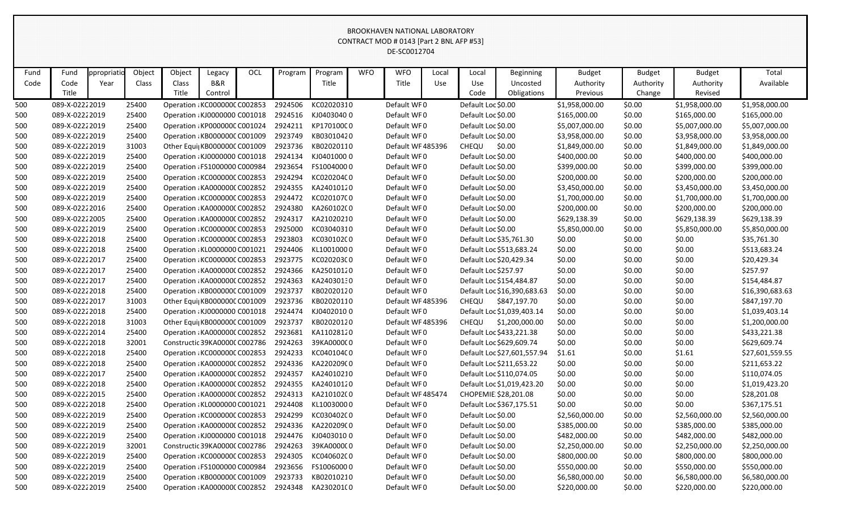|      |                |             |        |                               |         |     |         |            |            | CONTRACT MOD # 0143 [Part 2 BNL AFP #53]<br>DE-SC0012704 |       |                         |                             |                |               |                |                 |
|------|----------------|-------------|--------|-------------------------------|---------|-----|---------|------------|------------|----------------------------------------------------------|-------|-------------------------|-----------------------------|----------------|---------------|----------------|-----------------|
|      |                |             |        |                               |         |     |         |            |            |                                                          |       |                         |                             |                |               |                |                 |
| Fund | Fund           | ppropriatio | Object | Object                        | Legacy  | OCL | Program | Program    | <b>WFO</b> | <b>WFO</b>                                               | Local | Local                   | <b>Beginning</b>            | <b>Budget</b>  | <b>Budget</b> | <b>Budget</b>  | Total           |
| Code | Code           | Year        | Class  | Class                         | B&R     |     |         | Title      |            | Title                                                    | Use   | Use                     | Uncosted                    | Authority      | Authority     | Authority      | Available       |
|      | Title          |             |        | Title                         | Control |     |         |            |            |                                                          |       | Code                    | Obligations                 | Previous       | Change        | Revised        |                 |
| 500  | 089-X-02222019 |             | 25400  | Operation : KC000000C C002853 |         |     | 2924506 | KC02020310 |            | Default WF0                                              |       | Default Loc \$0.00      |                             | \$1,958,000.00 | \$0.00        | \$1,958,000.00 | \$1,958,000.00  |
| 500  | 089-X-02222019 |             | 25400  | Operation : KJ0000000 C001018 |         |     | 2924516 | KJ04030400 |            | Default WF0                                              |       | Default Loc \$0.00      |                             | \$165,000.00   | \$0.00        | \$165,000.00   | \$165,000.00    |
| 500  | 089-X-02222019 |             | 25400  | Operation : KP000000C C001024 |         |     | 2924211 | KP17010000 |            | Default WF0                                              |       | Default Loc \$0.00      |                             | \$5,007,000.00 | \$0.00        | \$5,007,000.00 | \$5,007,000.00  |
| 500  | 089-X-02222019 |             | 25400  | Operation : KB000000C C001009 |         |     | 2923749 | KB03010420 |            | Default WF0                                              |       | Default Loc \$0.00      |                             | \$3,958,000.00 | \$0.00        | \$3,958,000.00 | \$3,958,000.00  |
| 500  | 089-X-02222019 |             | 31003  | Other Equi KB000000C C001009  |         |     | 2923736 | KB02020110 |            | Default WF 485396                                        |       | CHEQU                   | \$0.00                      | \$1,849,000.00 | \$0.00        | \$1,849,000.00 | \$1,849,000.00  |
| 500  | 089-X-02222019 |             | 25400  | Operation : KJ0000000 C001018 |         |     | 2924134 | KJ04010000 |            | Default WF0                                              |       | Default Loc \$0.00      |                             | \$400,000.00   | \$0.00        | \$400,000.00   | \$400,000.00    |
| 500  | 089-X-02222019 |             | 25400  | Operation : FS1000000 C000984 |         |     | 2923654 | FS10040000 |            | Default WF0                                              |       | Default Loc \$0.00      |                             | \$399,000.00   | \$0.00        | \$399,000.00   | \$399,000.00    |
| 500  | 089-X-02222019 |             | 25400  | Operation : KC000000C C002853 |         |     | 2924294 | KC020204C0 |            | Default WF0                                              |       | Default Loc \$0.00      |                             | \$200,000.00   | \$0.00        | \$200,000.00   | \$200,000.00    |
| 500  | 089-X-02222019 |             | 25400  | Operation : KA000000C C002852 |         |     | 2924355 | KA24010120 |            | Default WF0                                              |       | Default Loc \$0.00      |                             | \$3,450,000.00 | \$0.00        | \$3,450,000.00 | \$3,450,000.00  |
| 500  | 089-X-02222019 |             | 25400  | Operation : KC000000C C002853 |         |     | 2924472 | KC020107C0 |            | Default WF0                                              |       | Default Loc \$0.00      |                             | \$1,700,000.00 | \$0.00        | \$1,700,000.00 | \$1,700,000.00  |
| 500  | 089-X-02222016 |             | 25400  | Operation : KA0000000 C002852 |         |     | 2924380 | KA26010200 |            | Default WF0                                              |       | Default Loc \$0.00      |                             | \$200,000.00   | \$0.00        | \$200,000.00   | \$200,000.00    |
| 500  | 089-X-02222005 |             | 25400  | Operation : KA0000000 C002852 |         |     | 2924317 | KA21020210 |            | Default WF0                                              |       | Default Loc \$0.00      |                             | \$629,138.39   | \$0.00        | \$629,138.39   | \$629,138.39    |
| 500  | 089-X-02222019 |             | 25400  | Operation : KC000000C C002853 |         |     | 2925000 | KC03040310 |            | Default WF0                                              |       | Default Loc \$0.00      |                             | \$5,850,000.00 | \$0.00        | \$5,850,000.00 | \$5,850,000.00  |
| 500  | 089-X-02222018 |             | 25400  | Operation : KC000000C C002853 |         |     | 2923803 | KC030102C0 |            | Default WF0                                              |       | Default Loc \$35,761.30 |                             | \$0.00         | \$0.00        | \$0.00         | \$35,761.30     |
| 500  | 089-X-02222018 |             | 25400  | Operation : KL0000000 C001021 |         |     | 2924406 | KL10010000 |            | Default WF0                                              |       |                         | Default Loc \$513,683.24    | \$0.00         | \$0.00        | \$0.00         | \$513,683.24    |
| 500  | 089-X-02222017 |             | 25400  | Operation : KC000000C C002853 |         |     | 2923775 | KC020203C0 |            | Default WF0                                              |       | Default Loc \$20,429.34 |                             | \$0.00         | \$0.00        | \$0.00         | \$20,429.34     |
| 500  | 089-X-02222017 |             | 25400  | Operation : KA0000000 C002852 |         |     | 2924366 | KA25010120 |            | Default WF0                                              |       | Default Loc \$257.97    |                             | \$0.00         | \$0.00        | \$0.00         | \$257.97        |
| 500  | 089-X-02222017 |             | 25400  | Operation : KA0000000 C002852 |         |     | 2924363 | KA24030130 |            | Default WF0                                              |       |                         | Default Loc \$154,484.87    | \$0.00         | \$0.00        | \$0.00         | \$154,484.87    |
| 500  | 089-X-02222018 |             | 25400  | Operation : KB000000C C001009 |         |     | 2923737 | KB02020120 |            | Default WF0                                              |       |                         | Default Loc \$16,390,683.63 | \$0.00         | \$0.00        | \$0.00         | \$16,390,683.63 |
| 500  | 089-X-02222017 |             | 31003  | Other Equi KB000000C C001009  |         |     | 2923736 | KB02020110 |            | Default WF 485396                                        |       | CHEQU                   | \$847,197.70                | \$0.00         | \$0.00        | \$0.00         | \$847,197.70    |
| 500  | 089-X-02222018 |             | 25400  | Operation : KJ0000000 C001018 |         |     | 2924474 | KJ04020100 |            | Default WF0                                              |       |                         | Default Loc \$1,039,403.14  | \$0.00         | \$0.00        | \$0.00         | \$1,039,403.14  |
| 500  | 089-X-02222018 |             | 31003  | Other Equi KB000000C C001009  |         |     | 2923737 | KB02020120 |            | Default WF 485396                                        |       | CHEQU                   | \$1,200,000.00              | \$0.00         | \$0.00        | \$0.00         | \$1,200,000.00  |
| 500  | 089-X-02222014 |             | 25400  | Operation : KA000000C C002852 |         |     | 2923681 | KA11028120 |            | Default WF0                                              |       |                         | Default Loc \$433,221.38    | \$0.00         | \$0.00        | \$0.00         | \$433,221.38    |
| 500  | 089-X-02222018 |             | 32001  | Constructic 39KA0000C C002786 |         |     | 2924263 | 39KA0000C0 |            | Default WF0                                              |       |                         | Default Loc \$629,609.74    | \$0.00         | \$0.00        | \$0.00         | \$629,609.74    |
| 500  | 089-X-02222018 |             | 25400  | Operation : KC000000C C002853 |         |     | 2924233 | KC040104C0 |            | Default WF0                                              |       |                         | Default Loc \$27,601,557.94 | \$1.61         | \$0.00        | \$1.61         | \$27,601,559.55 |
| 500  | 089-X-02222018 |             | 25400  | Operation : KA0000000 C002852 |         |     | 2924336 | KA220209C0 |            | Default WF0                                              |       |                         | Default Loc \$211,653.22    | \$0.00         | \$0.00        | \$0.00         | \$211,653.22    |
| 500  | 089-X-02222017 |             | 25400  | Operation : KA0000000 C002852 |         |     | 2924357 | KA24010210 |            | Default WF0                                              |       |                         | Default Loc \$110,074.05    | \$0.00         | \$0.00        | \$0.00         | \$110,074.05    |
| 500  | 089-X-02222018 |             | 25400  | Operation : KA000000C C002852 |         |     | 2924355 | KA24010120 |            | Default WF0                                              |       |                         | Default Loc \$1,019,423.20  | \$0.00         | \$0.00        | \$0.00         | \$1,019,423.20  |
| 500  | 089-X-02222015 |             | 25400  | Operation : KA0000000 C002852 |         |     | 2924313 | KA210102C0 |            | Default WF 485474                                        |       | CHOPEMIE \$28,201.08    |                             | \$0.00         | \$0.00        | \$0.00         | \$28,201.08     |
| 500  | 089-X-02222018 |             | 25400  | Operation : KL0000000 C001021 |         |     | 2924408 | KL10030000 |            | Default WF0                                              |       |                         | Default Loc \$367,175.51    | \$0.00         | \$0.00        | \$0.00         | \$367,175.51    |
| 500  | 089-X-02222019 |             | 25400  | Operation : KC000000C C002853 |         |     | 2924299 | KC030402C0 |            | Default WF0                                              |       | Default Loc \$0.00      |                             | \$2,560,000.00 | \$0.00        | \$2,560,000.00 | \$2,560,000.00  |
| 500  | 089-X-02222019 |             | 25400  | Operation : KA0000000 C002852 |         |     | 2924336 | KA220209C0 |            | Default WF0                                              |       | Default Loc \$0.00      |                             | \$385,000.00   | \$0.00        | \$385,000.00   | \$385,000.00    |
| 500  | 089-X-02222019 |             | 25400  | Operation : KJ0000000 C001018 |         |     | 2924476 | KJ04030100 |            | Default WF0                                              |       | Default Loc \$0.00      |                             | \$482,000.00   | \$0.00        | \$482,000.00   | \$482,000.00    |
| 500  | 089-X-02222019 |             | 32001  | Constructic 39KA0000C C002786 |         |     | 2924263 | 39KA0000C0 |            | Default WF0                                              |       | Default Loc \$0.00      |                             | \$2,250,000.00 | \$0.00        | \$2,250,000.00 | \$2,250,000.00  |
| 500  | 089-X-02222019 |             | 25400  | Operation : KC000000C C002853 |         |     | 2924305 | KC040602C0 |            | Default WF0                                              |       | Default Loc \$0.00      |                             | \$800,000.00   | \$0.00        | \$800,000.00   | \$800,000.00    |
| 500  | 089-X-02222019 |             | 25400  | Operation : FS1000000 C000984 |         |     | 2923656 | FS10060000 |            | Default WF0                                              |       | Default Loc \$0.00      |                             | \$550,000.00   | \$0.00        | \$550,000.00   | \$550,000.00    |
| 500  | 089-X-02222019 |             | 25400  | Operation : KB000000C C001009 |         |     | 2923733 | KB02010210 |            | Default WF0                                              |       | Default Loc \$0.00      |                             | \$6,580,000.00 | \$0.00        | \$6,580,000.00 | \$6,580,000.00  |
| 500  | 089-X-02222019 |             | 25400  | Operation : KA0000000 C002852 |         |     | 2924348 | KA230201(0 |            | Default WF0                                              |       | Default Loc \$0.00      |                             | \$220,000.00   | \$0.00        | \$220,000.00   | \$220,000.00    |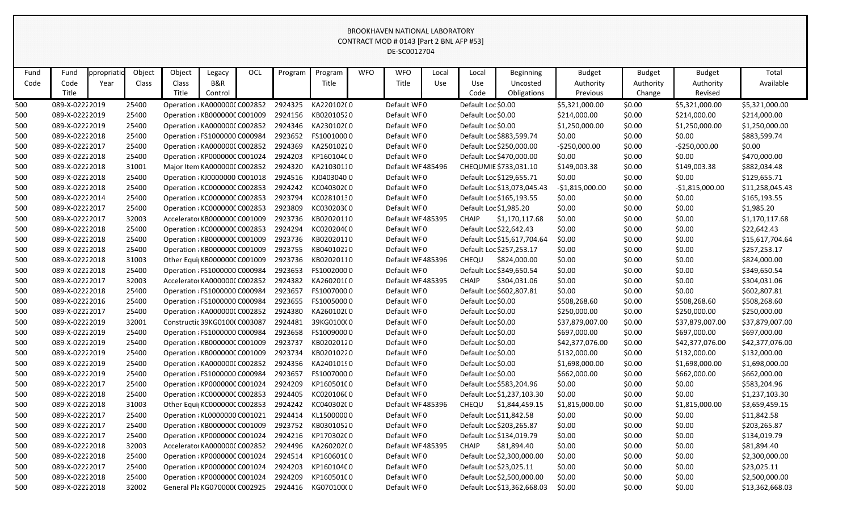|      |                |           |        |                               |         |            |         |                    |            | CONTRACT MOD # 0143 [Part 2 BNL AFP #53]<br>DE-SC0012704 |       |                    |                             |                  |               |                  |                 |
|------|----------------|-----------|--------|-------------------------------|---------|------------|---------|--------------------|------------|----------------------------------------------------------|-------|--------------------|-----------------------------|------------------|---------------|------------------|-----------------|
|      |                |           |        |                               |         |            |         |                    |            |                                                          |       |                    |                             |                  |               |                  |                 |
| Fund | Fund           | ppropriat | Object | Object                        | Legacy  | <b>OCL</b> | Program | Program            | <b>WFO</b> | <b>WFO</b>                                               | Local | Local              | Beginning                   | <b>Budget</b>    | <b>Budget</b> | <b>Budget</b>    | Total           |
| Code | Code<br>Title  | Year      | Class  | Class<br>Title                | B&R     |            |         | Title              |            | Title                                                    | Use   | Use                | Uncosted                    | Authority        | Authority     | Authority        | Available       |
|      |                |           |        |                               | Control |            |         |                    |            |                                                          |       | Code               | Obligations                 | Previous         | Change        | Revised          |                 |
| 500  | 089-X-02222019 |           | 25400  | Operation : KA0000000 C002852 |         |            | 2924325 | KA22010200         |            | Default WF0                                              |       | Default Loc \$0.00 |                             | \$5,321,000.00   | \$0.00        | \$5,321,000.00   | \$5,321,000.00  |
| 500  | 089-X-02222019 |           | 25400  | Operation : KB000000C C001009 |         |            | 2924156 | KB02010520         |            | Default WF0                                              |       | Default Loc \$0.00 |                             | \$214,000.00     | \$0.00        | \$214,000.00     | \$214,000.00    |
| 500  | 089-X-02222019 |           | 25400  | Operation : KA0000000 C002852 |         |            | 2924346 | KA230102C0         |            | Default WF0                                              |       | Default Loc \$0.00 |                             | \$1,250,000.00   | \$0.00        | \$1,250,000.00   | \$1,250,000.00  |
| 500  | 089-X-02222018 |           | 25400  | Operation : FS1000000 C000984 |         |            | 2923652 | FS10010000         |            | Default WF0                                              |       |                    | Default Loc \$883,599.74    | \$0.00           | \$0.00        | \$0.00           | \$883,599.74    |
| 500  | 089-X-02222017 |           | 25400  | Operation : KA0000000 C002852 |         |            | 2924369 | KA25010220         |            | Default WF0                                              |       |                    | Default Loc \$250,000.00    | $-5250,000.00$   | \$0.00        | $-$250,000.00$   | \$0.00          |
| 500  | 089-X-02222018 |           | 25400  | Operation : KP000000C C001024 |         |            | 2924203 | KP16010400         |            | Default WF0                                              |       |                    | Default Loc \$470,000.00    | \$0.00           | \$0.00        | \$0.00           | \$470,000.00    |
| 500  | 089-X-02222018 |           | 31001  | Major Item KA0000000 C002852  |         |            | 2924320 | KA21030110         |            | Default WF 485496                                        |       |                    | CHEQUMIE \$733,031.10       | \$149,003.38     | \$0.00        | \$149,003.38     | \$882,034.48    |
| 500  | 089-X-02222018 |           | 25400  | Operation : KJ0000000 C001018 |         |            | 2924516 | KJ04030400         |            | Default WF0                                              |       |                    | Default Loc \$129,655.71    | \$0.00           | \$0.00        | \$0.00           | \$129,655.71    |
| 500  | 089-X-02222018 |           | 25400  | Operation: KC000000C C002853  |         |            | 2924242 | KC040302C0         |            | Default WF0                                              |       |                    | Default Loc \$13,073,045.43 | $-$1,815,000.00$ | \$0.00        | $-$1,815,000.00$ | \$11,258,045.43 |
| 500  | 089-X-02222014 |           | 25400  | Operation : KC000000C C002853 |         |            | 2923794 | KC02810130         |            | Default WF0                                              |       |                    | Default Loc \$165,193.55    | \$0.00           | \$0.00        | \$0.00           | \$165,193.55    |
| 500  | 089-X-02222017 |           | 25400  | Operation : KC000000C C002853 |         |            | 2923809 | KC030203C0         |            | Default WF0                                              |       |                    | Default Loc \$1,985.20      | \$0.00           | \$0.00        | \$0.00           | \$1,985.20      |
| 500  | 089-X-02222017 |           | 32003  | Accelerator KB000000C C001009 |         |            | 2923736 | KB02020110         |            | Default WF 485395                                        |       | CHAIP              | \$1,170,117.68              | \$0.00           | \$0.00        | \$0.00           | \$1,170,117.68  |
| 500  | 089-X-02222018 |           | 25400  | Operation : KC000000C C002853 |         |            | 2924294 | KC020204C0         |            | Default WF0                                              |       |                    | Default Loc \$22,642.43     | \$0.00           | \$0.00        | \$0.00           | \$22,642.43     |
| 500  | 089-X-02222018 |           | 25400  | Operation : KB000000C C001009 |         |            | 2923736 | KB02020110         |            | Default WF0                                              |       |                    | Default Loc \$15,617,704.64 | \$0.00           | \$0.00        | \$0.00           | \$15,617,704.64 |
| 500  | 089-X-02222018 |           | 25400  | Operation : KB000000C C001009 |         |            | 2923755 | KB04010220         |            | Default WF0                                              |       |                    | Default Loc \$257,253.17    | \$0.00           | \$0.00        | \$0.00           | \$257,253.17    |
| 500  | 089-X-02222018 |           | 31003  | Other Equi KB000000C C001009  |         |            | 2923736 | KB02020110         |            | Default WF 485396                                        |       | <b>CHEQU</b>       | \$824,000.00                | \$0.00           | \$0.00        | \$0.00           | \$824,000.00    |
| 500  | 089-X-02222018 |           | 25400  | Operation : FS1000000 C000984 |         |            | 2923653 | FS10020000         |            | Default WF0                                              |       |                    | Default Loc \$349,650.54    | \$0.00           | \$0.00        | \$0.00           | \$349,650.54    |
| 500  | 089-X-02222017 |           | 32003  | Accelerator KA000000C C002852 |         |            | 2924382 | KA260201(0         |            | Default WF 485395                                        |       | <b>CHAIP</b>       | \$304,031.06                | \$0.00           | \$0.00        | \$0.00           | \$304,031.06    |
| 500  | 089-X-02222018 |           | 25400  | Operation : FS1000000 C000984 |         |            | 2923657 | FS10070000         |            | Default WF0                                              |       |                    | Default Loc \$602,807.81    | \$0.00           | \$0.00        | \$0.00           | \$602,807.81    |
| 500  | 089-X-02222016 |           | 25400  | Operation : FS1000000 C000984 |         |            | 2923655 | FS10050000         |            | Default WF0                                              |       | Default Loc \$0.00 |                             | \$508,268.60     | \$0.00        | \$508,268.60     | \$508,268.60    |
| 500  | 089-X-02222017 |           | 25400  | Operation : KA0000000 C002852 |         |            | 2924380 | KA26010200         |            | Default WF0                                              |       | Default Loc \$0.00 |                             | \$250,000.00     | \$0.00        | \$250,000.00     | \$250,000.00    |
| 500  | 089-X-02222019 |           | 32001  | Constructic 39KG0100(C003087  |         |            | 2924481 | 39KG0100(0         |            | Default WF0                                              |       | Default Loc \$0.00 |                             | \$37,879,007.00  | \$0.00        | \$37,879,007.00  | \$37,879,007.00 |
| 500  | 089-X-02222019 |           | 25400  | Operation : FS1000000 C000984 |         |            | 2923658 | FS10090000         |            | Default WF0                                              |       | Default Loc \$0.00 |                             | \$697,000.00     | \$0.00        | \$697,000.00     | \$697,000.00    |
| 500  | 089-X-02222019 |           | 25400  | Operation : KB000000C C001009 |         |            | 2923737 | KB02020120         |            | Default WF0                                              |       | Default Loc \$0.00 |                             | \$42,377,076.00  | \$0.00        | \$42,377,076.00  | \$42,377,076.00 |
| 500  | 089-X-02222019 |           | 25400  | Operation : KB000000C C001009 |         |            | 2923734 | KB02010220         |            | Default WF0                                              |       | Default Loc \$0.00 |                             | \$132,000.00     | \$0.00        | \$132,000.00     | \$132,000.00    |
| 500  | 089-X-02222019 |           | 25400  | Operation : KA000000C C002852 |         |            | 2924356 | KA24010190         |            | Default WF0                                              |       | Default Loc \$0.00 |                             | \$1,698,000.00   | \$0.00        | \$1,698,000.00   | \$1,698,000.00  |
| 500  | 089-X-02222019 |           | 25400  | Operation : FS1000000 C000984 |         |            | 2923657 | FS10070000         |            | Default WF0                                              |       | Default Loc \$0.00 |                             | \$662,000.00     | \$0.00        | \$662,000.00     | \$662,000.00    |
| 500  | 089-X-02222017 |           | 25400  | Operation : KP000000C C001024 |         |            | 2924209 | KP16050100         |            | Default WF0                                              |       |                    | Default Loc \$583,204.96    | \$0.00           | \$0.00        | \$0.00           | \$583,204.96    |
| 500  | 089-X-02222018 |           | 25400  | Operation : KC000000C C002853 |         |            | 2924405 | KC020106C0         |            | Default WF0                                              |       |                    | Default Loc \$1,237,103.30  | \$0.00           | \$0.00        | \$0.00           | \$1,237,103.30  |
| 500  | 089-X-02222018 |           | 31003  | Other Equi  KC000000C C002853 |         |            | 2924242 | KC040302C0         |            | Default WF 485396                                        |       | CHEQU              | \$1,844,459.15              | \$1,815,000.00   | \$0.00        | \$1,815,000.00   | \$3,659,459.15  |
| 500  | 089-X-02222017 |           | 25400  | Operation : KL0000000 C001021 |         |            | 2924414 | KL15000000         |            | Default WF0                                              |       |                    | Default Loc \$11,842.58     | \$0.00           | \$0.00        | \$0.00           | \$11,842.58     |
| 500  | 089-X-02222017 |           | 25400  | Operation : KB000000C C001009 |         |            | 2923752 | KB03010520         |            | Default WF0                                              |       |                    | Default Loc \$203,265.87    | \$0.00           | \$0.00        | \$0.00           | \$203,265.87    |
| 500  | 089-X-02222017 |           | 25400  | Operation : KP000000C C001024 |         |            | 2924216 | KP17030200         |            | Default WF0                                              |       |                    | Default Loc \$134,019.79    | \$0.00           | \$0.00        | \$0.00           | \$134,019.79    |
| 500  | 089-X-02222018 |           | 32003  | Accelerator KA0000000 C002852 |         |            | 2924496 | KA260202C0         |            | Default WF 485395                                        |       | CHAIP              | \$81,894.40                 | \$0.00           | \$0.00        | \$0.00           | \$81,894.40     |
| 500  | 089-X-02222018 |           | 25400  | Operation : KP000000C C001024 |         |            | 2924514 | KP16060100         |            | Default WF0                                              |       |                    | Default Loc \$2,300,000.00  | \$0.00           | \$0.00        | \$0.00           | \$2,300,000.00  |
| 500  | 089-X-02222017 |           | 25400  | Operation : KP000000C C001024 |         |            | 2924203 | KP16010400         |            | Default WF0                                              |       |                    | Default Loc \$23,025.11     | \$0.00           | \$0.00        | \$0.00           | \$23,025.11     |
| 500  | 089-X-02222018 |           | 25400  | Operation : KP000000C C001024 |         |            | 2924209 | KP16050100         |            | Default WF0                                              |       |                    | Default Loc \$2,500,000.00  | \$0.00           | \$0.00        | \$0.00           | \$2,500,000.00  |
| 500  | 089-X-02222018 |           | 32002  | General Pla KG0700000 C002925 |         |            |         | 2924416 KG070100(0 |            | Default WF0                                              |       |                    | Default Loc \$13,362,668.03 | \$0.00           | \$0.00        | \$0.00           | \$13,362,668.03 |
|      |                |           |        |                               |         |            |         |                    |            |                                                          |       |                    |                             |                  |               |                  |                 |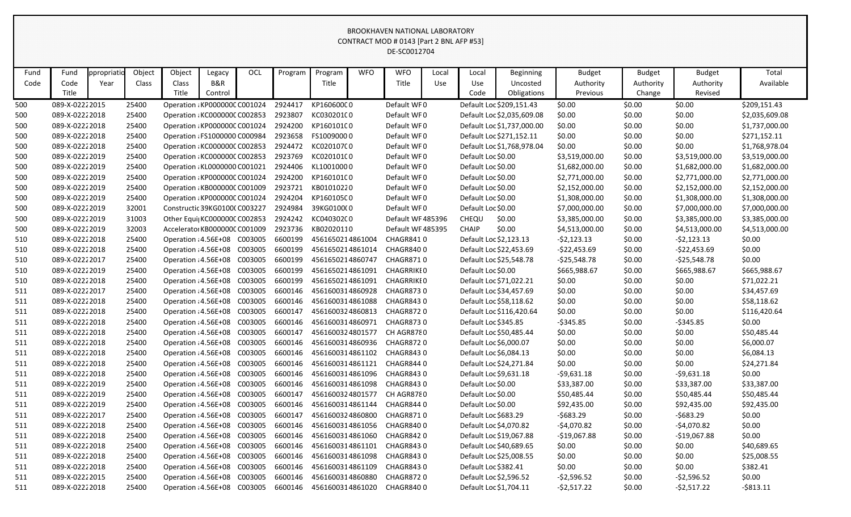|      |                |            |        |                               |         |         |         |                  |            | CONTRACT MOD # 0143 [Part 2 BNL AFP #53]<br>DE-SC0012704 |       |                        |                            |                |               |                |                |
|------|----------------|------------|--------|-------------------------------|---------|---------|---------|------------------|------------|----------------------------------------------------------|-------|------------------------|----------------------------|----------------|---------------|----------------|----------------|
| Fund | Fund           | ppropriati | Object | Object                        | Legacy  | OCL     | Program | Program          | <b>WFO</b> | <b>WFO</b>                                               | Local | Local                  | Beginning                  | <b>Budget</b>  | <b>Budget</b> | <b>Budget</b>  | Total          |
| Code | Code           | Year       | Class  | Class                         | B&R     |         |         | Title            |            | Title                                                    | Use   | Use                    | Uncosted                   | Authority      | Authority     | Authority      | Available      |
|      | Title          |            |        | Title                         | Control |         |         |                  |            |                                                          |       | Code                   | Obligations                | Previous       | Change        | Revised        |                |
| 500  | 089-X-02222015 |            | 25400  | Operation : KP000000C C001024 |         |         | 2924417 | KP16060000       |            | Default WF0                                              |       |                        | Default Loc \$209,151.43   | \$0.00         | \$0.00        | \$0.00         | \$209,151.43   |
| 500  | 089-X-02222018 |            | 25400  | Operation : KC000000C C002853 |         |         | 2923807 | KC030201C0       |            | Default WF0                                              |       |                        | Default Loc \$2,035,609.08 | \$0.00         | \$0.00        | \$0.00         | \$2,035,609.08 |
| 500  | 089-X-02222018 |            | 25400  | Operation : KP000000C C001024 |         |         | 2924200 | KP16010100       |            | Default WF0                                              |       |                        | Default Loc \$1,737,000.00 | \$0.00         | \$0.00        | \$0.00         | \$1,737,000.00 |
| 500  | 089-X-02222018 |            | 25400  | Operation : FS1000000 C000984 |         |         | 2923658 | FS10090000       |            | Default WF0                                              |       |                        | Default Loc \$271,152.11   | \$0.00         | \$0.00        | \$0.00         | \$271,152.11   |
| 500  | 089-X-02222018 |            | 25400  | Operation: KC000000C C002853  |         |         | 2924472 | KC020107C0       |            | Default WF0                                              |       |                        | Default Loc \$1,768,978.04 | \$0.00         | \$0.00        | \$0.00         | \$1,768,978.04 |
| 500  | 089-X-02222019 |            | 25400  | Operation : KC000000C C002853 |         |         | 2923769 | KC020101C0       |            | Default WF0                                              |       | Default Loc \$0.00     |                            | \$3,519,000.00 | \$0.00        | \$3,519,000.00 | \$3,519,000.00 |
| 500  | 089-X-02222019 |            | 25400  | Operation : KL0000000 C001021 |         |         | 2924406 | KL10010000       |            | Default WF0                                              |       | Default Loc \$0.00     |                            | \$1,682,000.00 | \$0.00        | \$1,682,000.00 | \$1,682,000.00 |
| 500  | 089-X-02222019 |            | 25400  | Operation : KP000000C C001024 |         |         | 2924200 | KP16010100       |            | Default WF0                                              |       | Default Loc \$0.00     |                            | \$2,771,000.00 | \$0.00        | \$2,771,000.00 | \$2,771,000.00 |
| 500  | 089-X-02222019 |            | 25400  | Operation : KB000000C C001009 |         |         | 2923721 | KB01010220       |            | Default WF0                                              |       | Default Loc \$0.00     |                            | \$2,152,000.00 | \$0.00        | \$2,152,000.00 | \$2,152,000.00 |
| 500  | 089-X-02222019 |            | 25400  | Operation : KP000000C C001024 |         |         | 2924204 | KP16010500       |            | Default WF0                                              |       | Default Loc \$0.00     |                            | \$1,308,000.00 | \$0.00        | \$1,308,000.00 | \$1,308,000.00 |
| 500  | 089-X-02222019 |            | 32001  | Constructic 39KG0100(C003227  |         |         | 2924984 | 39KG0100(0       |            | Default WF0                                              |       | Default Loc \$0.00     |                            | \$7,000,000.00 | \$0.00        | \$7,000,000.00 | \$7,000,000.00 |
| 500  | 089-X-02222019 |            | 31003  | Other Equi KC000000C C002853  |         |         | 2924242 | KC040302C0       |            | Default WF 485396                                        |       | CHEQU                  | \$0.00                     | \$3,385,000.00 | \$0.00        | \$3,385,000.00 | \$3,385,000.00 |
| 500  | 089-X-02222019 |            | 32003  | Accelerator KB000000C C001009 |         |         | 2923736 | KB02020110       |            | Default WF 485395                                        |       | <b>CHAIP</b>           | \$0.00                     | \$4,513,000.00 | \$0.00        | \$4,513,000.00 | \$4,513,000.00 |
| 510  | 089-X-02222018 |            | 25400  | Operation : 4.56E+08 C003005  |         |         | 6600199 | 4561650214861004 |            | CHAGR8410                                                |       | Default Loc \$2,123.13 |                            | $-52,123.13$   | \$0.00        | $-52,123.13$   | \$0.00         |
| 510  | 089-X-02222018 |            | 25400  | Operation : 4.56E+08 C003005  |         |         | 6600199 | 4561650214861014 |            | CHAGR8400                                                |       |                        | Default Loc \$22,453.69    | $-522,453.69$  | \$0.00        | $-522,453.69$  | \$0.00         |
| 510  | 089-X-02222017 |            | 25400  | Operation : 4.56E+08 C003005  |         |         | 6600199 | 4561650214860747 |            | <b>CHAGR8710</b>                                         |       |                        | Default Loc \$25,548.78    | $-525,548.78$  | \$0.00        | $-525,548.78$  | \$0.00         |
| 510  | 089-X-02222019 |            | 25400  | Operation : 4.56E+08 C003005  |         |         | 6600199 | 4561650214861091 |            | <b>CHAGRRIKIO</b>                                        |       | Default Loc \$0.00     |                            | \$665,988.67   | \$0.00        | \$665,988.67   | \$665,988.67   |
| 510  | 089-X-02222018 |            | 25400  | Operation : 4.56E+08          |         | C003005 | 6600199 | 4561650214861091 |            | <b>CHAGRRIKIO</b>                                        |       |                        | Default Loc \$71,022.21    | \$0.00         | \$0.00        | \$0.00         | \$71,022.21    |
| 511  | 089-X-02222017 |            | 25400  | Operation : 4.56E+08          |         | C003005 | 6600146 | 4561600314860928 |            | <b>CHAGR8730</b>                                         |       |                        | Default Loc \$34,457.69    | \$0.00         | \$0.00        | \$0.00         | \$34,457.69    |
| 511  | 089-X-02222018 |            | 25400  | Operation : 4.56E+08          |         | C003005 | 6600146 | 4561600314861088 |            | <b>CHAGR8430</b>                                         |       |                        | Default Loc \$58,118.62    | \$0.00         | \$0.00        | \$0.00         | \$58,118.62    |
| 511  | 089-X-02222018 |            | 25400  | Operation : 4.56E+08          |         | C003005 | 6600147 | 4561600324860813 |            | CHAGR8720                                                |       |                        | Default Loc \$116,420.64   | \$0.00         | \$0.00        | \$0.00         | \$116,420.64   |
| 511  | 089-X-02222018 |            | 25400  | Operation : 4.56E+08 C003005  |         |         | 6600146 | 4561600314860971 |            | <b>CHAGR8730</b>                                         |       | Default Loc \$345.85   |                            | $-5345.85$     | \$0.00        | $-$ \$345.85   | \$0.00         |
| 511  | 089-X-02222018 |            | 25400  | Operation : 4.56E+08          |         | C003005 | 6600147 | 4561600324801577 |            | CH AGR8780                                               |       |                        | Default Loc \$50,485.44    | \$0.00         | \$0.00        | \$0.00         | \$50,485.44    |
| 511  | 089-X-02222018 |            | 25400  | Operation : 4.56E+08          |         | C003005 | 6600146 | 4561600314860936 |            | <b>CHAGR8720</b>                                         |       | Default Loc \$6,000.07 |                            | \$0.00         | \$0.00        | \$0.00         | \$6,000.07     |
| 511  | 089-X-02222018 |            | 25400  | Operation : 4.56E+08 C003005  |         |         | 6600146 | 4561600314861102 |            | CHAGR8430                                                |       | Default Loc \$6,084.13 |                            | \$0.00         | \$0.00        | \$0.00         | \$6,084.13     |
| 511  | 089-X-02222018 |            | 25400  | Operation : 4.56E+08 C003005  |         |         | 6600146 | 4561600314861121 |            | CHAGR8440                                                |       |                        | Default Loc \$24,271.84    | \$0.00         | \$0.00        | \$0.00         | \$24,271.84    |
| 511  | 089-X-02222018 |            | 25400  | Operation : 4.56E+08 C003005  |         |         | 6600146 | 4561600314861096 |            | CHAGR8430                                                |       |                        | Default Loc \$9,631.18     | $-59,631.18$   | \$0.00        | $-59,631.18$   | \$0.00         |
| 511  | 089-X-02222019 |            | 25400  | Operation : 4.56E+08 C003005  |         |         | 6600146 | 4561600314861098 |            | CHAGR8430                                                |       | Default Loc \$0.00     |                            | \$33,387.00    | \$0.00        | \$33,387.00    | \$33,387.00    |
| 511  | 089-X-02222019 |            | 25400  | Operation : 4.56E+08 C003005  |         |         | 6600147 | 4561600324801577 |            | CH AGR8780                                               |       | Default Loc \$0.00     |                            | \$50,485.44    | \$0.00        | \$50,485.44    | \$50,485.44    |
| 511  | 089-X-02222019 |            | 25400  | Operation : 4.56E+08 C003005  |         |         | 6600146 | 4561600314861144 |            | CHAGR8440                                                |       | Default Loc \$0.00     |                            | \$92,435.00    | \$0.00        | \$92,435.00    | \$92,435.00    |
| 511  | 089-X-02222017 |            | 25400  | Operation : 4.56E+08 C003005  |         |         | 6600147 | 4561600324860800 |            | CHAGR8710                                                |       | Default Loc \$683.29   |                            | $-5683.29$     | \$0.00        | $-5683.29$     | \$0.00         |
| 511  | 089-X-02222018 |            | 25400  | Operation : 4.56E+08 C003005  |         |         | 6600146 | 4561600314861056 |            | CHAGR8400                                                |       |                        | Default Loc \$4,070.82     | $-54,070.82$   | \$0.00        | $-$4,070.82$   | \$0.00         |
| 511  | 089-X-02222018 |            | 25400  | Operation : 4.56E+08 C003005  |         |         | 6600146 | 4561600314861060 |            | CHAGR8420                                                |       |                        | Default Loc \$19,067.88    | $-$19,067.88$  | \$0.00        | $-$19,067.88$  | \$0.00         |
| 511  | 089-X-02222018 |            | 25400  | Operation : 4.56E+08 C003005  |         |         | 6600146 | 4561600314861101 |            | CHAGR8430                                                |       |                        | Default Loc \$40,689.65    | \$0.00         | \$0.00        | \$0.00         | \$40,689.65    |
| 511  | 089-X-02222018 |            | 25400  | Operation : 4.56E+08 C003005  |         |         | 6600146 | 4561600314861098 |            | CHAGR8430                                                |       |                        | Default Loc \$25,008.55    | \$0.00         | \$0.00        | \$0.00         | \$25,008.55    |
| 511  | 089-X-02222018 |            | 25400  | Operation : 4.56E+08          |         | C003005 | 6600146 | 4561600314861109 |            | CHAGR8430                                                |       | Default Loc \$382.41   |                            | \$0.00         | \$0.00        | \$0.00         | \$382.41       |
| 511  | 089-X-02222015 |            | 25400  | Operation : 4.56E+08 C003005  |         |         | 6600146 | 4561600314860880 |            | CHAGR8720                                                |       |                        | Default Loc \$2,596.52     | $-52,596.52$   | \$0.00        | $-52,596.52$   | \$0.00         |
| 511  | 089-X-02222018 |            | 25400  | Operation : 4.56E+08 C003005  |         |         | 6600146 | 4561600314861020 |            | CHAGR8400                                                |       | Default Loc \$1,704.11 |                            | $-52,517.22$   | \$0.00        | $-52,517.22$   | $-$ \$813.11   |
|      |                |            |        |                               |         |         |         |                  |            |                                                          |       |                        |                            |                |               |                |                |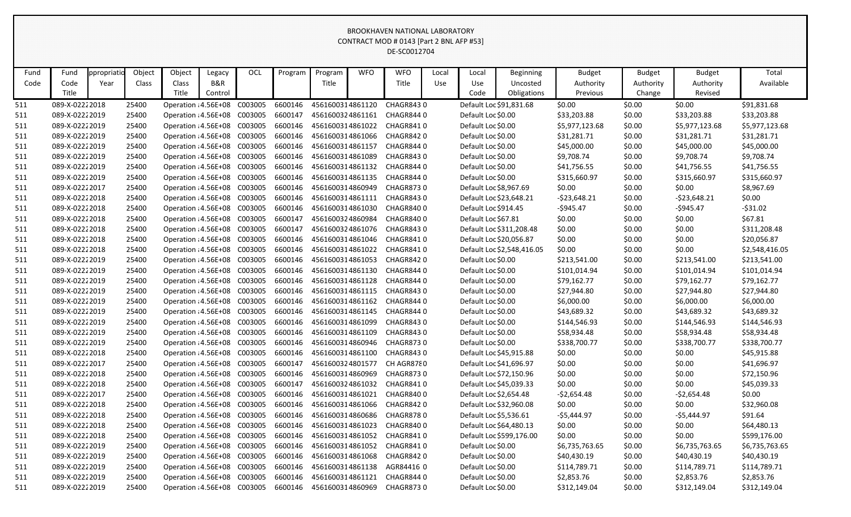|      |                |             |        |                              |         |            |         |                  |            | CONTRACT MOD # 0143 [Part 2 BNL AFP #53]<br>DE-SC0012704 |       |                         |                            |                |               |                |                |
|------|----------------|-------------|--------|------------------------------|---------|------------|---------|------------------|------------|----------------------------------------------------------|-------|-------------------------|----------------------------|----------------|---------------|----------------|----------------|
|      |                |             |        |                              |         |            |         |                  |            |                                                          |       |                         |                            |                |               |                |                |
| Fund | Fund           | ppropriatio | Object | Object                       | Legacy  | <b>OCL</b> | Program | Program          | <b>WFO</b> | <b>WFO</b>                                               | Local | Local                   | Beginning                  | <b>Budget</b>  | <b>Budget</b> | <b>Budget</b>  | Total          |
| Code | Code           | Year        | Class  | Class                        | B&R     |            |         | Title            |            | Title                                                    | Use   | Use                     | Uncosted                   | Authority      | Authority     | Authority      | Available      |
|      | Title          |             |        | Title                        | Control |            |         |                  |            |                                                          |       | Code                    | Obligations                | Previous       | Change        | Revised        |                |
| 511  | 089-X-02222018 |             | 25400  | Operation : 4.56E+08 C003005 |         |            | 6600146 | 4561600314861120 |            | <b>CHAGR8430</b>                                         |       |                         | Default Loc \$91,831.68    | \$0.00         | \$0.00        | \$0.00         | \$91,831.68    |
| 511  | 089-X-02222019 |             | 25400  | Operation : 4.56E+08         |         | C003005    | 6600147 | 4561600324861161 |            | CHAGR8440                                                |       | Default Loc \$0.00      |                            | \$33,203.88    | \$0.00        | \$33,203.88    | \$33,203.88    |
| 511  | 089-X-02222019 |             | 25400  | Operation : 4.56E+08         |         | C003005    | 6600146 | 4561600314861022 |            | CHAGR8410                                                |       | Default Loc \$0.00      |                            | \$5,977,123.68 | \$0.00        | \$5,977,123.68 | \$5,977,123.68 |
| 511  | 089-X-02222019 |             | 25400  | Operation : 4.56E+08         |         | C003005    | 6600146 | 4561600314861066 |            | CHAGR8420                                                |       | Default Loc \$0.00      |                            | \$31,281.71    | \$0.00        | \$31,281.71    | \$31,281.71    |
| 511  | 089-X-02222019 |             | 25400  | Operation : 4.56E+08         |         | C003005    | 6600146 | 4561600314861157 |            | CHAGR8440                                                |       | Default Loc \$0.00      |                            | \$45,000.00    | \$0.00        | \$45,000.00    | \$45,000.00    |
| 511  | 089-X-02222019 |             | 25400  | Operation : 4.56E+08         |         | C003005    | 6600146 | 4561600314861089 |            | CHAGR8430                                                |       | Default Loc \$0.00      |                            | \$9,708.74     | \$0.00        | \$9,708.74     | \$9,708.74     |
| 511  | 089-X-02222019 |             | 25400  | Operation : 4.56E+08         |         | C003005    | 6600146 | 4561600314861132 |            | CHAGR8440                                                |       | Default Loc \$0.00      |                            | \$41,756.55    | \$0.00        | \$41,756.55    | \$41,756.55    |
| 511  | 089-X-02222019 |             | 25400  | Operation : 4.56E+08         |         | C003005    | 6600146 | 4561600314861135 |            | CHAGR8440                                                |       | Default Loc \$0.00      |                            | \$315,660.97   | \$0.00        | \$315,660.97   | \$315,660.97   |
| 511  | 089-X-02222017 |             | 25400  | Operation : 4.56E+08         |         | C003005    | 6600146 | 4561600314860949 |            | <b>CHAGR8730</b>                                         |       | Default Loc \$8,967.69  |                            | \$0.00         | \$0.00        | \$0.00         | \$8,967.69     |
| 511  | 089-X-02222018 |             | 25400  | Operation : 4.56E+08         |         | C003005    | 6600146 | 4561600314861111 |            | CHAGR8430                                                |       | Default Loc \$23,648.21 |                            | $-523,648.21$  | \$0.00        | $-523,648.21$  | \$0.00         |
| 511  | 089-X-02222018 |             | 25400  | Operation : 4.56E+08         |         | C003005    | 6600146 | 4561600314861030 |            | CHAGR8400                                                |       | Default Loc \$914.45    |                            | $-$945.47$     | \$0.00        | $-5945.47$     | $-531.02$      |
| 511  | 089-X-02222018 |             | 25400  | Operation : 4.56E+08         |         | C003005    | 6600147 | 4561600324860984 |            | CHAGR8400                                                |       | Default Loc \$67.81     |                            | \$0.00         | \$0.00        | \$0.00         | \$67.81        |
| 511  | 089-X-02222018 |             | 25400  | Operation : 4.56E+08         |         | C003005    | 6600147 | 4561600324861076 |            | CHAGR8430                                                |       |                         | Default Loc \$311,208.48   | \$0.00         | \$0.00        | \$0.00         | \$311,208.48   |
| 511  | 089-X-02222018 |             | 25400  | Operation : 4.56E+08         |         | C003005    | 6600146 | 4561600314861046 |            | CHAGR8410                                                |       |                         | Default Loc \$20,056.87    | \$0.00         | \$0.00        | \$0.00         | \$20,056.87    |
| 511  | 089-X-02222018 |             | 25400  | Operation : 4.56E+08         |         | C003005    | 6600146 | 4561600314861022 |            | CHAGR8410                                                |       |                         | Default Loc \$2,548,416.05 | \$0.00         | \$0.00        | \$0.00         | \$2,548,416.05 |
| 511  | 089-X-02222019 |             | 25400  | Operation : 4.56E+08         |         | C003005    | 6600146 | 4561600314861053 |            | CHAGR8420                                                |       | Default Loc \$0.00      |                            | \$213,541.00   | \$0.00        | \$213,541.00   | \$213,541.00   |
| 511  | 089-X-02222019 |             | 25400  | Operation : 4.56E+08         |         | C003005    | 6600146 | 4561600314861130 |            | CHAGR8440                                                |       | Default Loc \$0.00      |                            | \$101,014.94   | \$0.00        | \$101,014.94   | \$101,014.94   |
| 511  | 089-X-02222019 |             | 25400  | Operation : 4.56E+08         |         | C003005    | 6600146 | 4561600314861128 |            | CHAGR8440                                                |       | Default Loc \$0.00      |                            | \$79,162.77    | \$0.00        | \$79,162.77    | \$79,162.77    |
| 511  | 089-X-02222019 |             | 25400  | Operation : 4.56E+08         |         | C003005    | 6600146 | 4561600314861115 |            | CHAGR8430                                                |       | Default Loc \$0.00      |                            | \$27,944.80    | \$0.00        | \$27,944.80    | \$27,944.80    |
| 511  | 089-X-02222019 |             | 25400  | Operation : 4.56E+08         |         | C003005    | 6600146 | 4561600314861162 |            | CHAGR8440                                                |       | Default Loc \$0.00      |                            | \$6,000.00     | \$0.00        | \$6,000.00     | \$6,000.00     |
| 511  | 089-X-02222019 |             | 25400  | Operation : 4.56E+08         |         | C003005    | 6600146 | 4561600314861145 |            | CHAGR8440                                                |       | Default Loc \$0.00      |                            | \$43,689.32    | \$0.00        | \$43,689.32    | \$43,689.32    |
| 511  | 089-X-02222019 |             | 25400  | Operation : 4.56E+08         |         | C003005    | 6600146 | 4561600314861099 |            | CHAGR8430                                                |       | Default Loc \$0.00      |                            | \$144,546.93   | \$0.00        | \$144,546.93   | \$144,546.93   |
| 511  | 089-X-02222019 |             | 25400  | Operation : 4.56E+08         |         | C003005    | 6600146 | 4561600314861109 |            | CHAGR8430                                                |       | Default Loc \$0.00      |                            | \$58,934.48    | \$0.00        | \$58,934.48    | \$58,934.48    |
| 511  | 089-X-02222019 |             | 25400  | Operation : 4.56E+08         |         | C003005    | 6600146 | 4561600314860946 |            | <b>CHAGR8730</b>                                         |       | Default Loc \$0.00      |                            | \$338,700.77   | \$0.00        | \$338,700.77   | \$338,700.77   |
| 511  | 089-X-02222018 |             | 25400  | Operation : 4.56E+08 C003005 |         |            | 6600146 | 4561600314861100 |            | CHAGR8430                                                |       |                         | Default Loc \$45,915.88    | \$0.00         | \$0.00        | \$0.00         | \$45,915.88    |
| 511  | 089-X-02222017 |             | 25400  | Operation : 4.56E+08 C003005 |         |            | 6600147 | 4561600324801577 |            | CH AGR8780                                               |       | Default Loc \$41,696.97 |                            | \$0.00         | \$0.00        | \$0.00         | \$41,696.97    |
| 511  | 089-X-02222018 |             | 25400  | Operation : 4.56E+08         |         | C003005    | 6600146 | 4561600314860969 |            | <b>CHAGR8730</b>                                         |       |                         | Default Loc \$72,150.96    | \$0.00         | \$0.00        | \$0.00         | \$72,150.96    |
| 511  | 089-X-02222018 |             | 25400  | Operation : 4.56E+08 C003005 |         |            | 6600147 | 4561600324861032 |            | CHAGR8410                                                |       | Default Loc \$45,039.33 |                            | \$0.00         | \$0.00        | \$0.00         | \$45,039.33    |
| 511  | 089-X-02222017 |             | 25400  | Operation : 4.56E+08 C003005 |         |            | 6600146 | 4561600314861021 |            | CHAGR8400                                                |       | Default Loc \$2,654.48  |                            | -\$2,654.48    | \$0.00        | -\$2,654.48    | \$0.00         |
| 511  | 089-X-02222018 |             | 25400  | Operation : 4.56E+08         |         | C003005    | 6600146 | 4561600314861066 |            | CHAGR8420                                                |       |                         | Default Loc \$32,960.08    | \$0.00         | \$0.00        | \$0.00         | \$32,960.08    |
| 511  | 089-X-02222018 |             | 25400  | Operation : 4.56E+08 C003005 |         |            | 6600146 | 4561600314860686 |            | <b>CHAGR8780</b>                                         |       | Default Loc \$5,536.61  |                            | -\$5,444.97    | \$0.00        | -\$5,444.97    | \$91.64        |
| 511  | 089-X-02222018 |             | 25400  | Operation : 4.56E+08 C003005 |         |            | 6600146 | 4561600314861023 |            | CHAGR8400                                                |       | Default Loc \$64,480.13 |                            | \$0.00         | \$0.00        | \$0.00         | \$64,480.13    |
| 511  | 089-X-02222018 |             | 25400  | Operation : 4.56E+08 C003005 |         |            | 6600146 | 4561600314861052 |            | CHAGR8410                                                |       |                         | Default Loc \$599,176.00   | \$0.00         | \$0.00        | \$0.00         | \$599,176.00   |
| 511  | 089-X-02222019 |             | 25400  | Operation : 4.56E+08 C003005 |         |            | 6600146 | 4561600314861052 |            | CHAGR8410                                                |       | Default Loc \$0.00      |                            | \$6,735,763.65 | \$0.00        | \$6,735,763.65 | \$6,735,763.65 |
| 511  | 089-X-02222019 |             | 25400  | Operation : 4.56E+08         |         | C003005    | 6600146 | 4561600314861068 |            | CHAGR8420                                                |       | Default Loc \$0.00      |                            | \$40,430.19    | \$0.00        | \$40,430.19    | \$40,430.19    |
| 511  | 089-X-02222019 |             | 25400  | Operation : 4.56E+08 C003005 |         |            | 6600146 | 4561600314861138 |            | AGR84416 0                                               |       | Default Loc \$0.00      |                            | \$114,789.71   | \$0.00        | \$114,789.71   | \$114,789.71   |
| 511  | 089-X-02222019 |             | 25400  | Operation : 4.56E+08 C003005 |         |            | 6600146 | 4561600314861121 |            | CHAGR8440                                                |       | Default Loc \$0.00      |                            | \$2,853.76     | \$0.00        | \$2,853.76     | \$2,853.76     |
| 511  | 089-X-02222019 |             | 25400  | Operation : 4.56E+08 C003005 |         |            | 6600146 | 4561600314860969 |            | CHAGR8730                                                |       | Default Loc \$0.00      |                            | \$312,149.04   | \$0.00        | \$312,149.04   | \$312,149.04   |
|      |                |             |        |                              |         |            |         |                  |            |                                                          |       |                         |                            |                |               |                |                |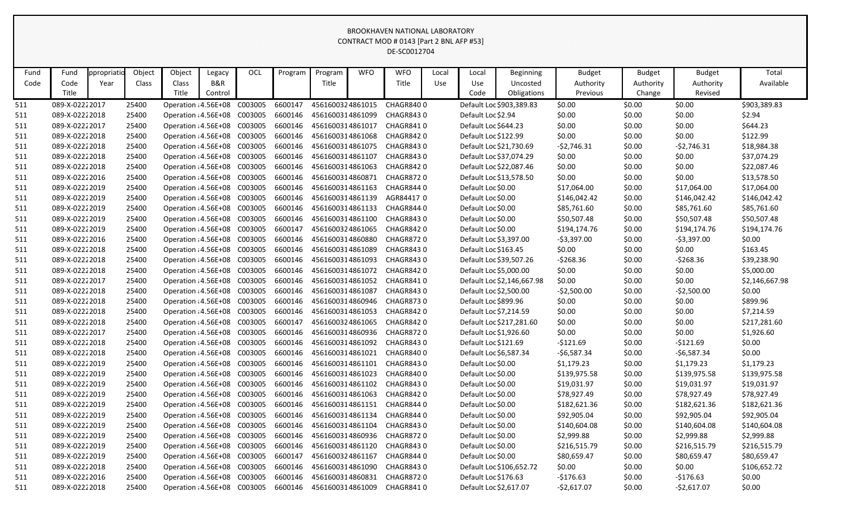|      |                |            |        |                              |                |         |         |                  |            | CONTRACT MOD # 0143 [Part 2 BNL AFP #53]<br>DE-SC0012704 |       |                         |                            |                       |                     |                      |                |
|------|----------------|------------|--------|------------------------------|----------------|---------|---------|------------------|------------|----------------------------------------------------------|-------|-------------------------|----------------------------|-----------------------|---------------------|----------------------|----------------|
| Fund | Fund           | ppropriati | Object | Object                       | Legacy         | OCL     | Program | Program          | <b>WFO</b> | <b>WFO</b>                                               | Local | Local                   | <b>Beginning</b>           | <b>Budget</b>         | <b>Budget</b>       | <b>Budget</b>        | Total          |
| Code | Code<br>Title  | Year       | Class  | Class<br>Title               | B&R<br>Control |         |         | Title            |            | Title                                                    | Use   | Use<br>Code             | Uncosted<br>Obligations    | Authority<br>Previous | Authority<br>Change | Authority<br>Revised | Available      |
| 511  | 089-X-02222017 |            | 25400  | Operation : 4.56E+08 C003005 |                |         | 6600147 | 4561600324861015 |            | <b>CHAGR8400</b>                                         |       |                         | Default Loc \$903,389.83   | \$0.00                | \$0.00              | \$0.00               | \$903,389.83   |
| 511  | 089-X-02222018 |            | 25400  | Operation : 4.56E+08 C003005 |                |         | 6600146 | 4561600314861099 |            | CHAGR8430                                                |       | Default Loc \$2.94      |                            | \$0.00                | \$0.00              | \$0.00               | \$2.94         |
| 511  | 089-X-02222017 |            | 25400  | Operation : 4.56E+08 C003005 |                |         | 6600146 | 4561600314861017 |            | CHAGR8410                                                |       | Default Loc \$644.23    |                            | \$0.00                | \$0.00              | \$0.00               | \$644.23       |
| 511  | 089-X-02222018 |            | 25400  | Operation : 4.56E+08         |                | C003005 | 6600146 | 4561600314861068 |            | CHAGR8420                                                |       | Default Loc \$122.99    |                            | \$0.00                | \$0.00              | \$0.00               | \$122.99       |
| 511  | 089-X-02222018 |            | 25400  | Operation : 4.56E+08         |                | C003005 | 6600146 | 4561600314861075 |            | CHAGR8430                                                |       | Default Loc \$21,730.69 |                            | $-52,746.31$          | \$0.00              | $-52,746.31$         | \$18,984.38    |
| 511  | 089-X-02222018 |            | 25400  | Operation : 4.56E+08         |                | C003005 | 6600146 | 4561600314861107 |            | CHAGR8430                                                |       | Default Loc \$37,074.29 |                            | \$0.00                | \$0.00              | \$0.00               | \$37,074.29    |
| 511  | 089-X-02222018 |            | 25400  | Operation : 4.56E+08 C003005 |                |         | 6600146 | 4561600314861063 |            | CHAGR8420                                                |       |                         | Default Loc \$22,087.46    | \$0.00                | \$0.00              | \$0.00               | \$22,087.46    |
| 511  | 089-X-02222016 |            | 25400  | Operation : 4.56E+08         |                | C003005 | 6600146 | 4561600314860871 |            | <b>CHAGR8720</b>                                         |       |                         | Default Loc \$13,578.50    | \$0.00                | \$0.00              | \$0.00               | \$13,578.50    |
| 511  | 089-X-02222019 |            | 25400  | Operation : 4.56E+08         |                | C003005 | 6600146 | 4561600314861163 |            | CHAGR8440                                                |       | Default Loc \$0.00      |                            | \$17,064.00           | \$0.00              | \$17,064.00          | \$17,064.00    |
| 511  | 089-X-02222019 |            | 25400  | Operation : 4.56E+08         |                | C003005 | 6600146 | 4561600314861139 |            | AGR844170                                                |       | Default Loc \$0.00      |                            | \$146,042.42          | \$0.00              | \$146,042.42         | \$146,042.42   |
| 511  | 089-X-02222019 |            | 25400  | Operation : 4.56E+08         |                | C003005 | 6600146 | 4561600314861133 |            | CHAGR8440                                                |       | Default Loc \$0.00      |                            | \$85,761.60           | \$0.00              | \$85,761.60          | \$85,761.60    |
| 511  | 089-X-02222019 |            | 25400  | Operation : 4.56E+08 C003005 |                |         | 6600146 | 4561600314861100 |            | CHAGR8430                                                |       | Default Loc \$0.00      |                            | \$50,507.48           | \$0.00              | \$50,507.48          | \$50,507.48    |
| 511  | 089-X-02222019 |            | 25400  | Operation : 4.56E+08         |                | C003005 | 6600147 | 4561600324861065 |            | CHAGR8420                                                |       | Default Loc \$0.00      |                            | \$194,174.76          | \$0.00              | \$194,174.76         | \$194,174.76   |
| 511  | 089-X-02222016 |            | 25400  | Operation : 4.56E+08         |                | C003005 | 6600146 | 4561600314860880 |            | <b>CHAGR8720</b>                                         |       | Default Loc \$3,397.00  |                            | $-53,397.00$          | \$0.00              | $-53,397.00$         | \$0.00         |
| 511  | 089-X-02222018 |            | 25400  | Operation : 4.56E+08         |                | C003005 | 6600146 | 4561600314861089 |            | CHAGR8430                                                |       | Default Loc \$163.45    |                            | \$0.00                | \$0.00              | \$0.00               | \$163.45       |
| 511  | 089-X-02222018 |            | 25400  | Operation : 4.56E+08         |                | C003005 | 6600146 | 4561600314861093 |            | CHAGR8430                                                |       |                         | Default Loc \$39,507.26    | $-5268.36$            | \$0.00              | $-5268.36$           | \$39,238.90    |
| 511  | 089-X-02222018 |            | 25400  | Operation : 4.56E+08 C003005 |                |         | 6600146 | 4561600314861072 |            | CHAGR8420                                                |       | Default Loc \$5,000.00  |                            | \$0.00                | \$0.00              | \$0.00               | \$5,000.00     |
| 511  | 089-X-02222017 |            | 25400  | Operation : 4.56E+08         |                | C003005 | 6600146 | 4561600314861052 |            | CHAGR8410                                                |       |                         | Default Loc \$2,146,667.98 | \$0.00                | \$0.00              | \$0.00               | \$2,146,667.98 |
| 511  | 089-X-02222018 |            | 25400  | Operation : 4.56E+08 C003005 |                |         | 6600146 | 4561600314861087 |            | CHAGR8430                                                |       | Default Loc \$2,500.00  |                            | $-52,500.00$          | \$0.00              | $-$ \$2,500.00       | \$0.00         |
| 511  | 089-X-02222018 |            | 25400  | Operation : 4.56E+08         |                | C003005 | 6600146 | 4561600314860946 |            | <b>CHAGR8730</b>                                         |       | Default Loc \$899.96    |                            | \$0.00                | \$0.00              | \$0.00               | \$899.96       |
| 511  | 089-X-02222018 |            | 25400  | Operation : 4.56E+08         |                | C003005 | 6600146 | 4561600314861053 |            | CHAGR8420                                                |       | Default Loc \$7,214.59  |                            | \$0.00                | \$0.00              | \$0.00               | \$7,214.59     |
| 511  | 089-X-02222018 |            | 25400  | Operation : 4.56E+08         |                | C003005 | 6600147 | 4561600324861065 |            | CHAGR8420                                                |       |                         | Default Loc \$217,281.60   | \$0.00                | \$0.00              | \$0.00               | \$217,281.60   |
| 511  | 089-X-02222017 |            | 25400  | Operation : 4.56E+08         |                | C003005 | 6600146 | 4561600314860936 |            | <b>CHAGR8720</b>                                         |       | Default Loc \$1,926.60  |                            | \$0.00                | \$0.00              | \$0.00               | \$1,926.60     |
| 511  | 089-X-02222018 |            | 25400  | Operation : 4.56E+08         |                | C003005 | 6600146 | 4561600314861092 |            | <b>CHAGR8430</b>                                         |       | Default Loc \$121.69    |                            | $-$121.69$            | \$0.00              | $-$121.69$           | \$0.00         |
| 511  | 089-X-02222018 |            | 25400  | Operation : 4.56E+08         |                | C003005 | 6600146 | 4561600314861021 |            | CHAGR8400                                                |       | Default Loc \$6,587.34  |                            | $-56,587.34$          | \$0.00              | -\$6,587.34          | \$0.00         |
| 511  | 089-X-02222019 |            | 25400  | Operation : 4.56E+08 C003005 |                |         | 6600146 | 4561600314861101 |            | CHAGR8430                                                |       | Default Loc \$0.00      |                            | \$1,179.23            | \$0.00              | \$1,179.23           | \$1,179.23     |
| 511  | 089-X-02222019 |            | 25400  | Operation : 4.56E+08 C003005 |                |         | 6600146 | 4561600314861023 |            | CHAGR8400                                                |       | Default Loc \$0.00      |                            | \$139,975.58          | \$0.00              | \$139,975.58         | \$139,975.58   |
| 511  | 089-X-02222019 |            | 25400  | Operation : 4.56E+08 C003005 |                |         | 6600146 | 4561600314861102 |            | CHAGR8430                                                |       | Default Loc \$0.00      |                            | \$19,031.97           | \$0.00              | \$19,031.97          | \$19,031.97    |
| 511  | 089-X-02222019 |            | 25400  | Operation : 4.56E+08 C003005 |                |         | 6600146 | 4561600314861063 |            | CHAGR8420                                                |       | Default Loc \$0.00      |                            | \$78,927.49           | \$0.00              | \$78,927.49          | \$78,927.49    |
| 511  | 089-X-02222019 |            | 25400  | Operation : 4.56E+08 C003005 |                |         | 6600146 | 4561600314861151 |            | CHAGR8440                                                |       | Default Loc \$0.00      |                            | \$182,621.36          | \$0.00              | \$182,621.36         | \$182,621.36   |
| 511  | 089-X-02222019 |            | 25400  | Operation : 4.56E+08 C003005 |                |         | 6600146 | 4561600314861134 |            | CHAGR8440                                                |       | Default Loc \$0.00      |                            | \$92,905.04           | \$0.00              | \$92,905.04          | \$92,905.04    |
| 511  | 089-X-02222019 |            | 25400  | Operation : 4.56E+08 C003005 |                |         | 6600146 | 4561600314861104 |            | CHAGR8430                                                |       | Default Loc \$0.00      |                            | \$140,604.08          | \$0.00              | \$140,604.08         | \$140,604.08   |
| 511  | 089-X-02222019 |            | 25400  | Operation : 4.56E+08         |                | C003005 | 6600146 | 4561600314860936 |            | CHAGR8720                                                |       | Default Loc \$0.00      |                            | \$2,999.88            | \$0.00              | \$2,999.88           | \$2,999.88     |
| 511  | 089-X-02222019 |            | 25400  | Operation : 4.56E+08 C003005 |                |         | 6600146 | 4561600314861120 |            | CHAGR8430                                                |       | Default Loc \$0.00      |                            | \$216,515.79          | \$0.00              | \$216,515.79         | \$216,515.79   |
| 511  | 089-X-02222019 |            | 25400  | Operation : 4.56E+08 C003005 |                |         | 6600147 | 4561600324861167 |            | CHAGR8440                                                |       | Default Loc \$0.00      |                            | \$80,659.47           | \$0.00              | \$80,659.47          | \$80,659.47    |
| 511  | 089-X-02222018 |            | 25400  | Operation : 4.56E+08 C003005 |                |         | 6600146 | 4561600314861090 |            | CHAGR8430                                                |       |                         | Default Loc \$106,652.72   | \$0.00                | \$0.00              | \$0.00               | \$106,652.72   |
| 511  | 089-X-02222016 |            | 25400  | Operation : 4.56E+08 C003005 |                |         | 6600146 | 4561600314860831 |            | CHAGR8720                                                |       | Default Loc \$176.63    |                            | $-$176.63$            | \$0.00              | $-$176.63$           | \$0.00         |
| 511  | 089-X-02222018 |            | 25400  | Operation : 4.56E+08 C003005 |                |         | 6600146 | 4561600314861009 |            | CHAGR8410                                                |       | Default Loc \$2,617.07  |                            | $-52,617.07$          | \$0.00              | $-52,617.07$         | \$0.00         |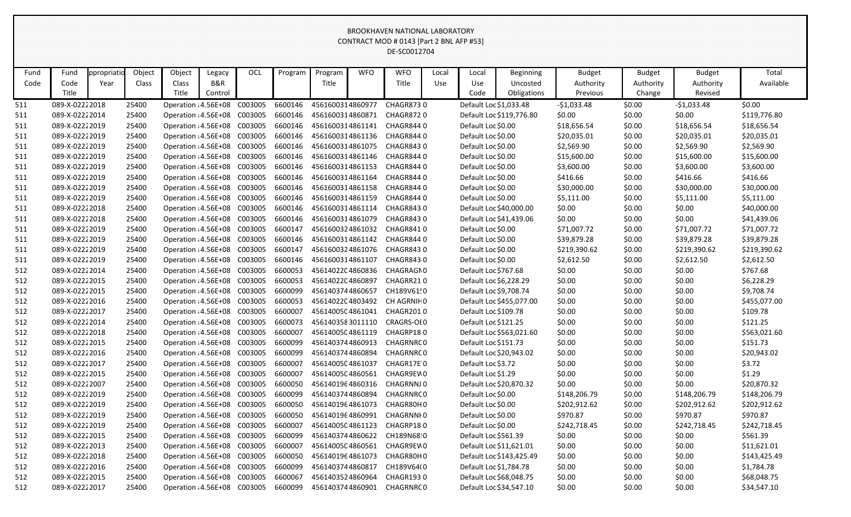|              |                       |                    |                 |                              |                          |         |         |                  |            | CONTRACT MOD # 0143 [Part 2 BNL AFP #53]<br>DE-SC0012704 |              |                        |                                             |                                        |                                      |                                       |                    |
|--------------|-----------------------|--------------------|-----------------|------------------------------|--------------------------|---------|---------|------------------|------------|----------------------------------------------------------|--------------|------------------------|---------------------------------------------|----------------------------------------|--------------------------------------|---------------------------------------|--------------------|
| Fund<br>Code | Fund<br>Code<br>Title | ppropriati<br>Year | Object<br>Class | Object<br>Class<br>Title     | Legacy<br>B&R<br>Control | OCL     | Program | Program<br>Title | <b>WFO</b> | <b>WFO</b><br>Title                                      | Local<br>Use | Local<br>Use<br>Code   | <b>Beginning</b><br>Uncosted<br>Obligations | <b>Budget</b><br>Authority<br>Previous | <b>Budget</b><br>Authority<br>Change | <b>Budget</b><br>Authority<br>Revised | Total<br>Available |
| 511          | 089-X-02222018        |                    | 25400           | Operation : 4.56E+08         |                          | C003005 | 6600146 | 4561600314860977 |            | <b>CHAGR8730</b>                                         |              | Default Loc \$1,033.48 |                                             | $-$1,033.48$                           | \$0.00                               | $-$1,033.48$                          | \$0.00             |
| 511          | 089-X-02222014        |                    | 25400           | Operation : 4.56E+08         |                          | C003005 | 6600146 | 4561600314860871 |            | <b>CHAGR8720</b>                                         |              |                        | Default Loc \$119,776.80                    | \$0.00                                 | \$0.00                               | \$0.00                                | \$119,776.80       |
| 511          | 089-X-02222019        |                    | 25400           | Operation : 4.56E+08         |                          | C003005 | 6600146 | 4561600314861141 |            | CHAGR8440                                                |              | Default Loc \$0.00     |                                             | \$18,656.54                            | \$0.00                               | \$18,656.54                           | \$18,656.54        |
| 511          | 089-X-02222019        |                    | 25400           | Operation : 4.56E+08         |                          | C003005 | 6600146 | 4561600314861136 |            | CHAGR8440                                                |              | Default Loc \$0.00     |                                             | \$20,035.01                            | \$0.00                               | \$20,035.01                           | \$20,035.01        |
| 511          | 089-X-02222019        |                    | 25400           | Operation : 4.56E+08         |                          | C003005 | 6600146 | 4561600314861075 |            | CHAGR8430                                                |              | Default Loc \$0.00     |                                             | \$2,569.90                             | \$0.00                               | \$2,569.90                            | \$2,569.90         |
| 511          | 089-X-02222019        |                    | 25400           | Operation : 4.56E+08         |                          | C003005 | 6600146 | 4561600314861146 |            | CHAGR8440                                                |              | Default Loc \$0.00     |                                             | \$15,600.00                            | \$0.00                               | \$15,600.00                           | \$15,600.00        |
| 511          | 089-X-02222019        |                    | 25400           | Operation : 4.56E+08         |                          | C003005 | 6600146 | 4561600314861153 |            | CHAGR8440                                                |              | Default Loc \$0.00     |                                             | \$3,600.00                             | \$0.00                               | \$3,600.00                            | \$3,600.00         |
| 511          | 089-X-02222019        |                    | 25400           | Operation : 4.56E+08         |                          | C003005 | 6600146 | 4561600314861164 |            | CHAGR8440                                                |              | Default Loc \$0.00     |                                             | \$416.66                               | \$0.00                               | \$416.66                              | \$416.66           |
| 511          | 089-X-02222019        |                    | 25400           | Operation : 4.56E+08         |                          | C003005 | 6600146 | 4561600314861158 |            | CHAGR8440                                                |              | Default Loc \$0.00     |                                             | \$30,000.00                            | \$0.00                               | \$30,000.00                           | \$30,000.00        |
| 511          | 089-X-02222019        |                    | 25400           | Operation : 4.56E+08         |                          | C003005 | 6600146 | 4561600314861159 |            | CHAGR8440                                                |              | Default Loc \$0.00     |                                             | \$5,111.00                             | \$0.00                               | \$5,111.00                            | \$5,111.00         |
| 511          | 089-X-02222018        |                    | 25400           | Operation : 4.56E+08         |                          | C003005 | 6600146 | 4561600314861114 |            | CHAGR8430                                                |              |                        | Default Loc \$40,000.00                     | \$0.00                                 | \$0.00                               | \$0.00                                | \$40,000.00        |
| 511          | 089-X-02222018        |                    | 25400           | Operation : 4.56E+08         |                          | C003005 | 6600146 | 4561600314861079 |            | CHAGR8430                                                |              |                        | Default Loc \$41,439.06                     | \$0.00                                 | \$0.00                               | \$0.00                                | \$41,439.06        |
| 511          | 089-X-02222019        |                    | 25400           | Operation : 4.56E+08         |                          | C003005 | 6600147 | 4561600324861032 |            | CHAGR8410                                                |              | Default Loc \$0.00     |                                             | \$71,007.72                            | \$0.00                               | \$71,007.72                           | \$71,007.72        |
| 511          | 089-X-02222019        |                    | 25400           | Operation : 4.56E+08         |                          | C003005 | 6600146 | 4561600314861142 |            | CHAGR8440                                                |              | Default Loc \$0.00     |                                             | \$39,879.28                            | \$0.00                               | \$39,879.28                           | \$39,879.28        |
| 511          | 089-X-02222019        |                    | 25400           | Operation : 4.56E+08         |                          | C003005 | 6600147 | 4561600324861076 |            | CHAGR8430                                                |              | Default Loc \$0.00     |                                             | \$219,390.62                           | \$0.00                               | \$219,390.62                          | \$219,390.62       |
| 511          | 089-X-02222019        |                    | 25400           | Operation : 4.56E+08         |                          | C003005 | 6600146 | 4561600314861107 |            | CHAGR8430                                                |              | Default Loc \$0.00     |                                             | \$2,612.50                             | \$0.00                               | \$2,612.50                            | \$2,612.50         |
| 512          | 089-X-02222014        |                    | 25400           | Operation : 4.56E+08         |                          | C003005 | 6600053 | 4561402204860836 |            | CHAGRAGN0                                                |              | Default Loc \$767.68   |                                             | \$0.00                                 | \$0.00                               | \$0.00                                | \$767.68           |
| 512          | 089-X-02222015        |                    | 25400           | Operation : 4.56E+08         |                          | C003005 | 6600053 | 4561402204860897 |            | CHAGRR210                                                |              | Default Loc \$6,228.29 |                                             | \$0.00                                 | \$0.00                               | \$0.00                                | \$6,228.29         |
| 512          | 089-X-02222015        |                    | 25400           | Operation : 4.56E+08         |                          | C003005 | 6600099 | 4561403744860657 |            | CH189V61!0                                               |              | Default Loc \$9,708.74 |                                             | \$0.00                                 | \$0.00                               | \$0.00                                | \$9,708.74         |
| 512          | 089-X-02222016        |                    | 25400           | Operation : 4.56E+08         |                          | C003005 | 6600053 | 4561402204803492 |            | CH AGRNIHO                                               |              |                        | Default Loc \$455,077.00                    | \$0.00                                 | \$0.00                               | \$0.00                                | \$455,077.00       |
| 512          | 089-X-02222017        |                    | 25400           | Operation : 4.56E+08         |                          | C003005 | 6600007 | 4561400504861041 |            | CHAGR2010                                                |              | Default Loc \$109.78   |                                             | \$0.00                                 | \$0.00                               | \$0.00                                | \$109.78           |
| 512          | 089-X-02222014        |                    | 25400           | Operation : 4.56E+08         |                          | C003005 | 6600073 | 4561403583011110 |            | CRAGRS-OI0                                               |              | Default Loc \$121.25   |                                             | \$0.00                                 | \$0.00                               | \$0.00                                | \$121.25           |
| 512          | 089-X-02222018        |                    | 25400           | Operation : 4.56E+08         |                          | C003005 | 6600007 | 4561400504861119 |            | CHAGRP180                                                |              |                        | Default Loc \$563,021.60                    | \$0.00                                 | \$0.00                               | \$0.00                                | \$563,021.60       |
| 512          | 089-X-02222015        |                    | 25400           | Operation : 4.56E+08         |                          | C003005 | 6600099 | 4561403744860913 |            | CHAGRNRC 0                                               |              | Default Loc \$151.73   |                                             | \$0.00                                 | \$0.00                               | \$0.00                                | \$151.73           |
| 512          | 089-X-02222016        |                    | 25400           | Operation : 4.56E+08 C003005 |                          |         | 6600099 | 4561403744860894 |            | CHAGRNRC 0                                               |              |                        | Default Loc \$20,943.02                     | \$0.00                                 | \$0.00                               | \$0.00                                | \$20,943.02        |
| 512          | 089-X-02222017        |                    | 25400           | Operation : 4.56E+08 C003005 |                          |         | 6600007 | 4561400504861037 |            | CHAGR17E 0                                               |              | Default Loc \$3.72     |                                             | \$0.00                                 | \$0.00                               | \$0.00                                | \$3.72             |
| 512          | 089-X-02222015        |                    | 25400           | Operation : 4.56E+08         |                          | C003005 | 6600007 | 4561400504860561 |            | CHAGR9EW0                                                |              | Default Loc \$1.29     |                                             | \$0.00                                 | \$0.00                               | \$0.00                                | \$1.29             |
| 512          | 089-X-02222007        |                    | 25400           | Operation : 4.56E+08 C003005 |                          |         | 6600050 | 4561401964860316 |            | CHAGRNNJ 0                                               |              |                        | Default Loc \$20,870.32                     | \$0.00                                 | \$0.00                               | \$0.00                                | \$20,870.32        |
| 512          | 089-X-02222019        |                    | 25400           | Operation : 4.56E+08 C003005 |                          |         | 6600099 | 4561403744860894 |            | CHAGRNRC 0                                               |              | Default Loc \$0.00     |                                             | \$148,206.79                           | \$0.00                               | \$148,206.79                          | \$148,206.79       |
| 512          | 089-X-02222019        |                    | 25400           | Operation : 4.56E+08 C003005 |                          |         | 6600050 | 4561401964861073 |            | CHAGR80H0                                                |              | Default Loc \$0.00     |                                             | \$202,912.62                           | \$0.00                               | \$202,912.62                          | \$202,912.62       |
| 512          | 089-X-02222019        |                    | 25400           | Operation : 4.56E+08 C003005 |                          |         | 6600050 | 4561401964860991 |            | CHAGRNNI 0                                               |              | Default Loc \$0.00     |                                             | \$970.87                               | \$0.00                               | \$970.87                              | \$970.87           |
| 512          | 089-X-02222019        |                    | 25400           | Operation : 4.56E+08 C003005 |                          |         | 6600007 | 4561400504861123 |            | CHAGRP180                                                |              | Default Loc \$0.00     |                                             | \$242,718.45                           | \$0.00                               | \$242,718.45                          | \$242,718.45       |
| 512          | 089-X-02222015        |                    | 25400           | Operation : 4.56E+08 C003005 |                          |         | 6600099 | 4561403744860622 |            | CH189N68 0                                               |              | Default Loc \$561.39   |                                             | \$0.00                                 | \$0.00                               | \$0.00                                | \$561.39           |
| 512          | 089-X-02222013        |                    | 25400           | Operation : 4.56E+08 C003005 |                          |         | 6600007 | 4561400504860561 |            | CHAGR9EW0                                                |              |                        | Default Loc \$11,621.01                     | \$0.00                                 | \$0.00                               | \$0.00                                | \$11,621.01        |
| 512          | 089-X-02222018        |                    | 25400           | Operation : 4.56E+08 C003005 |                          |         | 6600050 | 4561401964861073 |            | CHAGR80H0                                                |              |                        | Default Loc \$143,425.49                    | \$0.00                                 | \$0.00                               | \$0.00                                | \$143,425.49       |
| 512          | 089-X-02222016        |                    | 25400           | Operation : 4.56E+08 C003005 |                          |         | 6600099 | 4561403744860817 |            | CH189V64(0                                               |              | Default Loc \$1,784.78 |                                             | \$0.00                                 | \$0.00                               | \$0.00                                | \$1,784.78         |
| 512          | 089-X-02222015        |                    | 25400           | Operation : 4.56E+08 C003005 |                          |         | 6600067 | 4561403524860964 |            | CHAGR1930                                                |              |                        | Default Loc \$68,048.75                     | \$0.00                                 | \$0.00                               | \$0.00                                | \$68,048.75        |
| 512          | 089-X-02222017        |                    | 25400           | Operation : 4.56E+08 C003005 |                          |         | 6600099 | 4561403744860901 |            | CHAGRNRC 0                                               |              |                        | Default Loc \$34,547.10                     | \$0.00                                 | \$0.00                               | \$0.00                                | \$34,547.10        |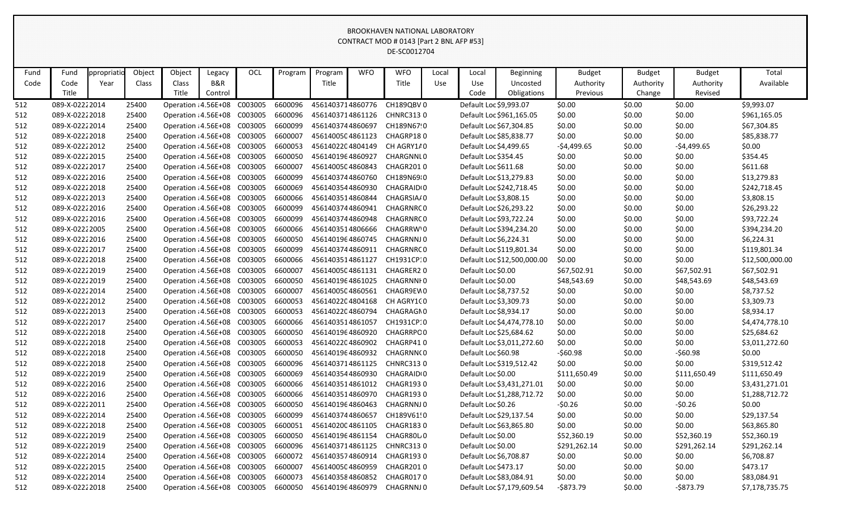|              |                       |                    |                 |                              |                                     |            |         |                  |            | CONTRACT MOD # 0143 [Part 2 BNL AFP #53]<br>DE-SC0012704 |              |                        |                                      |                                        |                                      |                                       |                    |
|--------------|-----------------------|--------------------|-----------------|------------------------------|-------------------------------------|------------|---------|------------------|------------|----------------------------------------------------------|--------------|------------------------|--------------------------------------|----------------------------------------|--------------------------------------|---------------------------------------|--------------------|
| Fund<br>Code | Fund<br>Code<br>Title | ppropriati<br>Year | Object<br>Class | Object<br>Class<br>Title     | Legacy<br><b>B&amp;R</b><br>Control | <b>OCL</b> | Program | Program<br>Title | <b>WFO</b> | <b>WFO</b><br>Title                                      | Local<br>Use | Local<br>Use<br>Code   | Beginning<br>Uncosted<br>Obligations | <b>Budget</b><br>Authority<br>Previous | <b>Budget</b><br>Authority<br>Change | <b>Budget</b><br>Authority<br>Revised | Total<br>Available |
| 512          | 089-X-02222014        |                    | 25400           | Operation : 4.56E+08         |                                     | C003005    | 6600096 | 4561403714860776 |            | CH189QBV0                                                |              | Default Loc \$9,993.07 |                                      | \$0.00                                 | \$0.00                               | \$0.00                                | \$9,993.07         |
| 512          | 089-X-02222018        |                    | 25400           | Operation : 4.56E+08         |                                     | C003005    | 6600096 | 4561403714861126 |            | <b>CHNRC3130</b>                                         |              |                        | Default Loc \$961,165.05             | \$0.00                                 | \$0.00                               | \$0.00                                | \$961,165.05       |
| 512          | 089-X-02222014        |                    | 25400           | Operation : 4.56E+08         |                                     | C003005    | 6600099 | 4561403744860697 |            | CH189N67!0                                               |              |                        | Default Loc \$67,304.85              | \$0.00                                 | \$0.00                               | \$0.00                                | \$67,304.85        |
| 512          | 089-X-02222018        |                    | 25400           | Operation : 4.56E+08         |                                     | C003005    | 6600007 | 4561400504861123 |            | CHAGRP180                                                |              |                        | Default Loc \$85,838.77              | \$0.00                                 | \$0.00                               | \$0.00                                | \$85,838.77        |
| 512          | 089-X-02222012        |                    | 25400           | Operation : 4.56E+08         |                                     | C003005    | 6600053 | 4561402204804149 |            | CH AGRY1/0                                               |              | Default Loc \$4,499.65 |                                      | $-54,499.65$                           | \$0.00                               | $-54,499.65$                          | \$0.00             |
| 512          | 089-X-02222015        |                    | 25400           | Operation : 4.56E+08         |                                     | C003005    | 6600050 | 4561401964860927 |            | CHARGNNLO                                                |              | Default Loc \$354.45   |                                      | \$0.00                                 | \$0.00                               | \$0.00                                | \$354.45           |
| 512          | 089-X-02222017        |                    | 25400           | Operation : 4.56E+08         |                                     | C003005    | 6600007 | 4561400504860843 |            | CHAGR2010                                                |              | Default Loc \$611.68   |                                      | \$0.00                                 | \$0.00                               | \$0.00                                | \$611.68           |
| 512          | 089-X-02222016        |                    | 25400           | Operation : 4.56E+08         |                                     | C003005    | 6600099 | 4561403744860760 |            | CH189N6910                                               |              |                        | Default Loc \$13,279.83              | \$0.00                                 | \$0.00                               | \$0.00                                | \$13,279.83        |
| 512          | 089-X-02222018        |                    | 25400           | Operation : 4.56E+08         |                                     | C003005    | 6600069 | 4561403544860930 |            | CHAGRAID <sub>10</sub>                                   |              |                        | Default Loc \$242,718.45             | \$0.00                                 | \$0.00                               | \$0.00                                | \$242,718.45       |
| 512          | 089-X-02222013        |                    | 25400           | Operation : 4.56E+08         |                                     | C003005    | 6600066 | 4561403514860844 |            | CHAGRSIA/0                                               |              | Default Loc \$3,808.15 |                                      | \$0.00                                 | \$0.00                               | \$0.00                                | \$3,808.15         |
| 512          | 089-X-02222016        |                    | 25400           | Operation : 4.56E+08         |                                     | C003005    | 6600099 | 4561403744860941 |            | CHAGRNRC 0                                               |              |                        | Default Loc \$26,293.22              | \$0.00                                 | \$0.00                               | \$0.00                                | \$26,293.22        |
| 512          | 089-X-02222016        |                    | 25400           | Operation : 4.56E+08         |                                     | C003005    | 6600099 | 4561403744860948 |            | CHAGRNRC 0                                               |              |                        | Default Loc \$93,722.24              | \$0.00                                 | \$0.00                               | \$0.00                                | \$93,722.24        |
| 512          | 089-X-02222005        |                    | 25400           | Operation : 4.56E+08         |                                     | C003005    | 6600066 | 4561403514806666 |            | CHAGRRW'O                                                |              |                        | Default Loc \$394,234.20             | \$0.00                                 | \$0.00                               | \$0.00                                | \$394,234.20       |
| 512          | 089-X-02222016        |                    | 25400           | Operation : 4.56E+08         |                                     | C003005    | 6600050 | 4561401964860745 |            | CHAGRNNJ0                                                |              | Default Loc \$6,224.31 |                                      | \$0.00                                 | \$0.00                               | \$0.00                                | \$6,224.31         |
| 512          | 089-X-02222017        |                    | 25400           | Operation : 4.56E+08         |                                     | C003005    | 6600099 | 4561403744860911 |            | CHAGRNRC 0                                               |              |                        | Default Loc \$119,801.34             | \$0.00                                 | \$0.00                               | \$0.00                                | \$119,801.34       |
| 512          | 089-X-02222018        |                    | 25400           | Operation : 4.56E+08         |                                     | C003005    | 6600066 | 4561403514861127 |            | CH1931CP:0                                               |              |                        | Default Loc \$12,500,000.00          | \$0.00                                 | \$0.00                               | \$0.00                                | \$12,500,000.00    |
| 512          | 089-X-02222019        |                    | 25400           | Operation : 4.56E+08         |                                     | C003005    | 6600007 | 4561400504861131 |            | CHAGRER20                                                |              | Default Loc \$0.00     |                                      | \$67,502.91                            | \$0.00                               | \$67,502.91                           | \$67,502.91        |
| 512          | 089-X-02222019        |                    | 25400           | Operation : 4.56E+08         |                                     | C003005    | 6600050 | 4561401964861025 |            | <b>CHAGRNNIO</b>                                         |              | Default Loc \$0.00     |                                      | \$48,543.69                            | \$0.00                               | \$48,543.69                           | \$48,543.69        |
| 512          | 089-X-02222014        |                    | 25400           | Operation : 4.56E+08         |                                     | C003005    | 6600007 | 4561400504860561 |            | CHAGR9EW0                                                |              | Default Loc \$8,737.52 |                                      | \$0.00                                 | \$0.00                               | \$0.00                                | \$8,737.52         |
| 512          | 089-X-02222012        |                    | 25400           | Operation : 4.56E+08         |                                     | C003005    | 6600053 | 4561402204804168 |            | CH AGRY100                                               |              | Default Loc \$3,309.73 |                                      | \$0.00                                 | \$0.00                               | \$0.00                                | \$3,309.73         |
| 512          | 089-X-02222013        |                    | 25400           | Operation : 4.56E+08         |                                     | C003005    | 6600053 | 4561402204860794 |            | CHAGRAGN0                                                |              | Default Loc \$8,934.17 |                                      | \$0.00                                 | \$0.00                               | \$0.00                                | \$8,934.17         |
| 512          | 089-X-02222017        |                    | 25400           | Operation : 4.56E+08         |                                     | C003005    | 6600066 | 4561403514861057 |            | CH1931CP10                                               |              |                        | Default Loc \$4,474,778.10           | \$0.00                                 | \$0.00                               | \$0.00                                | \$4,474,778.10     |
| 512          | 089-X-02222018        |                    | 25400           | Operation : 4.56E+08         |                                     | C003005    | 6600050 | 4561401964860920 |            | <b>CHAGRRPO0</b>                                         |              |                        | Default Loc \$25,684.62              | \$0.00                                 | \$0.00                               | \$0.00                                | \$25,684.62        |
| 512          | 089-X-02222018        |                    | 25400           | Operation : 4.56E+08         |                                     | C003005    | 6600053 | 4561402204860902 |            | CHAGRP410                                                |              |                        | Default Loc \$3,011,272.60           | \$0.00                                 | \$0.00                               | \$0.00                                | \$3,011,272.60     |
| 512          | 089-X-02222018        |                    | 25400           | Operation : 4.56E+08 C003005 |                                     |            | 6600050 | 4561401964860932 |            | CHAGRNN(0                                                |              | Default Loc \$60.98    |                                      | $-560.98$                              | \$0.00                               | $-560.98$                             | \$0.00             |
| 512          | 089-X-02222018        |                    | 25400           | Operation : 4.56E+08         |                                     | C003005    | 6600096 | 4561403714861125 |            | <b>CHNRC3130</b>                                         |              |                        | Default Loc \$319,512.42             | \$0.00                                 | \$0.00                               | \$0.00                                | \$319,512.42       |
| 512          | 089-X-02222019        |                    | 25400           | Operation : 4.56E+08         |                                     | C003005    | 6600069 | 4561403544860930 |            | CHAGRAID <sub>10</sub>                                   |              | Default Loc \$0.00     |                                      | \$111,650.49                           | \$0.00                               | \$111,650.49                          | \$111,650.49       |
| 512          | 089-X-02222016        |                    | 25400           | Operation : 4.56E+08 C003005 |                                     |            | 6600066 | 4561403514861012 |            | CHAGR1930                                                |              |                        | Default Loc \$3,431,271.01           | \$0.00                                 | \$0.00                               | \$0.00                                | \$3,431,271.01     |
| 512          | 089-X-02222016        |                    | 25400           | Operation : 4.56E+08 C003005 |                                     |            | 6600066 | 4561403514860970 |            | CHAGR1930                                                |              |                        | Default Loc \$1,288,712.72           | \$0.00                                 | \$0.00                               | \$0.00                                | \$1,288,712.72     |
| 512          | 089-X-02222011        |                    | 25400           | Operation : 4.56E+08 C003005 |                                     |            | 6600050 | 4561401964860463 |            | CHAGRNNJ 0                                               |              | Default Loc \$0.26     |                                      | $-50.26$                               | \$0.00                               | $-50.26$                              | \$0.00             |
| 512          | 089-X-02222014        |                    | 25400           | Operation : 4.56E+08 C003005 |                                     |            | 6600099 | 4561403744860657 |            | CH189V61!0                                               |              |                        | Default Loc \$29,137.54              | \$0.00                                 | \$0.00                               | \$0.00                                | \$29,137.54        |
| 512          | 089-X-02222018        |                    | 25400           | Operation : 4.56E+08 C003005 |                                     |            | 6600051 | 4561402004861105 |            | CHAGR1830                                                |              |                        | Default Loc \$63,865.80              | \$0.00                                 | \$0.00                               | \$0.00                                | \$63,865.80        |
| 512          | 089-X-02222019        |                    | 25400           | Operation : 4.56E+08 C003005 |                                     |            | 6600050 | 4561401964861154 |            | CHAGR80L0                                                |              | Default Loc \$0.00     |                                      | \$52,360.19                            | \$0.00                               | \$52,360.19                           | \$52,360.19        |
| 512          | 089-X-02222019        |                    | 25400           | Operation : 4.56E+08         |                                     | C003005    | 6600096 | 4561403714861125 |            | <b>CHNRC3130</b>                                         |              | Default Loc \$0.00     |                                      | \$291,262.14                           | \$0.00                               | \$291,262.14                          | \$291,262.14       |
| 512          | 089-X-02222014        |                    | 25400           | Operation : 4.56E+08 C003005 |                                     |            | 6600072 | 4561403574860914 |            | CHAGR1930                                                |              | Default Loc \$6,708.87 |                                      | \$0.00                                 | \$0.00                               | \$0.00                                | \$6,708.87         |
| 512          | 089-X-02222015        |                    | 25400           | Operation : 4.56E+08 C003005 |                                     |            | 6600007 | 4561400504860959 |            | CHAGR2010                                                |              | Default Loc \$473.17   |                                      | \$0.00                                 | \$0.00                               | \$0.00                                | \$473.17           |
| 512          | 089-X-02222014        |                    | 25400           | Operation : 4.56E+08 C003005 |                                     |            | 6600073 | 4561403584860852 |            | CHAGR0170                                                |              |                        | Default Loc \$83,084.91              | \$0.00                                 | \$0.00                               | \$0.00                                | \$83,084.91        |
| 512          | 089-X-02222018        |                    | 25400           | Operation : 4.56E+08 C003005 |                                     |            | 6600050 | 4561401964860979 |            | CHAGRNNJ 0                                               |              |                        | Default Loc \$7,179,609.54           | $-5873.79$                             | \$0.00                               | -\$873.79                             | \$7,178,735.75     |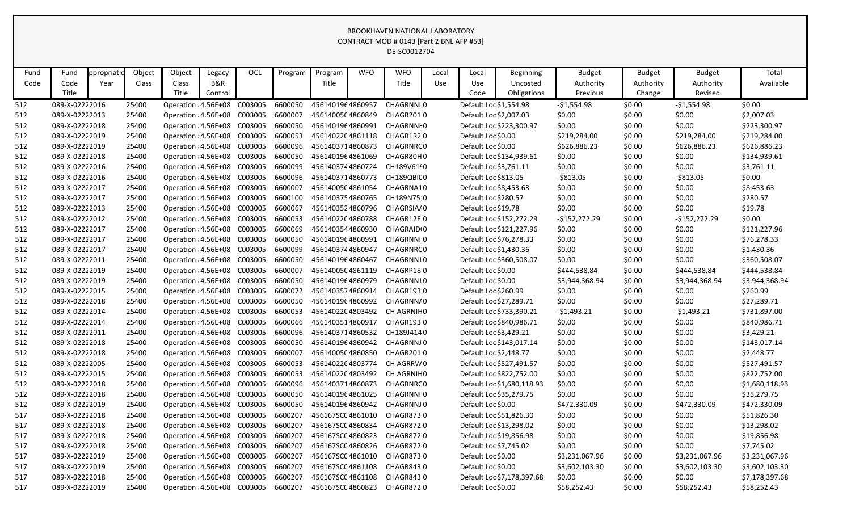|      |                                                                                                                                                                                                                                                                                                                                                                                                                                                                                                                                                                                                                                                                                                                         |  |       |                              |  |         |         |                  |  | CONTRACT MOD # 0143 [Part 2 BNL AFP #53] |  |                        |                            |                |        |                |                |
|------|-------------------------------------------------------------------------------------------------------------------------------------------------------------------------------------------------------------------------------------------------------------------------------------------------------------------------------------------------------------------------------------------------------------------------------------------------------------------------------------------------------------------------------------------------------------------------------------------------------------------------------------------------------------------------------------------------------------------------|--|-------|------------------------------|--|---------|---------|------------------|--|------------------------------------------|--|------------------------|----------------------------|----------------|--------|----------------|----------------|
|      | DE-SC0012704<br><b>WFO</b><br>Object<br>Object<br>OCL<br><b>WFO</b><br>Total<br>Fund<br>Local<br>ppropriati<br>Legacy<br>Program<br>Program<br>Local<br>Beginning<br><b>Budget</b><br><b>Budget</b><br><b>Budget</b><br>B&R<br>Code<br>Title<br>Title<br>Available<br>Year<br>Class<br>Class<br>Use<br>Use<br>Authority<br>Authority<br>Authority<br>Uncosted<br>Title<br>Title<br>Code<br>Obligations<br>Control<br>Previous<br>Change<br>Revised<br>\$0.00<br>089-X-02222016<br>C003005<br>6600050<br>4561401964860957<br>Default Loc \$1,554.98<br>$-$1,554.98$<br>\$0.00<br>$-$1,554.98$<br>25400<br>Operation : 4.56E+08<br><b>CHAGRNNIO</b><br>Default Loc \$2,007.03<br>Operation : 4.56E+08<br>4561400504860849 |  |       |                              |  |         |         |                  |  |                                          |  |                        |                            |                |        |                |                |
|      |                                                                                                                                                                                                                                                                                                                                                                                                                                                                                                                                                                                                                                                                                                                         |  |       |                              |  |         |         |                  |  |                                          |  |                        |                            |                |        |                |                |
| Fund |                                                                                                                                                                                                                                                                                                                                                                                                                                                                                                                                                                                                                                                                                                                         |  |       |                              |  |         |         |                  |  |                                          |  |                        |                            |                |        |                |                |
| Code |                                                                                                                                                                                                                                                                                                                                                                                                                                                                                                                                                                                                                                                                                                                         |  |       |                              |  |         |         |                  |  |                                          |  |                        |                            |                |        |                |                |
|      |                                                                                                                                                                                                                                                                                                                                                                                                                                                                                                                                                                                                                                                                                                                         |  |       |                              |  |         |         |                  |  |                                          |  |                        |                            |                |        |                |                |
| 512  |                                                                                                                                                                                                                                                                                                                                                                                                                                                                                                                                                                                                                                                                                                                         |  |       |                              |  |         |         |                  |  |                                          |  |                        |                            |                |        |                |                |
| 512  | 089-X-02222013                                                                                                                                                                                                                                                                                                                                                                                                                                                                                                                                                                                                                                                                                                          |  | 25400 |                              |  | C003005 | 6600007 |                  |  | CHAGR2010                                |  |                        |                            | \$0.00         | \$0.00 | \$0.00         | \$2,007.03     |
| 512  | 089-X-02222018                                                                                                                                                                                                                                                                                                                                                                                                                                                                                                                                                                                                                                                                                                          |  | 25400 | Operation : 4.56E+08         |  | C003005 | 6600050 | 4561401964860991 |  | <b>CHAGRNNIO</b>                         |  |                        | Default Loc \$223,300.97   | \$0.00         | \$0.00 | \$0.00         | \$223,300.97   |
| 512  | 089-X-02222019                                                                                                                                                                                                                                                                                                                                                                                                                                                                                                                                                                                                                                                                                                          |  | 25400 | Operation : 4.56E+08         |  | C003005 | 6600053 | 4561402204861118 |  | CHAGR1R20                                |  | Default Loc \$0.00     |                            | \$219,284.00   | \$0.00 | \$219,284.00   | \$219,284.00   |
| 512  | 089-X-02222019                                                                                                                                                                                                                                                                                                                                                                                                                                                                                                                                                                                                                                                                                                          |  | 25400 | Operation : 4.56E+08         |  | C003005 | 6600096 | 4561403714860873 |  | CHAGRNRC 0                               |  | Default Loc \$0.00     |                            | \$626,886.23   | \$0.00 | \$626,886.23   | \$626,886.23   |
| 512  | 089-X-02222018                                                                                                                                                                                                                                                                                                                                                                                                                                                                                                                                                                                                                                                                                                          |  | 25400 | Operation : 4.56E+08         |  | C003005 | 6600050 | 4561401964861069 |  | CHAGR80H0                                |  |                        | Default Loc \$134,939.61   | \$0.00         | \$0.00 | \$0.00         | \$134,939.61   |
| 512  | 089-X-02222016                                                                                                                                                                                                                                                                                                                                                                                                                                                                                                                                                                                                                                                                                                          |  | 25400 | Operation : 4.56E+08         |  | C003005 | 6600099 | 4561403744860724 |  | CH189V6190                               |  | Default Loc \$3,761.11 |                            | \$0.00         | \$0.00 | \$0.00         | \$3,761.11     |
| 512  | 089-X-02222016                                                                                                                                                                                                                                                                                                                                                                                                                                                                                                                                                                                                                                                                                                          |  | 25400 | Operation : 4.56E+08         |  | C003005 | 6600096 | 4561403714860773 |  | CH189QBIC0                               |  | Default Loc \$813.05   |                            | $-$ \$813.05   | \$0.00 | $-$ \$813.05   | \$0.00         |
| 512  | 089-X-02222017                                                                                                                                                                                                                                                                                                                                                                                                                                                                                                                                                                                                                                                                                                          |  | 25400 | Operation : 4.56E+08         |  | C003005 | 6600007 | 4561400504861054 |  | CHAGRNA10                                |  | Default Loc \$8,453.63 |                            | \$0.00         | \$0.00 | \$0.00         | \$8,453.63     |
| 512  | 089-X-02222017                                                                                                                                                                                                                                                                                                                                                                                                                                                                                                                                                                                                                                                                                                          |  | 25400 | Operation : 4.56E+08         |  | C003005 | 6600100 | 4561403754860765 |  | CH189N75.0                               |  | Default Loc \$280.57   |                            | \$0.00         | \$0.00 | \$0.00         | \$280.57       |
| 512  | 089-X-02222013                                                                                                                                                                                                                                                                                                                                                                                                                                                                                                                                                                                                                                                                                                          |  | 25400 | Operation : 4.56E+08         |  | C003005 | 6600067 | 4561403524860796 |  | CHAGRSIA/0                               |  | Default Loc \$19.78    |                            | \$0.00         | \$0.00 | \$0.00         | \$19.78        |
| 512  | 089-X-02222012                                                                                                                                                                                                                                                                                                                                                                                                                                                                                                                                                                                                                                                                                                          |  | 25400 | Operation : 4.56E+08         |  | C003005 | 6600053 | 4561402204860788 |  | CHAGR12F0                                |  |                        | Default Loc \$152,272.29   | $-$152,272.29$ | \$0.00 | $-$152,272.29$ | \$0.00         |
| 512  | 089-X-02222017                                                                                                                                                                                                                                                                                                                                                                                                                                                                                                                                                                                                                                                                                                          |  | 25400 | Operation : 4.56E+08         |  | C003005 | 6600069 | 4561403544860930 |  | CHAGRAID <sub>10</sub>                   |  |                        | Default Loc \$121,227.96   | \$0.00         | \$0.00 | \$0.00         | \$121,227.96   |
| 512  | 089-X-02222017                                                                                                                                                                                                                                                                                                                                                                                                                                                                                                                                                                                                                                                                                                          |  | 25400 | Operation : 4.56E+08         |  | C003005 | 6600050 | 4561401964860991 |  | CHAGRNNI 0                               |  |                        | Default Loc \$76,278.33    | \$0.00         | \$0.00 | \$0.00         | \$76,278.33    |
| 512  | 089-X-02222017                                                                                                                                                                                                                                                                                                                                                                                                                                                                                                                                                                                                                                                                                                          |  | 25400 | Operation : 4.56E+08         |  | C003005 | 6600099 | 4561403744860947 |  | CHAGRNRC 0                               |  | Default Loc \$1,430.36 |                            | \$0.00         | \$0.00 | \$0.00         | \$1,430.36     |
| 512  | 089-X-02222011                                                                                                                                                                                                                                                                                                                                                                                                                                                                                                                                                                                                                                                                                                          |  | 25400 | Operation : 4.56E+08         |  | C003005 | 6600050 | 4561401964860467 |  | CHAGRNNJ0                                |  |                        | Default Loc \$360,508.07   | \$0.00         | \$0.00 | \$0.00         | \$360,508.07   |
| 512  | 089-X-02222019                                                                                                                                                                                                                                                                                                                                                                                                                                                                                                                                                                                                                                                                                                          |  | 25400 | Operation : 4.56E+08         |  | C003005 | 6600007 | 4561400504861119 |  | CHAGRP180                                |  | Default Loc \$0.00     |                            | \$444,538.84   | \$0.00 | \$444,538.84   | \$444,538.84   |
| 512  | 089-X-02222019                                                                                                                                                                                                                                                                                                                                                                                                                                                                                                                                                                                                                                                                                                          |  | 25400 | Operation : 4.56E+08         |  | C003005 | 6600050 | 4561401964860979 |  | CHAGRNNJ0                                |  | Default Loc \$0.00     |                            | \$3,944,368.94 | \$0.00 | \$3,944,368.94 | \$3,944,368.94 |
| 512  | 089-X-02222015                                                                                                                                                                                                                                                                                                                                                                                                                                                                                                                                                                                                                                                                                                          |  | 25400 | Operation : 4.56E+08         |  | C003005 | 6600072 | 4561403574860914 |  | CHAGR1930                                |  | Default Loc \$260.99   |                            | \$0.00         | \$0.00 | \$0.00         | \$260.99       |
| 512  | 089-X-02222018                                                                                                                                                                                                                                                                                                                                                                                                                                                                                                                                                                                                                                                                                                          |  | 25400 | Operation : 4.56E+08         |  | C003005 | 6600050 | 4561401964860992 |  | CHAGRNN/0                                |  |                        | Default Loc \$27,289.71    | \$0.00         | \$0.00 | \$0.00         | \$27,289.71    |
| 512  | 089-X-02222014                                                                                                                                                                                                                                                                                                                                                                                                                                                                                                                                                                                                                                                                                                          |  | 25400 | Operation : 4.56E+08         |  | C003005 | 6600053 | 4561402204803492 |  | CH AGRNIHO                               |  |                        | Default Loc \$733,390.21   | $-$1,493.21$   | \$0.00 | -\$1,493.21    | \$731,897.00   |
| 512  | 089-X-02222014                                                                                                                                                                                                                                                                                                                                                                                                                                                                                                                                                                                                                                                                                                          |  | 25400 | Operation : 4.56E+08         |  | C003005 | 6600066 | 4561403514860917 |  | CHAGR1930                                |  |                        | Default Loc \$840,986.71   | \$0.00         | \$0.00 | \$0.00         | \$840,986.71   |
| 512  | 089-X-02222011                                                                                                                                                                                                                                                                                                                                                                                                                                                                                                                                                                                                                                                                                                          |  | 25400 | Operation : 4.56E+08         |  | C003005 | 6600096 | 4561403714860532 |  | CH189J4140                               |  | Default Loc \$3,429.21 |                            | \$0.00         | \$0.00 | \$0.00         | \$3,429.21     |
| 512  | 089-X-02222018                                                                                                                                                                                                                                                                                                                                                                                                                                                                                                                                                                                                                                                                                                          |  | 25400 | Operation : 4.56E+08         |  | C003005 | 6600050 | 4561401964860942 |  | CHAGRNNJ0                                |  |                        | Default Loc \$143,017.14   | \$0.00         | \$0.00 | \$0.00         | \$143,017.14   |
| 512  | 089-X-02222018                                                                                                                                                                                                                                                                                                                                                                                                                                                                                                                                                                                                                                                                                                          |  | 25400 | Operation : 4.56E+08         |  | C003005 | 6600007 | 4561400504860850 |  | CHAGR2010                                |  | Default Loc \$2,448.77 |                            | \$0.00         | \$0.00 | \$0.00         | \$2,448.77     |
| 512  | 089-X-02222005                                                                                                                                                                                                                                                                                                                                                                                                                                                                                                                                                                                                                                                                                                          |  | 25400 | Operation : 4.56E+08         |  | C003005 | 6600053 | 4561402204803774 |  | CH AGRRW0                                |  |                        | Default Loc \$527,491.57   | \$0.00         | \$0.00 | \$0.00         | \$527,491.57   |
| 512  | 089-X-02222015                                                                                                                                                                                                                                                                                                                                                                                                                                                                                                                                                                                                                                                                                                          |  | 25400 | Operation : 4.56E+08         |  | C003005 | 6600053 | 4561402204803492 |  | CH AGRNIHO                               |  |                        | Default Loc \$822,752.00   | \$0.00         | \$0.00 | \$0.00         | \$822,752.00   |
| 512  | 089-X-02222018                                                                                                                                                                                                                                                                                                                                                                                                                                                                                                                                                                                                                                                                                                          |  | 25400 | Operation : 4.56E+08         |  | C003005 | 6600096 | 4561403714860873 |  | CHAGRNRC 0                               |  |                        | Default Loc \$1,680,118.93 | \$0.00         | \$0.00 | \$0.00         | \$1,680,118.93 |
| 512  | 089-X-02222018                                                                                                                                                                                                                                                                                                                                                                                                                                                                                                                                                                                                                                                                                                          |  | 25400 | Operation : 4.56E+08 C003005 |  |         | 6600050 | 4561401964861025 |  | CHAGRNNI 0                               |  |                        | Default Loc \$35,279.75    | \$0.00         | \$0.00 | \$0.00         | \$35,279.75    |
| 512  | 089-X-02222019                                                                                                                                                                                                                                                                                                                                                                                                                                                                                                                                                                                                                                                                                                          |  | 25400 | Operation : 4.56E+08         |  | C003005 | 6600050 | 4561401964860942 |  | CHAGRNNJ0                                |  | Default Loc \$0.00     |                            | \$472,330.09   | \$0.00 | \$472,330.09   | \$472,330.09   |
| 517  | 089-X-02222018                                                                                                                                                                                                                                                                                                                                                                                                                                                                                                                                                                                                                                                                                                          |  | 25400 | Operation : 4.56E+08         |  | C003005 | 6600207 | 456167SC04861010 |  | <b>CHAGR8730</b>                         |  |                        | Default Loc \$51,826.30    | \$0.00         | \$0.00 | \$0.00         | \$51,826.30    |
| 517  | 089-X-02222018                                                                                                                                                                                                                                                                                                                                                                                                                                                                                                                                                                                                                                                                                                          |  | 25400 | Operation : 4.56E+08         |  | C003005 | 6600207 | 456167SC04860834 |  | CHAGR8720                                |  |                        | Default Loc \$13,298.02    | \$0.00         | \$0.00 | \$0.00         | \$13,298.02    |
| 517  | 089-X-02222018                                                                                                                                                                                                                                                                                                                                                                                                                                                                                                                                                                                                                                                                                                          |  | 25400 | Operation : 4.56E+08         |  | C003005 | 6600207 | 456167SC04860823 |  | CHAGR8720                                |  |                        | Default Loc \$19,856.98    | \$0.00         | \$0.00 | \$0.00         | \$19,856.98    |
| 517  | 089-X-02222018                                                                                                                                                                                                                                                                                                                                                                                                                                                                                                                                                                                                                                                                                                          |  | 25400 | Operation : 4.56E+08 C003005 |  |         | 6600207 | 456167SC04860826 |  | CHAGR8720                                |  | Default Loc \$7,745.02 |                            | \$0.00         | \$0.00 | \$0.00         | \$7,745.02     |
| 517  | 089-X-02222019                                                                                                                                                                                                                                                                                                                                                                                                                                                                                                                                                                                                                                                                                                          |  | 25400 | Operation : 4.56E+08         |  | C003005 | 6600207 | 456167SC04861010 |  | CHAGR8730                                |  | Default Loc \$0.00     |                            | \$3,231,067.96 | \$0.00 | \$3,231,067.96 | \$3,231,067.96 |
| 517  | 089-X-02222019                                                                                                                                                                                                                                                                                                                                                                                                                                                                                                                                                                                                                                                                                                          |  | 25400 | Operation : 4.56E+08 C003005 |  |         | 6600207 | 456167SC04861108 |  | CHAGR8430                                |  | Default Loc \$0.00     |                            | \$3,602,103.30 | \$0.00 | \$3,602,103.30 | \$3,602,103.30 |
| 517  | 089-X-02222018                                                                                                                                                                                                                                                                                                                                                                                                                                                                                                                                                                                                                                                                                                          |  | 25400 | Operation : 4.56E+08         |  | C003005 | 6600207 | 456167SC04861108 |  | CHAGR8430                                |  |                        | Default Loc \$7,178,397.68 | \$0.00         | \$0.00 | \$0.00         | \$7,178,397.68 |
| 517  | 089-X-02222019                                                                                                                                                                                                                                                                                                                                                                                                                                                                                                                                                                                                                                                                                                          |  | 25400 | Operation : 4.56E+08 C003005 |  |         | 6600207 | 456167SC04860823 |  | CHAGR8720                                |  | Default Loc \$0.00     |                            | \$58,252.43    | \$0.00 | \$58,252.43    | \$58,252.43    |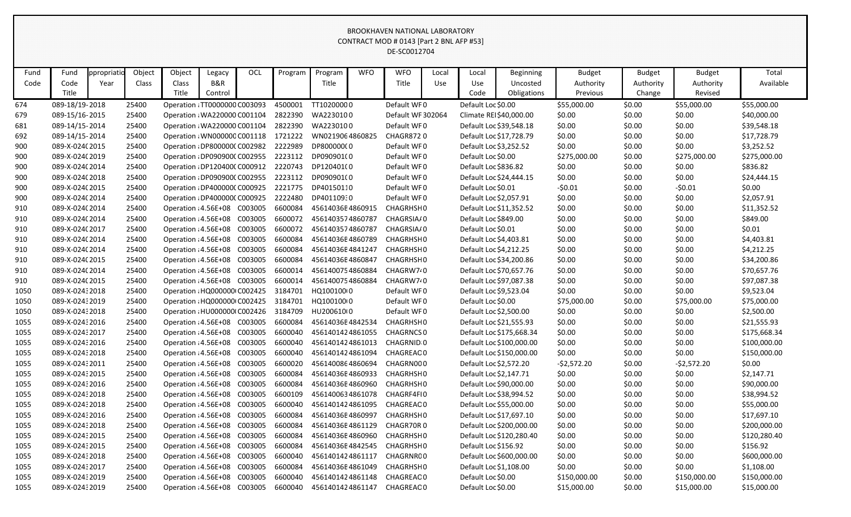| DE-SC0012704<br>Object<br><b>OCL</b><br><b>WFO</b><br>Object<br><b>WFO</b><br>Total<br>Fund<br>ppropriati<br>Program<br>Program<br>Local<br><b>Budget</b><br><b>Budget</b><br>Fund<br>Legacy<br>Local<br>Beginning<br><b>Budget</b><br><b>B&amp;R</b><br>Code<br>Title<br>Title<br>Available<br>Code<br>Class<br>Class<br>Use<br>Use<br>Authority<br>Authority<br>Year<br>Uncosted<br>Authority<br>Title<br>Title<br>Code<br>Obligations<br>Previous<br>Revised<br>Control<br>Change<br>TT10200000<br>674<br>089-18/19-2018<br>Operation : TT0000000 C003093<br>4500001<br>Default WF0<br>Default Loc \$0.00<br>\$55,000.00<br>\$0.00<br>\$55,000.00<br>\$55,000.00<br>25400<br>2822390<br>WA2230100<br>Default WF 302064<br>\$0.00<br>\$40,000.00<br>679<br>089-15/16-2015<br>25400<br>Operation : WA220000 C001104<br>Climate REI\$40,000.00<br>\$0.00<br>\$0.00<br>2822390<br>WA2230100<br>Default WF0<br>\$0.00<br>681<br>089-14/15-2014<br>25400<br>Operation : WA220000 C001104<br>Default Loc \$39,548.18<br>\$0.00<br>\$0.00<br>\$39,548.18<br>089-14/15-2014<br>25400<br>1721222<br>WN0219064860825<br><b>CHAGR8720</b><br>\$0.00<br>\$0.00<br>\$0.00<br>\$17,728.79<br>692<br>Operation : WN000000 C001118<br>Default Loc \$17,728.79<br>2222989<br>DP80000000<br>Default Loc \$3,252.52<br>\$0.00<br>\$0.00<br>\$3,252.52<br>900<br>089-X-024(2015<br>25400<br>Operation : DP8000000 C002982<br>Default WF0<br>\$0.00<br>2223112<br>DP090901(0<br>Default WF0<br>Default Loc \$0.00<br>\$275,000.00<br>\$0.00<br>\$275,000.00<br>900<br>089-X-024(2019<br>25400<br>Operation : DP090900(C002955<br>\$275,000.00<br>25400<br>2220743<br>DP120401(0<br>Default WF0<br>Default Loc \$836.82<br>\$0.00<br>\$836.82<br>900<br>089-X-024(2014<br>Operation : DP120400(C000912<br>\$0.00<br>\$0.00<br>2223112<br>DP090901(0<br>Default WF0<br>\$0.00<br>900<br>089-X-024(2018<br>25400<br>Operation : DP090900(C002955<br>Default Loc \$24,444.15<br>\$0.00<br>\$0.00<br>\$24,444.15<br>2221775<br>DP40150110<br>Default WF0<br>Default Loc \$0.01<br>$-50.01$<br>\$0.00<br>$-50.01$<br>\$0.00<br>900<br>089-X-024(2015<br>25400<br>Operation : DP4000000 C000925<br>2222480<br>DP40110930<br>Default Loc \$2,057.91<br>\$0.00<br>\$0.00<br>\$2,057.91<br>900<br>089-X-024(2014<br>25400<br>Operation : DP400000(C000925<br>Default WF0<br>\$0.00<br>6600084<br>25400<br>Operation : 4.56E+08 C003005<br>\$0.00<br>\$0.00<br>\$0.00<br>910<br>089-X-024(2014<br>45614036E4860915<br>CHAGRHSH0<br>Default Loc \$11,352.52<br>\$11,352.52<br>25400<br>Operation : 4.56E+08<br>C003005<br>6600072<br>4561403574860787<br>Default Loc \$849.00<br>\$0.00<br>\$0.00<br>\$849.00<br>910<br>089-X-024(2014<br>CHAGRSIA/0<br>\$0.00<br>6600072<br>Default Loc \$0.01<br>\$0.00<br>\$0.01<br>910<br>089-X-024(2017<br>25400<br>Operation : 4.56E+08<br>C003005<br>4561403574860787<br>CHAGRSIA/0<br>\$0.00<br>\$0.00<br>6600084<br>25400<br>C003005<br>Default Loc \$4,403.81<br>\$0.00<br>\$0.00<br>\$0.00<br>\$4,403.81<br>910<br>089-X-024(2014<br>Operation : 4.56E+08<br>45614036E4860789<br>CHAGRHSH0<br>Operation : 4.56E+08<br>6600084<br>Default Loc \$4,212.25<br>\$0.00<br>\$0.00<br>\$4,212.25<br>910<br>089-X-024(2014<br>25400<br>C003005<br>45614036E4841247<br>CHAGRHSH0<br>\$0.00<br>6600084<br>Operation : 4.56E+08<br>C003005<br>Default Loc \$34,200.86<br>\$0.00<br>\$0.00<br>\$0.00<br>\$34,200.86<br>910<br>089-X-024(2015<br>25400<br>45614036E4860847<br>CHAGRHSH0<br>25400<br>Operation : 4.56E+08<br>C003005<br>6600014<br>4561400754860884<br>Default Loc \$70,657.76<br>\$0.00<br>\$0.00<br>\$70,657.76<br>910<br>089-X-024(2014<br>CHAGRW7 <sup>0</sup><br>\$0.00<br>910<br>089-X-024(2015<br>25400<br>Operation : 4.56E+08 C003005<br>6600014<br>4561400754860884<br>CHAGRW7 <sup>2</sup><br>Default Loc \$97,087.38<br>\$0.00<br>\$0.00<br>\$0.00<br>\$97,087.38<br>3184701<br>25400<br>Operation : HQ000000 C002425<br>HQ100100(0<br>Default WF0<br>\$0.00<br>\$0.00<br>\$0.00<br>\$9,523.04<br>089-X-02432018<br>Default Loc \$9,523.04<br>1050<br>Operation : HQ000000 C002425<br>3184701<br>HQ100100(0<br>Default Loc \$0.00<br>\$75,000.00<br>1050<br>089-X-02432019<br>25400<br>Default WF0<br>\$75,000.00<br>\$0.00<br>\$75,000.00<br>3184709<br>HU200610(0<br>Default WF0<br>\$0.00<br>\$0.00<br>089-X-02432018<br>25400<br>Operation : HU0000000 C002426<br>Default Loc \$2,500.00<br>\$0.00<br>\$2,500.00<br>1050<br>6600084<br>\$0.00<br>\$0.00<br>\$21,555.93<br>1055<br>089-X-02432016<br>25400<br>Operation : 4.56E+08 C003005<br>45614036E4842534<br>CHAGRHSH0<br>Default Loc \$21,555.93<br>\$0.00<br>6600040<br>\$0.00<br>089-X-02432017<br>25400<br>Operation : 4.56E+08<br>C003005<br>4561401424861055<br>CHAGRNCS 0<br>Default Loc \$175,668.34<br>\$0.00<br>\$0.00<br>\$175,668.34<br>1055<br>25400<br>C003005<br>6600040<br>4561401424861013<br>\$0.00<br>089-X-02432016<br>Operation : 4.56E+08<br>CHAGRNID <sub>0</sub><br>Default Loc \$100,000.00<br>\$0.00<br>\$0.00<br>\$100,000.00<br>1055<br>\$0.00<br>\$150,000.00<br>089-X-02432018<br>25400<br>Operation : 4.56E+08<br>C003005<br>6600040<br>4561401424861094<br>Default Loc \$150,000.00<br>\$0.00<br>\$0.00<br>1055<br>CHAGREAC 0<br>\$0.00<br>$-52,572.20$<br>\$0.00<br>1055<br>089-X-02432011<br>25400<br>Operation : 4.56E+08<br>C003005<br>6600020<br>CHAGRN000<br>Default Loc \$2,572.20<br>$-52,572.20$<br>4561400864860694<br>6600084<br>Default Loc \$2,147.71<br>\$0.00<br>\$2,147.71<br>089-X-02432015<br>25400<br>Operation : 4.56E+08<br>C003005<br>45614036E4860933<br>CHAGRHSH0<br>\$0.00<br>\$0.00<br>1055<br>089-X-02432016<br>Operation : 4.56E+08<br>C003005<br>6600084<br>Default Loc \$90,000.00<br>\$0.00<br>\$0.00<br>\$0.00<br>\$90,000.00<br>25400<br>45614036E4860960<br>CHAGRHSH0<br>1055<br>C003005<br>6600109<br>\$0.00<br>089-X-02432018<br>Operation : 4.56E+08<br>4561400634861078<br>Default Loc \$38,994.52<br>\$0.00<br>\$0.00<br>\$38,994.52<br>1055<br>25400<br>CHAGRF4FI0<br>\$0.00<br>089-X-02432018<br>25400<br>Operation : 4.56E+08<br>C003005<br>6600040<br>4561401424861095<br>CHAGREAC 0<br>Default Loc \$55,000.00<br>\$0.00<br>\$0.00<br>\$55,000.00<br>1055<br>C003005<br>6600084<br>Default Loc \$17,697.10<br>\$0.00<br>1055<br>089-X-02432016<br>25400<br>Operation : 4.56E+08<br>45614036E4860997<br>CHAGRHSH0<br>\$0.00<br>\$0.00<br>\$17,697.10<br>6600084<br>Default Loc \$200,000.00<br>\$0.00<br>\$200,000.00<br>089-X-02432018<br>25400<br>Operation : 4.56E+08<br>C003005<br>45614036E4861129<br>CHAGR70R0<br>\$0.00<br>\$0.00<br>1055<br>089-X-02432015<br>Operation : 4.56E+08<br>C003005<br>6600084<br>45614036E4860960<br>Default Loc \$120,280.40<br>\$0.00<br>\$0.00<br>\$120,280.40<br>1055<br>25400<br>CHAGRHSH0<br>\$0.00<br>C003005<br>6600084<br>Default Loc \$156.92<br>\$156.92<br>089-X-02432015<br>25400<br>Operation : 4.56E+08<br>45614036E4842545<br>CHAGRHSH0<br>\$0.00<br>\$0.00<br>\$0.00<br>1055<br>\$0.00<br>\$600,000.00<br>1055<br>089-X-02432018<br>Operation : 4.56E+08<br>C003005<br>6600040<br>4561401424861117<br>CHAGRNR00<br>Default Loc \$600,000.00<br>\$0.00<br>\$0.00<br>25400<br>C003005<br>6600084<br>\$0.00<br>\$0.00<br>1055<br>089-X-02432017<br>25400<br>Operation : 4.56E+08<br>45614036E4861049<br>CHAGRHSH0<br>Default Loc \$1,108.00<br>\$0.00<br>\$1,108.00<br>C003005<br>6600040<br>Default Loc \$0.00<br>\$150,000.00<br>\$150,000.00<br>089-X-02432019<br>25400<br>Operation : 4.56E+08<br>4561401424861148<br>CHAGREAC 0<br>\$150,000.00<br>\$0.00<br>1055<br>Default Loc \$0.00<br>089-X-02432019<br>25400<br>Operation : 4.56E+08 C003005<br>6600040<br>4561401424861147<br>CHAGREAC0<br>\$15,000.00<br>\$0.00<br>\$15,000.00<br>\$15,000.00<br>1055 |  |  |  |  |  | CONTRACT MOD # 0143 [Part 2 BNL AFP #53] |  |  |  |  |
|----------------------------------------------------------------------------------------------------------------------------------------------------------------------------------------------------------------------------------------------------------------------------------------------------------------------------------------------------------------------------------------------------------------------------------------------------------------------------------------------------------------------------------------------------------------------------------------------------------------------------------------------------------------------------------------------------------------------------------------------------------------------------------------------------------------------------------------------------------------------------------------------------------------------------------------------------------------------------------------------------------------------------------------------------------------------------------------------------------------------------------------------------------------------------------------------------------------------------------------------------------------------------------------------------------------------------------------------------------------------------------------------------------------------------------------------------------------------------------------------------------------------------------------------------------------------------------------------------------------------------------------------------------------------------------------------------------------------------------------------------------------------------------------------------------------------------------------------------------------------------------------------------------------------------------------------------------------------------------------------------------------------------------------------------------------------------------------------------------------------------------------------------------------------------------------------------------------------------------------------------------------------------------------------------------------------------------------------------------------------------------------------------------------------------------------------------------------------------------------------------------------------------------------------------------------------------------------------------------------------------------------------------------------------------------------------------------------------------------------------------------------------------------------------------------------------------------------------------------------------------------------------------------------------------------------------------------------------------------------------------------------------------------------------------------------------------------------------------------------------------------------------------------------------------------------------------------------------------------------------------------------------------------------------------------------------------------------------------------------------------------------------------------------------------------------------------------------------------------------------------------------------------------------------------------------------------------------------------------------------------------------------------------------------------------------------------------------------------------------------------------------------------------------------------------------------------------------------------------------------------------------------------------------------------------------------------------------------------------------------------------------------------------------------------------------------------------------------------------------------------------------------------------------------------------------------------------------------------------------------------------------------------------------------------------------------------------------------------------------------------------------------------------------------------------------------------------------------------------------------------------------------------------------------------------------------------------------------------------------------------------------------------------------------------------------------------------------------------------------------------------------------------------------------------------------------------------------------------------------------------------------------------------------------------------------------------------------------------------------------------------------------------------------------------------------------------------------------------------------------------------------------------------------------------------------------------------------------------------------------------------------------------------------------------------------------------------------------------------------------------------------------------------------------------------------------------------------------------------------------------------------------------------------------------------------------------------------------------------------------------------------------------------------------------------------------------------------------------------------------------------------------------------------------------------------------------------------------------------------------------------------------------------------------------------------------------------------------------------------------------------------------------------------------------------------------------------------------------------------------------------------------------------------------------------------------------------------------------------------------------------------------------------------------------------------------------------------------------------------------------------------------------------------------------------------------------------------------------------------------------------------------------------------------------------------------------------------------------------------------------------------------------------------------------------------------------------------------------------------------------------------------------------------------------------------------------------------------------------------------------------------------------------------------------------------------------------------------------------------------------------------------------------------------------------------------------------------------------------------------------------------------------------------------------------------------------------------------------------------------------------------------------------------------------------------------------------------------------------------------------------------------------------------------------------------------------------------------------------------------------------------------------------------------------------------------------------------------------------------------------------------------------------------------------------------------------------------------------------------------------------------------------------|--|--|--|--|--|------------------------------------------|--|--|--|--|
|                                                                                                                                                                                                                                                                                                                                                                                                                                                                                                                                                                                                                                                                                                                                                                                                                                                                                                                                                                                                                                                                                                                                                                                                                                                                                                                                                                                                                                                                                                                                                                                                                                                                                                                                                                                                                                                                                                                                                                                                                                                                                                                                                                                                                                                                                                                                                                                                                                                                                                                                                                                                                                                                                                                                                                                                                                                                                                                                                                                                                                                                                                                                                                                                                                                                                                                                                                                                                                                                                                                                                                                                                                                                                                                                                                                                                                                                                                                                                                                                                                                                                                                                                                                                                                                                                                                                                                                                                                                                                                                                                                                                                                                                                                                                                                                                                                                                                                                                                                                                                                                                                                                                                                                                                                                                                                                                                                                                                                                                                                                                                                                                                                                                                                                                                                                                                                                                                                                                                                                                                                                                                                                                                                                                                                                                                                                                                                                                                                                                                                                                                                                                                                                                                                                                                                                                                                                                                                                                                                                                                                                                                                                                                                                                                                                                                                                                                                                                                                                                                                                                                                                                                                                                                                                                                                                  |  |  |  |  |  |                                          |  |  |  |  |
|                                                                                                                                                                                                                                                                                                                                                                                                                                                                                                                                                                                                                                                                                                                                                                                                                                                                                                                                                                                                                                                                                                                                                                                                                                                                                                                                                                                                                                                                                                                                                                                                                                                                                                                                                                                                                                                                                                                                                                                                                                                                                                                                                                                                                                                                                                                                                                                                                                                                                                                                                                                                                                                                                                                                                                                                                                                                                                                                                                                                                                                                                                                                                                                                                                                                                                                                                                                                                                                                                                                                                                                                                                                                                                                                                                                                                                                                                                                                                                                                                                                                                                                                                                                                                                                                                                                                                                                                                                                                                                                                                                                                                                                                                                                                                                                                                                                                                                                                                                                                                                                                                                                                                                                                                                                                                                                                                                                                                                                                                                                                                                                                                                                                                                                                                                                                                                                                                                                                                                                                                                                                                                                                                                                                                                                                                                                                                                                                                                                                                                                                                                                                                                                                                                                                                                                                                                                                                                                                                                                                                                                                                                                                                                                                                                                                                                                                                                                                                                                                                                                                                                                                                                                                                                                                                                                  |  |  |  |  |  |                                          |  |  |  |  |
|                                                                                                                                                                                                                                                                                                                                                                                                                                                                                                                                                                                                                                                                                                                                                                                                                                                                                                                                                                                                                                                                                                                                                                                                                                                                                                                                                                                                                                                                                                                                                                                                                                                                                                                                                                                                                                                                                                                                                                                                                                                                                                                                                                                                                                                                                                                                                                                                                                                                                                                                                                                                                                                                                                                                                                                                                                                                                                                                                                                                                                                                                                                                                                                                                                                                                                                                                                                                                                                                                                                                                                                                                                                                                                                                                                                                                                                                                                                                                                                                                                                                                                                                                                                                                                                                                                                                                                                                                                                                                                                                                                                                                                                                                                                                                                                                                                                                                                                                                                                                                                                                                                                                                                                                                                                                                                                                                                                                                                                                                                                                                                                                                                                                                                                                                                                                                                                                                                                                                                                                                                                                                                                                                                                                                                                                                                                                                                                                                                                                                                                                                                                                                                                                                                                                                                                                                                                                                                                                                                                                                                                                                                                                                                                                                                                                                                                                                                                                                                                                                                                                                                                                                                                                                                                                                                                  |  |  |  |  |  |                                          |  |  |  |  |
|                                                                                                                                                                                                                                                                                                                                                                                                                                                                                                                                                                                                                                                                                                                                                                                                                                                                                                                                                                                                                                                                                                                                                                                                                                                                                                                                                                                                                                                                                                                                                                                                                                                                                                                                                                                                                                                                                                                                                                                                                                                                                                                                                                                                                                                                                                                                                                                                                                                                                                                                                                                                                                                                                                                                                                                                                                                                                                                                                                                                                                                                                                                                                                                                                                                                                                                                                                                                                                                                                                                                                                                                                                                                                                                                                                                                                                                                                                                                                                                                                                                                                                                                                                                                                                                                                                                                                                                                                                                                                                                                                                                                                                                                                                                                                                                                                                                                                                                                                                                                                                                                                                                                                                                                                                                                                                                                                                                                                                                                                                                                                                                                                                                                                                                                                                                                                                                                                                                                                                                                                                                                                                                                                                                                                                                                                                                                                                                                                                                                                                                                                                                                                                                                                                                                                                                                                                                                                                                                                                                                                                                                                                                                                                                                                                                                                                                                                                                                                                                                                                                                                                                                                                                                                                                                                                                  |  |  |  |  |  |                                          |  |  |  |  |
|                                                                                                                                                                                                                                                                                                                                                                                                                                                                                                                                                                                                                                                                                                                                                                                                                                                                                                                                                                                                                                                                                                                                                                                                                                                                                                                                                                                                                                                                                                                                                                                                                                                                                                                                                                                                                                                                                                                                                                                                                                                                                                                                                                                                                                                                                                                                                                                                                                                                                                                                                                                                                                                                                                                                                                                                                                                                                                                                                                                                                                                                                                                                                                                                                                                                                                                                                                                                                                                                                                                                                                                                                                                                                                                                                                                                                                                                                                                                                                                                                                                                                                                                                                                                                                                                                                                                                                                                                                                                                                                                                                                                                                                                                                                                                                                                                                                                                                                                                                                                                                                                                                                                                                                                                                                                                                                                                                                                                                                                                                                                                                                                                                                                                                                                                                                                                                                                                                                                                                                                                                                                                                                                                                                                                                                                                                                                                                                                                                                                                                                                                                                                                                                                                                                                                                                                                                                                                                                                                                                                                                                                                                                                                                                                                                                                                                                                                                                                                                                                                                                                                                                                                                                                                                                                                                                  |  |  |  |  |  |                                          |  |  |  |  |
|                                                                                                                                                                                                                                                                                                                                                                                                                                                                                                                                                                                                                                                                                                                                                                                                                                                                                                                                                                                                                                                                                                                                                                                                                                                                                                                                                                                                                                                                                                                                                                                                                                                                                                                                                                                                                                                                                                                                                                                                                                                                                                                                                                                                                                                                                                                                                                                                                                                                                                                                                                                                                                                                                                                                                                                                                                                                                                                                                                                                                                                                                                                                                                                                                                                                                                                                                                                                                                                                                                                                                                                                                                                                                                                                                                                                                                                                                                                                                                                                                                                                                                                                                                                                                                                                                                                                                                                                                                                                                                                                                                                                                                                                                                                                                                                                                                                                                                                                                                                                                                                                                                                                                                                                                                                                                                                                                                                                                                                                                                                                                                                                                                                                                                                                                                                                                                                                                                                                                                                                                                                                                                                                                                                                                                                                                                                                                                                                                                                                                                                                                                                                                                                                                                                                                                                                                                                                                                                                                                                                                                                                                                                                                                                                                                                                                                                                                                                                                                                                                                                                                                                                                                                                                                                                                                                  |  |  |  |  |  |                                          |  |  |  |  |
|                                                                                                                                                                                                                                                                                                                                                                                                                                                                                                                                                                                                                                                                                                                                                                                                                                                                                                                                                                                                                                                                                                                                                                                                                                                                                                                                                                                                                                                                                                                                                                                                                                                                                                                                                                                                                                                                                                                                                                                                                                                                                                                                                                                                                                                                                                                                                                                                                                                                                                                                                                                                                                                                                                                                                                                                                                                                                                                                                                                                                                                                                                                                                                                                                                                                                                                                                                                                                                                                                                                                                                                                                                                                                                                                                                                                                                                                                                                                                                                                                                                                                                                                                                                                                                                                                                                                                                                                                                                                                                                                                                                                                                                                                                                                                                                                                                                                                                                                                                                                                                                                                                                                                                                                                                                                                                                                                                                                                                                                                                                                                                                                                                                                                                                                                                                                                                                                                                                                                                                                                                                                                                                                                                                                                                                                                                                                                                                                                                                                                                                                                                                                                                                                                                                                                                                                                                                                                                                                                                                                                                                                                                                                                                                                                                                                                                                                                                                                                                                                                                                                                                                                                                                                                                                                                                                  |  |  |  |  |  |                                          |  |  |  |  |
|                                                                                                                                                                                                                                                                                                                                                                                                                                                                                                                                                                                                                                                                                                                                                                                                                                                                                                                                                                                                                                                                                                                                                                                                                                                                                                                                                                                                                                                                                                                                                                                                                                                                                                                                                                                                                                                                                                                                                                                                                                                                                                                                                                                                                                                                                                                                                                                                                                                                                                                                                                                                                                                                                                                                                                                                                                                                                                                                                                                                                                                                                                                                                                                                                                                                                                                                                                                                                                                                                                                                                                                                                                                                                                                                                                                                                                                                                                                                                                                                                                                                                                                                                                                                                                                                                                                                                                                                                                                                                                                                                                                                                                                                                                                                                                                                                                                                                                                                                                                                                                                                                                                                                                                                                                                                                                                                                                                                                                                                                                                                                                                                                                                                                                                                                                                                                                                                                                                                                                                                                                                                                                                                                                                                                                                                                                                                                                                                                                                                                                                                                                                                                                                                                                                                                                                                                                                                                                                                                                                                                                                                                                                                                                                                                                                                                                                                                                                                                                                                                                                                                                                                                                                                                                                                                                                  |  |  |  |  |  |                                          |  |  |  |  |
|                                                                                                                                                                                                                                                                                                                                                                                                                                                                                                                                                                                                                                                                                                                                                                                                                                                                                                                                                                                                                                                                                                                                                                                                                                                                                                                                                                                                                                                                                                                                                                                                                                                                                                                                                                                                                                                                                                                                                                                                                                                                                                                                                                                                                                                                                                                                                                                                                                                                                                                                                                                                                                                                                                                                                                                                                                                                                                                                                                                                                                                                                                                                                                                                                                                                                                                                                                                                                                                                                                                                                                                                                                                                                                                                                                                                                                                                                                                                                                                                                                                                                                                                                                                                                                                                                                                                                                                                                                                                                                                                                                                                                                                                                                                                                                                                                                                                                                                                                                                                                                                                                                                                                                                                                                                                                                                                                                                                                                                                                                                                                                                                                                                                                                                                                                                                                                                                                                                                                                                                                                                                                                                                                                                                                                                                                                                                                                                                                                                                                                                                                                                                                                                                                                                                                                                                                                                                                                                                                                                                                                                                                                                                                                                                                                                                                                                                                                                                                                                                                                                                                                                                                                                                                                                                                                                  |  |  |  |  |  |                                          |  |  |  |  |
|                                                                                                                                                                                                                                                                                                                                                                                                                                                                                                                                                                                                                                                                                                                                                                                                                                                                                                                                                                                                                                                                                                                                                                                                                                                                                                                                                                                                                                                                                                                                                                                                                                                                                                                                                                                                                                                                                                                                                                                                                                                                                                                                                                                                                                                                                                                                                                                                                                                                                                                                                                                                                                                                                                                                                                                                                                                                                                                                                                                                                                                                                                                                                                                                                                                                                                                                                                                                                                                                                                                                                                                                                                                                                                                                                                                                                                                                                                                                                                                                                                                                                                                                                                                                                                                                                                                                                                                                                                                                                                                                                                                                                                                                                                                                                                                                                                                                                                                                                                                                                                                                                                                                                                                                                                                                                                                                                                                                                                                                                                                                                                                                                                                                                                                                                                                                                                                                                                                                                                                                                                                                                                                                                                                                                                                                                                                                                                                                                                                                                                                                                                                                                                                                                                                                                                                                                                                                                                                                                                                                                                                                                                                                                                                                                                                                                                                                                                                                                                                                                                                                                                                                                                                                                                                                                                                  |  |  |  |  |  |                                          |  |  |  |  |
|                                                                                                                                                                                                                                                                                                                                                                                                                                                                                                                                                                                                                                                                                                                                                                                                                                                                                                                                                                                                                                                                                                                                                                                                                                                                                                                                                                                                                                                                                                                                                                                                                                                                                                                                                                                                                                                                                                                                                                                                                                                                                                                                                                                                                                                                                                                                                                                                                                                                                                                                                                                                                                                                                                                                                                                                                                                                                                                                                                                                                                                                                                                                                                                                                                                                                                                                                                                                                                                                                                                                                                                                                                                                                                                                                                                                                                                                                                                                                                                                                                                                                                                                                                                                                                                                                                                                                                                                                                                                                                                                                                                                                                                                                                                                                                                                                                                                                                                                                                                                                                                                                                                                                                                                                                                                                                                                                                                                                                                                                                                                                                                                                                                                                                                                                                                                                                                                                                                                                                                                                                                                                                                                                                                                                                                                                                                                                                                                                                                                                                                                                                                                                                                                                                                                                                                                                                                                                                                                                                                                                                                                                                                                                                                                                                                                                                                                                                                                                                                                                                                                                                                                                                                                                                                                                                                  |  |  |  |  |  |                                          |  |  |  |  |
|                                                                                                                                                                                                                                                                                                                                                                                                                                                                                                                                                                                                                                                                                                                                                                                                                                                                                                                                                                                                                                                                                                                                                                                                                                                                                                                                                                                                                                                                                                                                                                                                                                                                                                                                                                                                                                                                                                                                                                                                                                                                                                                                                                                                                                                                                                                                                                                                                                                                                                                                                                                                                                                                                                                                                                                                                                                                                                                                                                                                                                                                                                                                                                                                                                                                                                                                                                                                                                                                                                                                                                                                                                                                                                                                                                                                                                                                                                                                                                                                                                                                                                                                                                                                                                                                                                                                                                                                                                                                                                                                                                                                                                                                                                                                                                                                                                                                                                                                                                                                                                                                                                                                                                                                                                                                                                                                                                                                                                                                                                                                                                                                                                                                                                                                                                                                                                                                                                                                                                                                                                                                                                                                                                                                                                                                                                                                                                                                                                                                                                                                                                                                                                                                                                                                                                                                                                                                                                                                                                                                                                                                                                                                                                                                                                                                                                                                                                                                                                                                                                                                                                                                                                                                                                                                                                                  |  |  |  |  |  |                                          |  |  |  |  |
|                                                                                                                                                                                                                                                                                                                                                                                                                                                                                                                                                                                                                                                                                                                                                                                                                                                                                                                                                                                                                                                                                                                                                                                                                                                                                                                                                                                                                                                                                                                                                                                                                                                                                                                                                                                                                                                                                                                                                                                                                                                                                                                                                                                                                                                                                                                                                                                                                                                                                                                                                                                                                                                                                                                                                                                                                                                                                                                                                                                                                                                                                                                                                                                                                                                                                                                                                                                                                                                                                                                                                                                                                                                                                                                                                                                                                                                                                                                                                                                                                                                                                                                                                                                                                                                                                                                                                                                                                                                                                                                                                                                                                                                                                                                                                                                                                                                                                                                                                                                                                                                                                                                                                                                                                                                                                                                                                                                                                                                                                                                                                                                                                                                                                                                                                                                                                                                                                                                                                                                                                                                                                                                                                                                                                                                                                                                                                                                                                                                                                                                                                                                                                                                                                                                                                                                                                                                                                                                                                                                                                                                                                                                                                                                                                                                                                                                                                                                                                                                                                                                                                                                                                                                                                                                                                                                  |  |  |  |  |  |                                          |  |  |  |  |
|                                                                                                                                                                                                                                                                                                                                                                                                                                                                                                                                                                                                                                                                                                                                                                                                                                                                                                                                                                                                                                                                                                                                                                                                                                                                                                                                                                                                                                                                                                                                                                                                                                                                                                                                                                                                                                                                                                                                                                                                                                                                                                                                                                                                                                                                                                                                                                                                                                                                                                                                                                                                                                                                                                                                                                                                                                                                                                                                                                                                                                                                                                                                                                                                                                                                                                                                                                                                                                                                                                                                                                                                                                                                                                                                                                                                                                                                                                                                                                                                                                                                                                                                                                                                                                                                                                                                                                                                                                                                                                                                                                                                                                                                                                                                                                                                                                                                                                                                                                                                                                                                                                                                                                                                                                                                                                                                                                                                                                                                                                                                                                                                                                                                                                                                                                                                                                                                                                                                                                                                                                                                                                                                                                                                                                                                                                                                                                                                                                                                                                                                                                                                                                                                                                                                                                                                                                                                                                                                                                                                                                                                                                                                                                                                                                                                                                                                                                                                                                                                                                                                                                                                                                                                                                                                                                                  |  |  |  |  |  |                                          |  |  |  |  |
|                                                                                                                                                                                                                                                                                                                                                                                                                                                                                                                                                                                                                                                                                                                                                                                                                                                                                                                                                                                                                                                                                                                                                                                                                                                                                                                                                                                                                                                                                                                                                                                                                                                                                                                                                                                                                                                                                                                                                                                                                                                                                                                                                                                                                                                                                                                                                                                                                                                                                                                                                                                                                                                                                                                                                                                                                                                                                                                                                                                                                                                                                                                                                                                                                                                                                                                                                                                                                                                                                                                                                                                                                                                                                                                                                                                                                                                                                                                                                                                                                                                                                                                                                                                                                                                                                                                                                                                                                                                                                                                                                                                                                                                                                                                                                                                                                                                                                                                                                                                                                                                                                                                                                                                                                                                                                                                                                                                                                                                                                                                                                                                                                                                                                                                                                                                                                                                                                                                                                                                                                                                                                                                                                                                                                                                                                                                                                                                                                                                                                                                                                                                                                                                                                                                                                                                                                                                                                                                                                                                                                                                                                                                                                                                                                                                                                                                                                                                                                                                                                                                                                                                                                                                                                                                                                                                  |  |  |  |  |  |                                          |  |  |  |  |
|                                                                                                                                                                                                                                                                                                                                                                                                                                                                                                                                                                                                                                                                                                                                                                                                                                                                                                                                                                                                                                                                                                                                                                                                                                                                                                                                                                                                                                                                                                                                                                                                                                                                                                                                                                                                                                                                                                                                                                                                                                                                                                                                                                                                                                                                                                                                                                                                                                                                                                                                                                                                                                                                                                                                                                                                                                                                                                                                                                                                                                                                                                                                                                                                                                                                                                                                                                                                                                                                                                                                                                                                                                                                                                                                                                                                                                                                                                                                                                                                                                                                                                                                                                                                                                                                                                                                                                                                                                                                                                                                                                                                                                                                                                                                                                                                                                                                                                                                                                                                                                                                                                                                                                                                                                                                                                                                                                                                                                                                                                                                                                                                                                                                                                                                                                                                                                                                                                                                                                                                                                                                                                                                                                                                                                                                                                                                                                                                                                                                                                                                                                                                                                                                                                                                                                                                                                                                                                                                                                                                                                                                                                                                                                                                                                                                                                                                                                                                                                                                                                                                                                                                                                                                                                                                                                                  |  |  |  |  |  |                                          |  |  |  |  |
|                                                                                                                                                                                                                                                                                                                                                                                                                                                                                                                                                                                                                                                                                                                                                                                                                                                                                                                                                                                                                                                                                                                                                                                                                                                                                                                                                                                                                                                                                                                                                                                                                                                                                                                                                                                                                                                                                                                                                                                                                                                                                                                                                                                                                                                                                                                                                                                                                                                                                                                                                                                                                                                                                                                                                                                                                                                                                                                                                                                                                                                                                                                                                                                                                                                                                                                                                                                                                                                                                                                                                                                                                                                                                                                                                                                                                                                                                                                                                                                                                                                                                                                                                                                                                                                                                                                                                                                                                                                                                                                                                                                                                                                                                                                                                                                                                                                                                                                                                                                                                                                                                                                                                                                                                                                                                                                                                                                                                                                                                                                                                                                                                                                                                                                                                                                                                                                                                                                                                                                                                                                                                                                                                                                                                                                                                                                                                                                                                                                                                                                                                                                                                                                                                                                                                                                                                                                                                                                                                                                                                                                                                                                                                                                                                                                                                                                                                                                                                                                                                                                                                                                                                                                                                                                                                                                  |  |  |  |  |  |                                          |  |  |  |  |
|                                                                                                                                                                                                                                                                                                                                                                                                                                                                                                                                                                                                                                                                                                                                                                                                                                                                                                                                                                                                                                                                                                                                                                                                                                                                                                                                                                                                                                                                                                                                                                                                                                                                                                                                                                                                                                                                                                                                                                                                                                                                                                                                                                                                                                                                                                                                                                                                                                                                                                                                                                                                                                                                                                                                                                                                                                                                                                                                                                                                                                                                                                                                                                                                                                                                                                                                                                                                                                                                                                                                                                                                                                                                                                                                                                                                                                                                                                                                                                                                                                                                                                                                                                                                                                                                                                                                                                                                                                                                                                                                                                                                                                                                                                                                                                                                                                                                                                                                                                                                                                                                                                                                                                                                                                                                                                                                                                                                                                                                                                                                                                                                                                                                                                                                                                                                                                                                                                                                                                                                                                                                                                                                                                                                                                                                                                                                                                                                                                                                                                                                                                                                                                                                                                                                                                                                                                                                                                                                                                                                                                                                                                                                                                                                                                                                                                                                                                                                                                                                                                                                                                                                                                                                                                                                                                                  |  |  |  |  |  |                                          |  |  |  |  |
|                                                                                                                                                                                                                                                                                                                                                                                                                                                                                                                                                                                                                                                                                                                                                                                                                                                                                                                                                                                                                                                                                                                                                                                                                                                                                                                                                                                                                                                                                                                                                                                                                                                                                                                                                                                                                                                                                                                                                                                                                                                                                                                                                                                                                                                                                                                                                                                                                                                                                                                                                                                                                                                                                                                                                                                                                                                                                                                                                                                                                                                                                                                                                                                                                                                                                                                                                                                                                                                                                                                                                                                                                                                                                                                                                                                                                                                                                                                                                                                                                                                                                                                                                                                                                                                                                                                                                                                                                                                                                                                                                                                                                                                                                                                                                                                                                                                                                                                                                                                                                                                                                                                                                                                                                                                                                                                                                                                                                                                                                                                                                                                                                                                                                                                                                                                                                                                                                                                                                                                                                                                                                                                                                                                                                                                                                                                                                                                                                                                                                                                                                                                                                                                                                                                                                                                                                                                                                                                                                                                                                                                                                                                                                                                                                                                                                                                                                                                                                                                                                                                                                                                                                                                                                                                                                                                  |  |  |  |  |  |                                          |  |  |  |  |
|                                                                                                                                                                                                                                                                                                                                                                                                                                                                                                                                                                                                                                                                                                                                                                                                                                                                                                                                                                                                                                                                                                                                                                                                                                                                                                                                                                                                                                                                                                                                                                                                                                                                                                                                                                                                                                                                                                                                                                                                                                                                                                                                                                                                                                                                                                                                                                                                                                                                                                                                                                                                                                                                                                                                                                                                                                                                                                                                                                                                                                                                                                                                                                                                                                                                                                                                                                                                                                                                                                                                                                                                                                                                                                                                                                                                                                                                                                                                                                                                                                                                                                                                                                                                                                                                                                                                                                                                                                                                                                                                                                                                                                                                                                                                                                                                                                                                                                                                                                                                                                                                                                                                                                                                                                                                                                                                                                                                                                                                                                                                                                                                                                                                                                                                                                                                                                                                                                                                                                                                                                                                                                                                                                                                                                                                                                                                                                                                                                                                                                                                                                                                                                                                                                                                                                                                                                                                                                                                                                                                                                                                                                                                                                                                                                                                                                                                                                                                                                                                                                                                                                                                                                                                                                                                                                                  |  |  |  |  |  |                                          |  |  |  |  |
|                                                                                                                                                                                                                                                                                                                                                                                                                                                                                                                                                                                                                                                                                                                                                                                                                                                                                                                                                                                                                                                                                                                                                                                                                                                                                                                                                                                                                                                                                                                                                                                                                                                                                                                                                                                                                                                                                                                                                                                                                                                                                                                                                                                                                                                                                                                                                                                                                                                                                                                                                                                                                                                                                                                                                                                                                                                                                                                                                                                                                                                                                                                                                                                                                                                                                                                                                                                                                                                                                                                                                                                                                                                                                                                                                                                                                                                                                                                                                                                                                                                                                                                                                                                                                                                                                                                                                                                                                                                                                                                                                                                                                                                                                                                                                                                                                                                                                                                                                                                                                                                                                                                                                                                                                                                                                                                                                                                                                                                                                                                                                                                                                                                                                                                                                                                                                                                                                                                                                                                                                                                                                                                                                                                                                                                                                                                                                                                                                                                                                                                                                                                                                                                                                                                                                                                                                                                                                                                                                                                                                                                                                                                                                                                                                                                                                                                                                                                                                                                                                                                                                                                                                                                                                                                                                                                  |  |  |  |  |  |                                          |  |  |  |  |
|                                                                                                                                                                                                                                                                                                                                                                                                                                                                                                                                                                                                                                                                                                                                                                                                                                                                                                                                                                                                                                                                                                                                                                                                                                                                                                                                                                                                                                                                                                                                                                                                                                                                                                                                                                                                                                                                                                                                                                                                                                                                                                                                                                                                                                                                                                                                                                                                                                                                                                                                                                                                                                                                                                                                                                                                                                                                                                                                                                                                                                                                                                                                                                                                                                                                                                                                                                                                                                                                                                                                                                                                                                                                                                                                                                                                                                                                                                                                                                                                                                                                                                                                                                                                                                                                                                                                                                                                                                                                                                                                                                                                                                                                                                                                                                                                                                                                                                                                                                                                                                                                                                                                                                                                                                                                                                                                                                                                                                                                                                                                                                                                                                                                                                                                                                                                                                                                                                                                                                                                                                                                                                                                                                                                                                                                                                                                                                                                                                                                                                                                                                                                                                                                                                                                                                                                                                                                                                                                                                                                                                                                                                                                                                                                                                                                                                                                                                                                                                                                                                                                                                                                                                                                                                                                                                                  |  |  |  |  |  |                                          |  |  |  |  |
|                                                                                                                                                                                                                                                                                                                                                                                                                                                                                                                                                                                                                                                                                                                                                                                                                                                                                                                                                                                                                                                                                                                                                                                                                                                                                                                                                                                                                                                                                                                                                                                                                                                                                                                                                                                                                                                                                                                                                                                                                                                                                                                                                                                                                                                                                                                                                                                                                                                                                                                                                                                                                                                                                                                                                                                                                                                                                                                                                                                                                                                                                                                                                                                                                                                                                                                                                                                                                                                                                                                                                                                                                                                                                                                                                                                                                                                                                                                                                                                                                                                                                                                                                                                                                                                                                                                                                                                                                                                                                                                                                                                                                                                                                                                                                                                                                                                                                                                                                                                                                                                                                                                                                                                                                                                                                                                                                                                                                                                                                                                                                                                                                                                                                                                                                                                                                                                                                                                                                                                                                                                                                                                                                                                                                                                                                                                                                                                                                                                                                                                                                                                                                                                                                                                                                                                                                                                                                                                                                                                                                                                                                                                                                                                                                                                                                                                                                                                                                                                                                                                                                                                                                                                                                                                                                                                  |  |  |  |  |  |                                          |  |  |  |  |
|                                                                                                                                                                                                                                                                                                                                                                                                                                                                                                                                                                                                                                                                                                                                                                                                                                                                                                                                                                                                                                                                                                                                                                                                                                                                                                                                                                                                                                                                                                                                                                                                                                                                                                                                                                                                                                                                                                                                                                                                                                                                                                                                                                                                                                                                                                                                                                                                                                                                                                                                                                                                                                                                                                                                                                                                                                                                                                                                                                                                                                                                                                                                                                                                                                                                                                                                                                                                                                                                                                                                                                                                                                                                                                                                                                                                                                                                                                                                                                                                                                                                                                                                                                                                                                                                                                                                                                                                                                                                                                                                                                                                                                                                                                                                                                                                                                                                                                                                                                                                                                                                                                                                                                                                                                                                                                                                                                                                                                                                                                                                                                                                                                                                                                                                                                                                                                                                                                                                                                                                                                                                                                                                                                                                                                                                                                                                                                                                                                                                                                                                                                                                                                                                                                                                                                                                                                                                                                                                                                                                                                                                                                                                                                                                                                                                                                                                                                                                                                                                                                                                                                                                                                                                                                                                                                                  |  |  |  |  |  |                                          |  |  |  |  |
|                                                                                                                                                                                                                                                                                                                                                                                                                                                                                                                                                                                                                                                                                                                                                                                                                                                                                                                                                                                                                                                                                                                                                                                                                                                                                                                                                                                                                                                                                                                                                                                                                                                                                                                                                                                                                                                                                                                                                                                                                                                                                                                                                                                                                                                                                                                                                                                                                                                                                                                                                                                                                                                                                                                                                                                                                                                                                                                                                                                                                                                                                                                                                                                                                                                                                                                                                                                                                                                                                                                                                                                                                                                                                                                                                                                                                                                                                                                                                                                                                                                                                                                                                                                                                                                                                                                                                                                                                                                                                                                                                                                                                                                                                                                                                                                                                                                                                                                                                                                                                                                                                                                                                                                                                                                                                                                                                                                                                                                                                                                                                                                                                                                                                                                                                                                                                                                                                                                                                                                                                                                                                                                                                                                                                                                                                                                                                                                                                                                                                                                                                                                                                                                                                                                                                                                                                                                                                                                                                                                                                                                                                                                                                                                                                                                                                                                                                                                                                                                                                                                                                                                                                                                                                                                                                                                  |  |  |  |  |  |                                          |  |  |  |  |
|                                                                                                                                                                                                                                                                                                                                                                                                                                                                                                                                                                                                                                                                                                                                                                                                                                                                                                                                                                                                                                                                                                                                                                                                                                                                                                                                                                                                                                                                                                                                                                                                                                                                                                                                                                                                                                                                                                                                                                                                                                                                                                                                                                                                                                                                                                                                                                                                                                                                                                                                                                                                                                                                                                                                                                                                                                                                                                                                                                                                                                                                                                                                                                                                                                                                                                                                                                                                                                                                                                                                                                                                                                                                                                                                                                                                                                                                                                                                                                                                                                                                                                                                                                                                                                                                                                                                                                                                                                                                                                                                                                                                                                                                                                                                                                                                                                                                                                                                                                                                                                                                                                                                                                                                                                                                                                                                                                                                                                                                                                                                                                                                                                                                                                                                                                                                                                                                                                                                                                                                                                                                                                                                                                                                                                                                                                                                                                                                                                                                                                                                                                                                                                                                                                                                                                                                                                                                                                                                                                                                                                                                                                                                                                                                                                                                                                                                                                                                                                                                                                                                                                                                                                                                                                                                                                                  |  |  |  |  |  |                                          |  |  |  |  |
|                                                                                                                                                                                                                                                                                                                                                                                                                                                                                                                                                                                                                                                                                                                                                                                                                                                                                                                                                                                                                                                                                                                                                                                                                                                                                                                                                                                                                                                                                                                                                                                                                                                                                                                                                                                                                                                                                                                                                                                                                                                                                                                                                                                                                                                                                                                                                                                                                                                                                                                                                                                                                                                                                                                                                                                                                                                                                                                                                                                                                                                                                                                                                                                                                                                                                                                                                                                                                                                                                                                                                                                                                                                                                                                                                                                                                                                                                                                                                                                                                                                                                                                                                                                                                                                                                                                                                                                                                                                                                                                                                                                                                                                                                                                                                                                                                                                                                                                                                                                                                                                                                                                                                                                                                                                                                                                                                                                                                                                                                                                                                                                                                                                                                                                                                                                                                                                                                                                                                                                                                                                                                                                                                                                                                                                                                                                                                                                                                                                                                                                                                                                                                                                                                                                                                                                                                                                                                                                                                                                                                                                                                                                                                                                                                                                                                                                                                                                                                                                                                                                                                                                                                                                                                                                                                                                  |  |  |  |  |  |                                          |  |  |  |  |
|                                                                                                                                                                                                                                                                                                                                                                                                                                                                                                                                                                                                                                                                                                                                                                                                                                                                                                                                                                                                                                                                                                                                                                                                                                                                                                                                                                                                                                                                                                                                                                                                                                                                                                                                                                                                                                                                                                                                                                                                                                                                                                                                                                                                                                                                                                                                                                                                                                                                                                                                                                                                                                                                                                                                                                                                                                                                                                                                                                                                                                                                                                                                                                                                                                                                                                                                                                                                                                                                                                                                                                                                                                                                                                                                                                                                                                                                                                                                                                                                                                                                                                                                                                                                                                                                                                                                                                                                                                                                                                                                                                                                                                                                                                                                                                                                                                                                                                                                                                                                                                                                                                                                                                                                                                                                                                                                                                                                                                                                                                                                                                                                                                                                                                                                                                                                                                                                                                                                                                                                                                                                                                                                                                                                                                                                                                                                                                                                                                                                                                                                                                                                                                                                                                                                                                                                                                                                                                                                                                                                                                                                                                                                                                                                                                                                                                                                                                                                                                                                                                                                                                                                                                                                                                                                                                                  |  |  |  |  |  |                                          |  |  |  |  |
|                                                                                                                                                                                                                                                                                                                                                                                                                                                                                                                                                                                                                                                                                                                                                                                                                                                                                                                                                                                                                                                                                                                                                                                                                                                                                                                                                                                                                                                                                                                                                                                                                                                                                                                                                                                                                                                                                                                                                                                                                                                                                                                                                                                                                                                                                                                                                                                                                                                                                                                                                                                                                                                                                                                                                                                                                                                                                                                                                                                                                                                                                                                                                                                                                                                                                                                                                                                                                                                                                                                                                                                                                                                                                                                                                                                                                                                                                                                                                                                                                                                                                                                                                                                                                                                                                                                                                                                                                                                                                                                                                                                                                                                                                                                                                                                                                                                                                                                                                                                                                                                                                                                                                                                                                                                                                                                                                                                                                                                                                                                                                                                                                                                                                                                                                                                                                                                                                                                                                                                                                                                                                                                                                                                                                                                                                                                                                                                                                                                                                                                                                                                                                                                                                                                                                                                                                                                                                                                                                                                                                                                                                                                                                                                                                                                                                                                                                                                                                                                                                                                                                                                                                                                                                                                                                                                  |  |  |  |  |  |                                          |  |  |  |  |
|                                                                                                                                                                                                                                                                                                                                                                                                                                                                                                                                                                                                                                                                                                                                                                                                                                                                                                                                                                                                                                                                                                                                                                                                                                                                                                                                                                                                                                                                                                                                                                                                                                                                                                                                                                                                                                                                                                                                                                                                                                                                                                                                                                                                                                                                                                                                                                                                                                                                                                                                                                                                                                                                                                                                                                                                                                                                                                                                                                                                                                                                                                                                                                                                                                                                                                                                                                                                                                                                                                                                                                                                                                                                                                                                                                                                                                                                                                                                                                                                                                                                                                                                                                                                                                                                                                                                                                                                                                                                                                                                                                                                                                                                                                                                                                                                                                                                                                                                                                                                                                                                                                                                                                                                                                                                                                                                                                                                                                                                                                                                                                                                                                                                                                                                                                                                                                                                                                                                                                                                                                                                                                                                                                                                                                                                                                                                                                                                                                                                                                                                                                                                                                                                                                                                                                                                                                                                                                                                                                                                                                                                                                                                                                                                                                                                                                                                                                                                                                                                                                                                                                                                                                                                                                                                                                                  |  |  |  |  |  |                                          |  |  |  |  |
|                                                                                                                                                                                                                                                                                                                                                                                                                                                                                                                                                                                                                                                                                                                                                                                                                                                                                                                                                                                                                                                                                                                                                                                                                                                                                                                                                                                                                                                                                                                                                                                                                                                                                                                                                                                                                                                                                                                                                                                                                                                                                                                                                                                                                                                                                                                                                                                                                                                                                                                                                                                                                                                                                                                                                                                                                                                                                                                                                                                                                                                                                                                                                                                                                                                                                                                                                                                                                                                                                                                                                                                                                                                                                                                                                                                                                                                                                                                                                                                                                                                                                                                                                                                                                                                                                                                                                                                                                                                                                                                                                                                                                                                                                                                                                                                                                                                                                                                                                                                                                                                                                                                                                                                                                                                                                                                                                                                                                                                                                                                                                                                                                                                                                                                                                                                                                                                                                                                                                                                                                                                                                                                                                                                                                                                                                                                                                                                                                                                                                                                                                                                                                                                                                                                                                                                                                                                                                                                                                                                                                                                                                                                                                                                                                                                                                                                                                                                                                                                                                                                                                                                                                                                                                                                                                                                  |  |  |  |  |  |                                          |  |  |  |  |
|                                                                                                                                                                                                                                                                                                                                                                                                                                                                                                                                                                                                                                                                                                                                                                                                                                                                                                                                                                                                                                                                                                                                                                                                                                                                                                                                                                                                                                                                                                                                                                                                                                                                                                                                                                                                                                                                                                                                                                                                                                                                                                                                                                                                                                                                                                                                                                                                                                                                                                                                                                                                                                                                                                                                                                                                                                                                                                                                                                                                                                                                                                                                                                                                                                                                                                                                                                                                                                                                                                                                                                                                                                                                                                                                                                                                                                                                                                                                                                                                                                                                                                                                                                                                                                                                                                                                                                                                                                                                                                                                                                                                                                                                                                                                                                                                                                                                                                                                                                                                                                                                                                                                                                                                                                                                                                                                                                                                                                                                                                                                                                                                                                                                                                                                                                                                                                                                                                                                                                                                                                                                                                                                                                                                                                                                                                                                                                                                                                                                                                                                                                                                                                                                                                                                                                                                                                                                                                                                                                                                                                                                                                                                                                                                                                                                                                                                                                                                                                                                                                                                                                                                                                                                                                                                                                                  |  |  |  |  |  |                                          |  |  |  |  |
|                                                                                                                                                                                                                                                                                                                                                                                                                                                                                                                                                                                                                                                                                                                                                                                                                                                                                                                                                                                                                                                                                                                                                                                                                                                                                                                                                                                                                                                                                                                                                                                                                                                                                                                                                                                                                                                                                                                                                                                                                                                                                                                                                                                                                                                                                                                                                                                                                                                                                                                                                                                                                                                                                                                                                                                                                                                                                                                                                                                                                                                                                                                                                                                                                                                                                                                                                                                                                                                                                                                                                                                                                                                                                                                                                                                                                                                                                                                                                                                                                                                                                                                                                                                                                                                                                                                                                                                                                                                                                                                                                                                                                                                                                                                                                                                                                                                                                                                                                                                                                                                                                                                                                                                                                                                                                                                                                                                                                                                                                                                                                                                                                                                                                                                                                                                                                                                                                                                                                                                                                                                                                                                                                                                                                                                                                                                                                                                                                                                                                                                                                                                                                                                                                                                                                                                                                                                                                                                                                                                                                                                                                                                                                                                                                                                                                                                                                                                                                                                                                                                                                                                                                                                                                                                                                                                  |  |  |  |  |  |                                          |  |  |  |  |
|                                                                                                                                                                                                                                                                                                                                                                                                                                                                                                                                                                                                                                                                                                                                                                                                                                                                                                                                                                                                                                                                                                                                                                                                                                                                                                                                                                                                                                                                                                                                                                                                                                                                                                                                                                                                                                                                                                                                                                                                                                                                                                                                                                                                                                                                                                                                                                                                                                                                                                                                                                                                                                                                                                                                                                                                                                                                                                                                                                                                                                                                                                                                                                                                                                                                                                                                                                                                                                                                                                                                                                                                                                                                                                                                                                                                                                                                                                                                                                                                                                                                                                                                                                                                                                                                                                                                                                                                                                                                                                                                                                                                                                                                                                                                                                                                                                                                                                                                                                                                                                                                                                                                                                                                                                                                                                                                                                                                                                                                                                                                                                                                                                                                                                                                                                                                                                                                                                                                                                                                                                                                                                                                                                                                                                                                                                                                                                                                                                                                                                                                                                                                                                                                                                                                                                                                                                                                                                                                                                                                                                                                                                                                                                                                                                                                                                                                                                                                                                                                                                                                                                                                                                                                                                                                                                                  |  |  |  |  |  |                                          |  |  |  |  |
|                                                                                                                                                                                                                                                                                                                                                                                                                                                                                                                                                                                                                                                                                                                                                                                                                                                                                                                                                                                                                                                                                                                                                                                                                                                                                                                                                                                                                                                                                                                                                                                                                                                                                                                                                                                                                                                                                                                                                                                                                                                                                                                                                                                                                                                                                                                                                                                                                                                                                                                                                                                                                                                                                                                                                                                                                                                                                                                                                                                                                                                                                                                                                                                                                                                                                                                                                                                                                                                                                                                                                                                                                                                                                                                                                                                                                                                                                                                                                                                                                                                                                                                                                                                                                                                                                                                                                                                                                                                                                                                                                                                                                                                                                                                                                                                                                                                                                                                                                                                                                                                                                                                                                                                                                                                                                                                                                                                                                                                                                                                                                                                                                                                                                                                                                                                                                                                                                                                                                                                                                                                                                                                                                                                                                                                                                                                                                                                                                                                                                                                                                                                                                                                                                                                                                                                                                                                                                                                                                                                                                                                                                                                                                                                                                                                                                                                                                                                                                                                                                                                                                                                                                                                                                                                                                                                  |  |  |  |  |  |                                          |  |  |  |  |
|                                                                                                                                                                                                                                                                                                                                                                                                                                                                                                                                                                                                                                                                                                                                                                                                                                                                                                                                                                                                                                                                                                                                                                                                                                                                                                                                                                                                                                                                                                                                                                                                                                                                                                                                                                                                                                                                                                                                                                                                                                                                                                                                                                                                                                                                                                                                                                                                                                                                                                                                                                                                                                                                                                                                                                                                                                                                                                                                                                                                                                                                                                                                                                                                                                                                                                                                                                                                                                                                                                                                                                                                                                                                                                                                                                                                                                                                                                                                                                                                                                                                                                                                                                                                                                                                                                                                                                                                                                                                                                                                                                                                                                                                                                                                                                                                                                                                                                                                                                                                                                                                                                                                                                                                                                                                                                                                                                                                                                                                                                                                                                                                                                                                                                                                                                                                                                                                                                                                                                                                                                                                                                                                                                                                                                                                                                                                                                                                                                                                                                                                                                                                                                                                                                                                                                                                                                                                                                                                                                                                                                                                                                                                                                                                                                                                                                                                                                                                                                                                                                                                                                                                                                                                                                                                                                                  |  |  |  |  |  |                                          |  |  |  |  |
|                                                                                                                                                                                                                                                                                                                                                                                                                                                                                                                                                                                                                                                                                                                                                                                                                                                                                                                                                                                                                                                                                                                                                                                                                                                                                                                                                                                                                                                                                                                                                                                                                                                                                                                                                                                                                                                                                                                                                                                                                                                                                                                                                                                                                                                                                                                                                                                                                                                                                                                                                                                                                                                                                                                                                                                                                                                                                                                                                                                                                                                                                                                                                                                                                                                                                                                                                                                                                                                                                                                                                                                                                                                                                                                                                                                                                                                                                                                                                                                                                                                                                                                                                                                                                                                                                                                                                                                                                                                                                                                                                                                                                                                                                                                                                                                                                                                                                                                                                                                                                                                                                                                                                                                                                                                                                                                                                                                                                                                                                                                                                                                                                                                                                                                                                                                                                                                                                                                                                                                                                                                                                                                                                                                                                                                                                                                                                                                                                                                                                                                                                                                                                                                                                                                                                                                                                                                                                                                                                                                                                                                                                                                                                                                                                                                                                                                                                                                                                                                                                                                                                                                                                                                                                                                                                                                  |  |  |  |  |  |                                          |  |  |  |  |
|                                                                                                                                                                                                                                                                                                                                                                                                                                                                                                                                                                                                                                                                                                                                                                                                                                                                                                                                                                                                                                                                                                                                                                                                                                                                                                                                                                                                                                                                                                                                                                                                                                                                                                                                                                                                                                                                                                                                                                                                                                                                                                                                                                                                                                                                                                                                                                                                                                                                                                                                                                                                                                                                                                                                                                                                                                                                                                                                                                                                                                                                                                                                                                                                                                                                                                                                                                                                                                                                                                                                                                                                                                                                                                                                                                                                                                                                                                                                                                                                                                                                                                                                                                                                                                                                                                                                                                                                                                                                                                                                                                                                                                                                                                                                                                                                                                                                                                                                                                                                                                                                                                                                                                                                                                                                                                                                                                                                                                                                                                                                                                                                                                                                                                                                                                                                                                                                                                                                                                                                                                                                                                                                                                                                                                                                                                                                                                                                                                                                                                                                                                                                                                                                                                                                                                                                                                                                                                                                                                                                                                                                                                                                                                                                                                                                                                                                                                                                                                                                                                                                                                                                                                                                                                                                                                                  |  |  |  |  |  |                                          |  |  |  |  |
|                                                                                                                                                                                                                                                                                                                                                                                                                                                                                                                                                                                                                                                                                                                                                                                                                                                                                                                                                                                                                                                                                                                                                                                                                                                                                                                                                                                                                                                                                                                                                                                                                                                                                                                                                                                                                                                                                                                                                                                                                                                                                                                                                                                                                                                                                                                                                                                                                                                                                                                                                                                                                                                                                                                                                                                                                                                                                                                                                                                                                                                                                                                                                                                                                                                                                                                                                                                                                                                                                                                                                                                                                                                                                                                                                                                                                                                                                                                                                                                                                                                                                                                                                                                                                                                                                                                                                                                                                                                                                                                                                                                                                                                                                                                                                                                                                                                                                                                                                                                                                                                                                                                                                                                                                                                                                                                                                                                                                                                                                                                                                                                                                                                                                                                                                                                                                                                                                                                                                                                                                                                                                                                                                                                                                                                                                                                                                                                                                                                                                                                                                                                                                                                                                                                                                                                                                                                                                                                                                                                                                                                                                                                                                                                                                                                                                                                                                                                                                                                                                                                                                                                                                                                                                                                                                                                  |  |  |  |  |  |                                          |  |  |  |  |
|                                                                                                                                                                                                                                                                                                                                                                                                                                                                                                                                                                                                                                                                                                                                                                                                                                                                                                                                                                                                                                                                                                                                                                                                                                                                                                                                                                                                                                                                                                                                                                                                                                                                                                                                                                                                                                                                                                                                                                                                                                                                                                                                                                                                                                                                                                                                                                                                                                                                                                                                                                                                                                                                                                                                                                                                                                                                                                                                                                                                                                                                                                                                                                                                                                                                                                                                                                                                                                                                                                                                                                                                                                                                                                                                                                                                                                                                                                                                                                                                                                                                                                                                                                                                                                                                                                                                                                                                                                                                                                                                                                                                                                                                                                                                                                                                                                                                                                                                                                                                                                                                                                                                                                                                                                                                                                                                                                                                                                                                                                                                                                                                                                                                                                                                                                                                                                                                                                                                                                                                                                                                                                                                                                                                                                                                                                                                                                                                                                                                                                                                                                                                                                                                                                                                                                                                                                                                                                                                                                                                                                                                                                                                                                                                                                                                                                                                                                                                                                                                                                                                                                                                                                                                                                                                                                                  |  |  |  |  |  |                                          |  |  |  |  |
|                                                                                                                                                                                                                                                                                                                                                                                                                                                                                                                                                                                                                                                                                                                                                                                                                                                                                                                                                                                                                                                                                                                                                                                                                                                                                                                                                                                                                                                                                                                                                                                                                                                                                                                                                                                                                                                                                                                                                                                                                                                                                                                                                                                                                                                                                                                                                                                                                                                                                                                                                                                                                                                                                                                                                                                                                                                                                                                                                                                                                                                                                                                                                                                                                                                                                                                                                                                                                                                                                                                                                                                                                                                                                                                                                                                                                                                                                                                                                                                                                                                                                                                                                                                                                                                                                                                                                                                                                                                                                                                                                                                                                                                                                                                                                                                                                                                                                                                                                                                                                                                                                                                                                                                                                                                                                                                                                                                                                                                                                                                                                                                                                                                                                                                                                                                                                                                                                                                                                                                                                                                                                                                                                                                                                                                                                                                                                                                                                                                                                                                                                                                                                                                                                                                                                                                                                                                                                                                                                                                                                                                                                                                                                                                                                                                                                                                                                                                                                                                                                                                                                                                                                                                                                                                                                                                  |  |  |  |  |  |                                          |  |  |  |  |
|                                                                                                                                                                                                                                                                                                                                                                                                                                                                                                                                                                                                                                                                                                                                                                                                                                                                                                                                                                                                                                                                                                                                                                                                                                                                                                                                                                                                                                                                                                                                                                                                                                                                                                                                                                                                                                                                                                                                                                                                                                                                                                                                                                                                                                                                                                                                                                                                                                                                                                                                                                                                                                                                                                                                                                                                                                                                                                                                                                                                                                                                                                                                                                                                                                                                                                                                                                                                                                                                                                                                                                                                                                                                                                                                                                                                                                                                                                                                                                                                                                                                                                                                                                                                                                                                                                                                                                                                                                                                                                                                                                                                                                                                                                                                                                                                                                                                                                                                                                                                                                                                                                                                                                                                                                                                                                                                                                                                                                                                                                                                                                                                                                                                                                                                                                                                                                                                                                                                                                                                                                                                                                                                                                                                                                                                                                                                                                                                                                                                                                                                                                                                                                                                                                                                                                                                                                                                                                                                                                                                                                                                                                                                                                                                                                                                                                                                                                                                                                                                                                                                                                                                                                                                                                                                                                                  |  |  |  |  |  |                                          |  |  |  |  |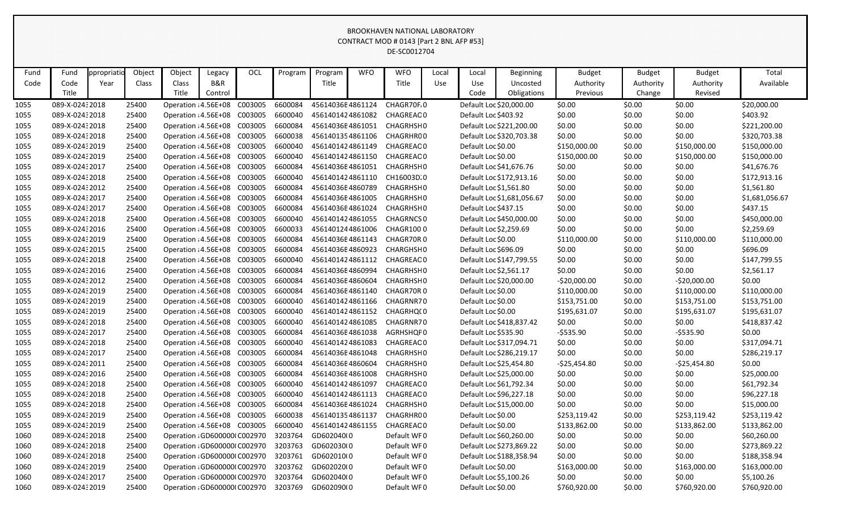|      |                 |            |        |                              |         |            |         |                  |            | CONTRACT MOD # 0143 [Part 2 BNL AFP #53] |       |                         |                            |               |               |               |                |
|------|-----------------|------------|--------|------------------------------|---------|------------|---------|------------------|------------|------------------------------------------|-------|-------------------------|----------------------------|---------------|---------------|---------------|----------------|
|      |                 |            |        |                              |         |            |         |                  |            | DE-SC0012704                             |       |                         |                            |               |               |               |                |
| Fund | Fund            | ppropriati | Object | Object                       | Legacy  | <b>OCL</b> | Program | Program          | <b>WFO</b> | <b>WFO</b>                               | Local | Local                   | Beginning                  | <b>Budget</b> | <b>Budget</b> | <b>Budget</b> | Total          |
| Code | Code            | Year       | Class  | Class                        | B&R     |            |         | Title            |            | Title                                    | Use   | Use                     | Uncosted                   | Authority     | Authority     | Authority     | Available      |
|      | Title           |            |        | Title                        | Control |            |         |                  |            |                                          |       | Code                    | Obligations                | Previous      | Change        | Revised       |                |
| 1055 | 089-X-02432018  |            | 25400  | Operation : 4.56E+08         |         | C003005    | 6600084 | 45614036E4861124 |            | CHAGR70F.0                               |       | Default Loc \$20,000.00 |                            | \$0.00        | \$0.00        | \$0.00        | \$20,000.00    |
| 1055 | 089-X-02432018  |            | 25400  | Operation : 4.56E+08         |         | C003005    | 6600040 | 4561401424861082 |            | CHAGREAC0                                |       | Default Loc \$403.92    |                            | \$0.00        | \$0.00        | \$0.00        | \$403.92       |
| 1055 | 089-X-02432018  |            | 25400  | Operation : 4.56E+08         |         | C003005    | 6600084 | 45614036E4861051 |            | CHAGRHSH0                                |       |                         | Default Loc \$221,200.00   | \$0.00        | \$0.00        | \$0.00        | \$221,200.00   |
| 1055 | 089-X-02432018  |            | 25400  | Operation : 4.56E+08         |         | C003005    | 6600038 | 4561401354861106 |            | CHAGRHR00                                |       |                         | Default Loc \$320,703.38   | \$0.00        | \$0.00        | \$0.00        | \$320,703.38   |
| 1055 | 089-X-02432019  |            | 25400  | Operation : 4.56E+08         |         | C003005    | 6600040 | 4561401424861149 |            | CHAGREAC0                                |       | Default Loc \$0.00      |                            | \$150,000.00  | \$0.00        | \$150,000.00  | \$150,000.00   |
| 1055 | 089-X-02432019  |            | 25400  | Operation : 4.56E+08         |         | C003005    | 6600040 | 4561401424861150 |            | CHAGREAC0                                |       | Default Loc \$0.00      |                            | \$150,000.00  | \$0.00        | \$150,000.00  | \$150,000.00   |
| 1055 | 089-X-02432017  |            | 25400  | Operation : 4.56E+08         |         | C003005    | 6600084 | 45614036E4861051 |            | CHAGRHSH0                                |       | Default Loc \$41,676.76 |                            | \$0.00        | \$0.00        | \$0.00        | \$41,676.76    |
| 1055 | 089-X-02432018  |            | 25400  | Operation : 4.56E+08         |         | C003005    | 6600040 | 4561401424861110 |            | CH16003D.0                               |       |                         | Default Loc \$172,913.16   | \$0.00        | \$0.00        | \$0.00        | \$172,913.16   |
| 1055 | 089-X-02432012  |            | 25400  | Operation : 4.56E+08         |         | C003005    | 6600084 | 45614036E4860789 |            | CHAGRHSH0                                |       | Default Loc \$1,561.80  |                            | \$0.00        | \$0.00        | \$0.00        | \$1,561.80     |
| 1055 | 089-X-02432017  |            | 25400  | Operation : 4.56E+08         |         | C003005    | 6600084 | 45614036E4861005 |            | CHAGRHSH0                                |       |                         | Default Loc \$1,681,056.67 | \$0.00        | \$0.00        | \$0.00        | \$1,681,056.67 |
| 1055 | 089-X-02432017  |            | 25400  | Operation : 4.56E+08         |         | C003005    | 6600084 | 45614036E4861024 |            | CHAGRHSH0                                |       | Default Loc \$437.15    |                            | \$0.00        | \$0.00        | \$0.00        | \$437.15       |
| 1055 | 089-X-02432018  |            | 25400  | Operation : 4.56E+08         |         | C003005    | 6600040 | 4561401424861055 |            | <b>CHAGRNCSO</b>                         |       |                         | Default Loc \$450,000.00   | \$0.00        | \$0.00        | \$0.00        | \$450,000.00   |
| 1055 | 089-X-02432016  |            | 25400  | Operation : 4.56E+08         |         | C003005    | 6600033 | 4561401244861006 |            | CHAGR1000                                |       | Default Loc \$2,259.69  |                            | \$0.00        | \$0.00        | \$0.00        | \$2,259.69     |
| 1055 | 089-X-02432019  |            | 25400  | Operation : 4.56E+08         |         | C003005    | 6600084 | 45614036E4861143 |            | CHAGR70R0                                |       | Default Loc \$0.00      |                            | \$110,000.00  | \$0.00        | \$110,000.00  | \$110,000.00   |
| 1055 | 089-X-0243 2015 |            | 25400  | Operation : 4.56E+08         |         | C003005    | 6600084 | 45614036E4860923 |            | CHARGHSH0                                |       | Default Loc \$696.09    |                            | \$0.00        | \$0.00        | \$0.00        | \$696.09       |
| 1055 | 089-X-02432018  |            | 25400  | Operation : 4.56E+08         |         | C003005    | 6600040 | 4561401424861112 |            | CHAGREAC0                                |       |                         | Default Loc \$147,799.55   | \$0.00        | \$0.00        | \$0.00        | \$147,799.55   |
| 1055 | 089-X-02432016  |            | 25400  | Operation : 4.56E+08         |         | C003005    | 6600084 | 45614036E4860994 |            | CHAGRHSH0                                |       | Default Loc \$2,561.17  |                            | \$0.00        | \$0.00        | \$0.00        | \$2,561.17     |
| 1055 | 089-X-02432012  |            | 25400  | Operation : 4.56E+08         |         | C003005    | 6600084 | 45614036E4860604 |            | CHAGRHSH0                                |       | Default Loc \$20,000.00 |                            | $-520,000.00$ | \$0.00        | $-$20,000.00$ | \$0.00         |
| 1055 | 089-X-02432019  |            | 25400  | Operation : 4.56E+08         |         | C003005    | 6600084 | 45614036E4861140 |            | CHAGR70R0                                |       | Default Loc \$0.00      |                            | \$110,000.00  | \$0.00        | \$110,000.00  | \$110,000.00   |
| 1055 | 089-X-02432019  |            | 25400  | Operation : 4.56E+08         |         | C003005    | 6600040 | 4561401424861166 |            | CHAGRNR70                                |       | Default Loc \$0.00      |                            | \$153,751.00  | \$0.00        | \$153,751.00  | \$153,751.00   |
| 1055 | 089-X-02432019  |            | 25400  | Operation : 4.56E+08         |         | C003005    | 6600040 | 4561401424861152 |            | CHAGRHQ(0                                |       | Default Loc \$0.00      |                            | \$195,631.07  | \$0.00        | \$195,631.07  | \$195,631.07   |
| 1055 | 089-X-02432018  |            | 25400  | Operation : 4.56E+08         |         | C003005    | 6600040 | 4561401424861085 |            | CHAGRNR70                                |       |                         | Default Loc \$418,837.42   | \$0.00        | \$0.00        | \$0.00        | \$418,837.42   |
| 1055 | 089-X-02432017  |            | 25400  | Operation : 4.56E+08         |         | C003005    | 6600084 | 45614036E4861038 |            | AGRHSHQF 0                               |       | Default Loc \$535.90    |                            | $-5535.90$    | \$0.00        | $-$ \$535.90  | \$0.00         |
| 1055 | 089-X-02432018  |            | 25400  | Operation : 4.56E+08         |         | C003005    | 6600040 | 4561401424861083 |            | CHAGREAC0                                |       |                         | Default Loc \$317,094.71   | \$0.00        | \$0.00        | \$0.00        | \$317,094.71   |
| 1055 | 089-X-02432017  |            | 25400  | Operation : 4.56E+08         |         | C003005    | 6600084 | 45614036E4861048 |            | CHAGRHSH0                                |       |                         | Default Loc \$286,219.17   | \$0.00        | \$0.00        | \$0.00        | \$286,219.17   |
| 1055 | 089-X-02432011  |            | 25400  | Operation : 4.56E+08         |         | C003005    | 6600084 | 45614036E4860604 |            | CHAGRHSH0                                |       | Default Loc \$25,454.80 |                            | $-525,454.80$ | \$0.00        | $-$25,454.80$ | \$0.00         |
| 1055 | 089-X-02432016  |            | 25400  | Operation : 4.56E+08 C003005 |         |            | 6600084 | 45614036E4861008 |            | CHAGRHSH0                                |       | Default Loc \$25,000.00 |                            | \$0.00        | \$0.00        | \$0.00        | \$25,000.00    |
| 1055 | 089-X-02432018  |            | 25400  | Operation : 4.56E+08 C003005 |         |            | 6600040 | 4561401424861097 |            | CHAGREAC0                                |       | Default Loc \$61,792.34 |                            | \$0.00        | \$0.00        | \$0.00        | \$61,792.34    |
| 1055 | 089-X-02432018  |            | 25400  | Operation : 4.56E+08 C003005 |         |            | 6600040 | 4561401424861113 |            | CHAGREAC 0                               |       | Default Loc \$96,227.18 |                            | \$0.00        | \$0.00        | \$0.00        | \$96,227.18    |
| 1055 | 089-X-02432018  |            | 25400  | Operation : 4.56E+08 C003005 |         |            | 6600084 | 45614036E4861024 |            | CHAGRHSH0                                |       | Default Loc \$15,000.00 |                            | \$0.00        | \$0.00        | \$0.00        | \$15,000.00    |
| 1055 | 089-X-02432019  |            | 25400  | Operation : 4.56E+08 C003005 |         |            | 6600038 | 4561401354861137 |            | CHAGRHR00                                |       | Default Loc \$0.00      |                            | \$253,119.42  | \$0.00        | \$253,119.42  | \$253,119.42   |
| 1055 | 089-X-02432019  |            | 25400  | Operation : 4.56E+08 C003005 |         |            | 6600040 | 4561401424861155 |            | CHAGREAC0                                |       | Default Loc \$0.00      |                            | \$133,862.00  | \$0.00        | \$133,862.00  | \$133,862.00   |
| 1060 | 089-X-02432018  |            | 25400  | Operation : GD600000(C002970 |         |            | 3203764 | GD602040(0       |            | Default WF0                              |       | Default Loc \$60,260.00 |                            | \$0.00        | \$0.00        | \$0.00        | \$60,260.00    |
| 1060 | 089-X-02432018  |            | 25400  | Operation : GD600000(C002970 |         |            | 3203763 | GD602030(0       |            | Default WF0                              |       |                         | Default Loc \$273,869.22   | \$0.00        | \$0.00        | \$0.00        | \$273,869.22   |
| 1060 | 089-X-02432018  |            | 25400  | Operation : GD600000(C002970 |         |            | 3203761 | GD602010(0       |            | Default WF0                              |       |                         | Default Loc \$188,358.94   | \$0.00        | \$0.00        | \$0.00        | \$188,358.94   |
| 1060 | 089-X-02432019  |            | 25400  | Operation : GD600000(C002970 |         |            | 3203762 | GD602020(0       |            | Default WF0                              |       | Default Loc \$0.00      |                            | \$163,000.00  | \$0.00        | \$163,000.00  | \$163,000.00   |
| 1060 | 089-X-02432017  |            | 25400  | Operation : GD600000(C002970 |         |            | 3203764 | GD602040(0       |            | Default WF0                              |       | Default Loc \$5,100.26  |                            | \$0.00        | \$0.00        | \$0.00        | \$5,100.26     |
| 1060 | 089-X-02432019  |            | 25400  | Operation : GD600000(C002970 |         |            | 3203769 | GD602090(0       |            | Default WF0                              |       | Default Loc \$0.00      |                            | \$760,920.00  | \$0.00        | \$760,920.00  | \$760,920.00   |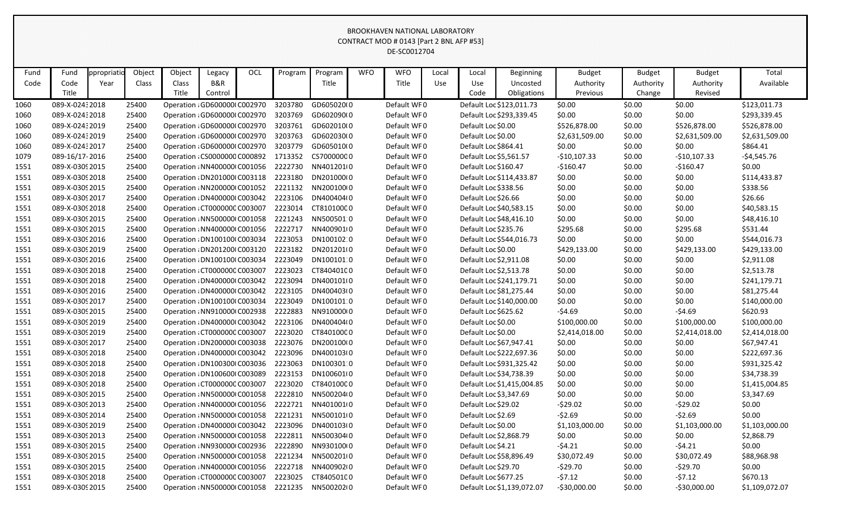|      |                 |            |        |                               |                                      |            |         |            |            | CONTRACT MOD # 0145 [Part 2 BNL AFF #55]<br>DE-SC0012704 |       |                         |                            |                |               |                |                |
|------|-----------------|------------|--------|-------------------------------|--------------------------------------|------------|---------|------------|------------|----------------------------------------------------------|-------|-------------------------|----------------------------|----------------|---------------|----------------|----------------|
|      |                 |            |        |                               |                                      |            |         |            |            |                                                          |       |                         |                            |                |               |                |                |
| Fund | Fund            | ppropriati | Object | Object                        | Legacy                               | <b>OCL</b> | Program | Program    | <b>WFO</b> | <b>WFO</b>                                               | Local | Local                   | <b>Beginning</b>           | <b>Budget</b>  | <b>Budget</b> | <b>Budget</b>  | Total          |
| Code | Code            | Year       | Class  | Class                         | B&R                                  |            |         | Title      |            | Title                                                    | Use   | Use                     | Uncosted                   | Authority      | Authority     | Authority      | Available      |
|      | Title           |            |        | Title                         | Control                              |            |         |            |            |                                                          |       | Code                    | Obligations                | Previous       | Change        | Revised        |                |
| 1060 | 089-X-02432018  |            | 25400  |                               | Operation : GD600000(C002970         |            | 3203780 | GD605020(0 |            | Default WF0                                              |       |                         | Default Loc \$123,011.73   | \$0.00         | \$0.00        | \$0.00         | \$123,011.73   |
| 1060 | 089-X-02432018  |            | 25400  |                               | Operation : GD600000(C002970         |            | 3203769 | GD602090(0 |            | Default WF0                                              |       |                         | Default Loc \$293,339.45   | \$0.00         | \$0.00        | \$0.00         | \$293,339.45   |
| 1060 | 089-X-02432019  |            | 25400  |                               | Operation : GD600000(C002970         |            | 3203761 | GD602010(0 |            | Default WF0                                              |       | Default Loc \$0.00      |                            | \$526,878.00   | \$0.00        | \$526,878.00   | \$526,878.00   |
| 1060 | 089-X-0243 2019 |            | 25400  |                               | Operation : GD600000(C002970         |            | 3203763 | GD602030(0 |            | Default WF0                                              |       | Default Loc \$0.00      |                            | \$2,631,509.00 | \$0.00        | \$2,631,509.00 | \$2,631,509.00 |
| 1060 | 089-X-02432017  |            | 25400  |                               | Operation : GD600000(C002970         |            | 3203779 | GD605010(0 |            | Default WF0                                              |       | Default Loc \$864.41    |                            | \$0.00         | \$0.00        | \$0.00         | \$864.41       |
| 1079 | 089-16/17-2016  |            | 25400  |                               | Operation : CS0000000 C000892        |            | 1713352 | CS70000000 |            | Default WF0                                              |       | Default Loc \$5,561.57  |                            | $-$10,107.33$  | \$0.00        | $-$10,107.33$  | -\$4,545.76    |
| 1551 | 089-X-0309 2015 |            | 25400  |                               | Operation : NN400000 C001056         |            | 2222730 | NN401201(0 |            | Default WF0                                              |       | Default Loc \$160.47    |                            | $-$160.47$     | \$0.00        | $-$160.47$     | \$0.00         |
| 1551 | 089-X-0309 2018 |            | 25400  |                               | Operation : DN201000(C003118         |            | 2223180 | DN201000(0 |            | Default WF0                                              |       |                         | Default Loc \$114,433.87   | \$0.00         | \$0.00        | \$0.00         | \$114,433.87   |
| 1551 | 089-X-0309 2015 |            | 25400  |                               | Operation : NN200000 C001052         |            | 2221132 | NN200100(0 |            | Default WF0                                              |       | Default Loc \$338.56    |                            | \$0.00         | \$0.00        | \$0.00         | \$338.56       |
| 1551 | 089-X-0309 2017 |            | 25400  |                               | Operation : DN400000(C003042         |            | 2223106 | DN400404(0 |            | Default WF0                                              |       | Default Loc \$26.66     |                            | \$0.00         | \$0.00        | \$0.00         | \$26.66        |
| 1551 | 089-X-0309 2018 |            | 25400  |                               | Operation : CT0000000 C003007        |            | 2223014 | CT81010000 |            | Default WF0                                              |       | Default Loc \$40,583.15 |                            | \$0.00         | \$0.00        | \$0.00         | \$40,583.15    |
| 1551 | 089-X-0309 2015 |            | 25400  |                               | Operation : NN500000 C001058         |            | 2221243 | NN500501:0 |            | Default WF0                                              |       |                         | Default Loc \$48,416.10    | \$0.00         | \$0.00        | \$0.00         | \$48,416.10    |
| 1551 | 089-X-0309 2015 |            | 25400  |                               | Operation : NN400000 C001056         |            | 2222717 | NN400901(0 |            | Default WF0                                              |       | Default Loc \$235.76    |                            | \$295.68       | \$0.00        | \$295.68       | \$531.44       |
| 1551 | 089-X-0309 2016 |            | 25400  |                               | Operation : DN100100(C003034         |            | 2223053 | DN100102:0 |            | Default WF0                                              |       |                         | Default Loc \$544,016.73   | \$0.00         | \$0.00        | \$0.00         | \$544,016.73   |
| 1551 | 089-X-0309 2019 |            | 25400  |                               | Operation : DN201200(C003120         |            | 2223182 | DN201201(0 |            | Default WF0                                              |       | Default Loc \$0.00      |                            | \$429,133.00   | \$0.00        | \$429,133.00   | \$429,133.00   |
| 1551 | 089-X-0309 2016 |            | 25400  |                               | Operation : DN100100(C003034         |            | 2223049 | DN100101:0 |            | Default WF0                                              |       | Default Loc \$2,911.08  |                            | \$0.00         | \$0.00        | \$0.00         | \$2,911.08     |
| 1551 | 089-X-0309 2018 |            | 25400  |                               | Operation : CT0000000 C003007        |            | 2223023 | CT84040100 |            | Default WF0                                              |       | Default Loc \$2,513.78  |                            | \$0.00         | \$0.00        | \$0.00         | \$2,513.78     |
| 1551 | 089-X-0309 2018 |            | 25400  |                               | Operation : DN4000001 C003042        |            | 2223094 | DN400101(0 |            | Default WF0                                              |       |                         | Default Loc \$241,179.71   | \$0.00         | \$0.00        | \$0.00         | \$241,179.71   |
| 1551 | 089-X-0309 2016 |            | 25400  |                               | Operation : DN4000001 C003042        |            | 2223105 | DN400403(0 |            | Default WF0                                              |       |                         | Default Loc \$81,275.44    | \$0.00         | \$0.00        | \$0.00         | \$81,275.44    |
| 1551 | 089-X-0309 2017 |            | 25400  |                               | Operation : DN100100(C003034         |            | 2223049 | DN100101:0 |            | Default WF0                                              |       |                         | Default Loc \$140,000.00   | \$0.00         | \$0.00        | \$0.00         | \$140,000.00   |
| 1551 | 089-X-0309 2015 |            | 25400  |                               | Operation : NN910000 C002938         |            | 2222883 | NN91000010 |            | Default WF0                                              |       | Default Loc \$625.62    |                            | $-54.69$       | \$0.00        | $-54.69$       | \$620.93       |
| 1551 | 089-X-0309 2019 |            | 25400  |                               | Operation : DN4000001 C003042        |            | 2223106 | DN400404(0 |            | Default WF0                                              |       | Default Loc \$0.00      |                            | \$100,000.00   | \$0.00        | \$100,000.00   | \$100,000.00   |
| 1551 | 089-X-0309 2019 |            | 25400  |                               | Operation : CT0000000 C003007        |            | 2223020 | CT84010000 |            | Default WF0                                              |       | Default Loc \$0.00      |                            | \$2,414,018.00 | \$0.00        | \$2,414,018.00 | \$2,414,018.00 |
| 1551 | 089-X-0309 2017 |            | 25400  |                               | Operation : DN2000001 C003038        |            | 2223076 | DN200100(0 |            | Default WF0                                              |       | Default Loc \$67,947.41 |                            | \$0.00         | \$0.00        | \$0.00         | \$67,947.41    |
| 1551 | 089-X-0309 2018 |            | 25400  |                               | Operation : DN400000(C003042         |            | 2223096 | DN400103(0 |            | Default WF0                                              |       |                         | Default Loc \$222,697.36   | \$0.00         | \$0.00        | \$0.00         | \$222,697.36   |
| 1551 | 089-X-0309 2018 |            | 25400  |                               | Operation : DN100300(C003036 2223063 |            |         | DN100301:0 |            | Default WF0                                              |       |                         | Default Loc \$931,325.42   | \$0.00         | \$0.00        | \$0.00         | \$931,325.42   |
| 1551 | 089-X-0309 2018 |            | 25400  |                               | Operation : DN1006000 C003089        |            | 2223153 | DN100601(0 |            | Default WF0                                              |       |                         | Default Loc \$34,738.39    | \$0.00         | \$0.00        | \$0.00         | \$34,738.39    |
| 1551 | 089-X-0309 2018 |            | 25400  |                               | Operation : CT0000000 C003007        |            | 2223020 | CT84010000 |            | Default WF0                                              |       |                         | Default Loc \$1,415,004.85 | \$0.00         | \$0.00        | \$0.00         | \$1,415,004.85 |
| 1551 | 089-X-0309 2015 |            | 25400  |                               | Operation : NN500000 C001058         |            | 2222810 | NN500204(0 |            | Default WF0                                              |       | Default Loc \$3,347.69  |                            | \$0.00         | \$0.00        | \$0.00         | \$3,347.69     |
| 1551 | 089-X-0309 2013 |            | 25400  |                               | Operation : NN400000 (C001056        |            | 2222721 | NN401001(0 |            | Default WF0                                              |       | Default Loc \$29.02     |                            | $-529.02$      | \$0.00        | $-529.02$      | \$0.00         |
| 1551 | 089-X-0309 2014 |            | 25400  |                               | Operation : NN500000 C001058         |            | 2221231 | NN500101(0 |            | Default WF0                                              |       | Default Loc \$2.69      |                            | $-52.69$       | \$0.00        | $-52.69$       | \$0.00         |
| 1551 | 089-X-0309 2019 |            | 25400  |                               | Operation : DN400000 C003042         |            | 2223096 | DN400103(0 |            | Default WF0                                              |       | Default Loc \$0.00      |                            | \$1,103,000.00 | \$0.00        | \$1,103,000.00 | \$1,103,000.00 |
| 1551 | 089-X-0309 2013 |            | 25400  |                               | Operation : NN500000 C001058         |            | 2222811 | NN500304(0 |            | Default WF0                                              |       | Default Loc \$2,868.79  |                            | \$0.00         | \$0.00        | \$0.00         | \$2,868.79     |
| 1551 | 089-X-0309 2015 |            | 25400  |                               | Operation : NN930000 C002936         |            | 2222890 | NN930100(0 |            | Default WF0                                              |       | Default Loc \$4.21      |                            | $-54.21$       | \$0.00        | $-54.21$       | \$0.00         |
| 1551 | 089-X-0309 2015 |            | 25400  |                               | Operation : NN500000 C001058         |            | 2221234 | NN500201(0 |            | Default WF0                                              |       |                         | Default Loc \$58,896.49    | \$30,072.49    | \$0.00        | \$30,072.49    | \$88,968.98    |
| 1551 | 089-X-0309 2015 |            | 25400  |                               | Operation : NN400000 C001056         |            | 2222718 | NN400902(0 |            | Default WF0                                              |       | Default Loc \$29.70     |                            | $-529.70$      | \$0.00        | $-529.70$      | \$0.00         |
| 1551 | 089-X-0309 2018 |            | 25400  | Operation : CT0000000 C003007 |                                      |            | 2223025 | CT84050100 |            | Default WF0                                              |       | Default Loc \$677.25    |                            | $-57.12$       | \$0.00        | $-57.12$       | \$670.13       |
| 1551 | 089-X-0309 2015 |            | 25400  |                               | Operation : NN500000 C001058         |            | 2221235 | NN500202(0 |            | Default WF0                                              |       |                         | Default Loc \$1,139,072.07 | $-530,000.00$  | \$0.00        | $-530,000.00$  | \$1,109,072.07 |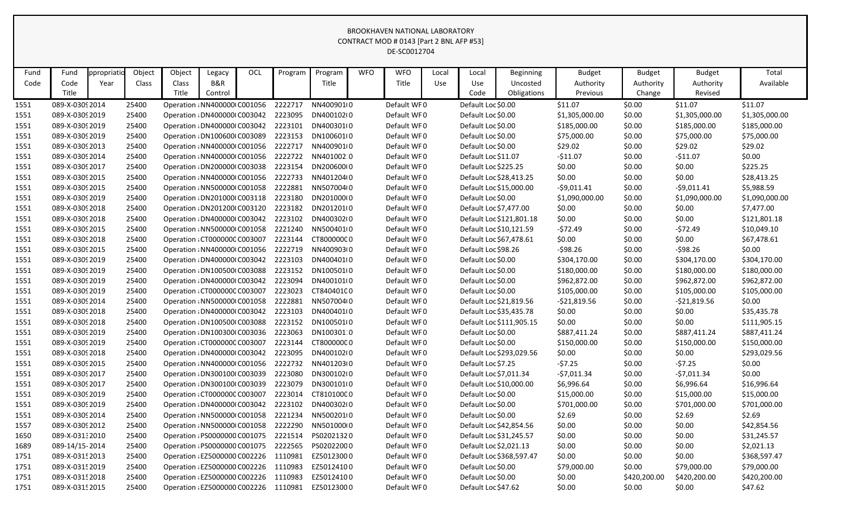#### BROOKHAVEN NATIONAL LABORATORY  $\frac{1}{2}$ CT MOD # 0143  $\frac{1}{2}$   $\frac{1}{2}$  BNL AFR #53]

|      |                 |            |        |                               |                               |            |         |            |            | CONTRACT MOD # 0143 [Part 2 BNL AFP #53]<br>DE-SC0012704 |       |                         |                          |                |               |                |                |
|------|-----------------|------------|--------|-------------------------------|-------------------------------|------------|---------|------------|------------|----------------------------------------------------------|-------|-------------------------|--------------------------|----------------|---------------|----------------|----------------|
| Fund | Fund            | ppropriati | Object | Object                        | Legacy                        | <b>OCL</b> | Program | Program    | <b>WFO</b> | <b>WFO</b>                                               | Local | Local                   | Beginning                | <b>Budget</b>  | <b>Budget</b> | <b>Budget</b>  | Total          |
| Code | Code            | Year       | Class  | Class                         | B&R                           |            |         | Title      |            | Title                                                    | Use   | Use                     | Uncosted                 | Authority      | Authority     | Authority      | Available      |
|      | Title           |            |        | Title                         | Control                       |            |         |            |            |                                                          |       | Code                    | Obligations              | Previous       | Change        | Revised        |                |
| 1551 | 089-X-0309 2014 |            | 25400  |                               | Operation : NN400000 C001056  |            | 2222717 | NN400901(0 |            | Default WF0                                              |       | Default Loc \$0.00      |                          | \$11.07        | \$0.00        | \$11.07        | \$11.07        |
| 1551 | 089-X-0309 2019 |            | 25400  | Operation : DN4000001 C003042 |                               |            | 2223095 | DN400102(0 |            | Default WF0                                              |       | Default Loc \$0.00      |                          | \$1,305,000.00 | \$0.00        | \$1,305,000.00 | \$1,305,000.00 |
| 1551 | 089-X-0309 2019 |            | 25400  | Operation : DN400000(C003042  |                               |            | 2223101 | DN400301(0 |            | Default WF0                                              |       | Default Loc \$0.00      |                          | \$185,000.00   | \$0.00        | \$185,000.00   | \$185,000.00   |
| 1551 | 089-X-0309 2019 |            | 25400  | Operation : DN100600(C003089  |                               |            | 2223153 | DN100601(0 |            | Default WF0                                              |       | Default Loc \$0.00      |                          | \$75,000.00    | \$0.00        | \$75,000.00    | \$75,000.00    |
| 1551 | 089-X-0309 2013 |            | 25400  | Operation : NN400000 C001056  |                               |            | 2222717 | NN400901(0 |            | Default WF0                                              |       | Default Loc \$0.00      |                          | \$29.02        | \$0.00        | \$29.02        | \$29.02        |
| 1551 | 089-X-0309 2014 |            | 25400  | Operation : NN400000 C001056  |                               |            | 2222722 | NN401002:0 |            | Default WF0                                              |       | Default Loc \$11.07     |                          | $-511.07$      | \$0.00        | $-511.07$      | \$0.00         |
| 1551 | 089-X-0309 2017 |            | 25400  | Operation : DN2000001 C003038 |                               |            | 2223154 | DN200600(0 |            | Default WF0                                              |       | Default Loc \$225.25    |                          | \$0.00         | \$0.00        | \$0.00         | \$225.25       |
| 1551 | 089-X-0309 2015 |            | 25400  | Operation : NN400000 C001056  |                               |            | 2222733 | NN401204(0 |            | Default WF0                                              |       |                         | Default Loc \$28,413.25  | \$0.00         | \$0.00        | \$0.00         | \$28,413.25    |
| 1551 | 089-X-0309 2015 |            | 25400  | Operation : NN500000 C001058  |                               |            | 2222881 | NN507004(0 |            | Default WF0                                              |       |                         | Default Loc \$15,000.00  | $-59,011.41$   | \$0.00        | $-59,011.41$   | \$5,988.59     |
| 1551 | 089-X-0309 2019 |            | 25400  | Operation : DN201000(C003118  |                               |            | 2223180 | DN201000(0 |            | Default WF0                                              |       | Default Loc \$0.00      |                          | \$1,090,000.00 | \$0.00        | \$1,090,000.00 | \$1,090,000.00 |
| 1551 | 089-X-0309 2018 |            | 25400  | Operation : DN201200(C003120  |                               |            | 2223182 | DN201201(0 |            | Default WF0                                              |       | Default Loc \$7,477.00  |                          | \$0.00         | \$0.00        | \$0.00         | \$7,477.00     |
| 1551 | 089-X-03092018  |            | 25400  | Operation : DN400000(C003042  |                               |            | 2223102 | DN400302(0 |            | Default WF0                                              |       |                         | Default Loc \$121,801.18 | \$0.00         | \$0.00        | \$0.00         | \$121,801.18   |
| 1551 | 089-X-0309 2015 |            | 25400  | Operation: NN500000 C001058   |                               |            | 2221240 | NN500401(0 |            | Default WF0                                              |       |                         | Default Loc \$10,121.59  | $-572.49$      | \$0.00        | $-572.49$      | \$10,049.10    |
| 1551 | 089-X-0309 2018 |            | 25400  |                               | Operation : CT0000000 C003007 |            | 2223144 | CT80000000 |            | Default WF0                                              |       |                         | Default Loc \$67,478.61  | \$0.00         | \$0.00        | \$0.00         | \$67,478.61    |
| 1551 | 089-X-0309 2015 |            | 25400  | Operation : NN400000 C001056  |                               |            | 2222719 | NN400903(0 |            | Default WF0                                              |       | Default Loc \$98.26     |                          | $-598.26$      | \$0.00        | $-598.26$      | \$0.00         |
| 1551 | 089-X-0309 2019 |            | 25400  | Operation : DN4000001 C003042 |                               |            | 2223103 | DN400401(0 |            | Default WF0                                              |       | Default Loc \$0.00      |                          | \$304,170.00   | \$0.00        | \$304,170.00   | \$304,170.00   |
| 1551 | 089-X-0309 2019 |            | 25400  | Operation : DN100500(C003088  |                               |            | 2223152 | DN100501(0 |            | Default WF0                                              |       | Default Loc \$0.00      |                          | \$180,000.00   | \$0.00        | \$180,000.00   | \$180,000.00   |
| 1551 | 089-X-0309 2019 |            | 25400  | Operation : DN4000001 C003042 |                               |            | 2223094 | DN400101(0 |            | Default WF0                                              |       | Default Loc \$0.00      |                          | \$962,872.00   | \$0.00        | \$962,872.00   | \$962,872.00   |
| 1551 | 089-X-0309 2019 |            | 25400  |                               | Operation : CT0000000 C003007 |            | 2223023 | CT84040100 |            | Default WF0                                              |       | Default Loc \$0.00      |                          | \$105,000.00   | \$0.00        | \$105,000.00   | \$105,000.00   |
| 1551 | 089-X-0309 2014 |            | 25400  | Operation : NN500000 C001058  |                               |            | 2222881 | NN507004(0 |            | Default WF0                                              |       |                         | Default Loc \$21,819.56  | $-521,819.56$  | \$0.00        | $-521,819.56$  | \$0.00         |
| 1551 | 089-X-0309 2018 |            | 25400  | Operation : DN400000(C003042  |                               |            | 2223103 | DN400401(0 |            | Default WF0                                              |       |                         | Default Loc \$35,435.78  | \$0.00         | \$0.00        | \$0.00         | \$35,435.78    |
| 1551 | 089-X-03092018  |            | 25400  | Operation : DN100500(C003088  |                               |            | 2223152 | DN100501(0 |            | Default WF0                                              |       |                         | Default Loc \$111,905.15 | \$0.00         | \$0.00        | \$0.00         | \$111,905.15   |
| 1551 | 089-X-0309 2019 |            | 25400  | Operation : DN100300(C003036  |                               |            | 2223063 | DN100301:0 |            | Default WF0                                              |       | Default Loc \$0.00      |                          | \$887,411.24   | \$0.00        | \$887,411.24   | \$887,411.24   |
| 1551 | 089-X-0309 2019 |            | 25400  | Operation : CT0000000 C003007 |                               |            | 2223144 | CT80000000 |            | Default WF0                                              |       | Default Loc \$0.00      |                          | \$150,000.00   | \$0.00        | \$150,000.00   | \$150,000.00   |
| 1551 | 089-X-0309 2018 |            | 25400  | Operation : DN400000 C003042  |                               |            | 2223095 | DN400102(0 |            | Default WF0                                              |       |                         | Default Loc \$293,029.56 | \$0.00         | \$0.00        | \$0.00         | \$293,029.56   |
| 1551 | 089-X-0309 2015 |            | 25400  | Operation : NN400000 C001056  |                               |            | 2222732 | NN401203(0 |            | Default WF0                                              |       | Default Loc \$7.25      |                          | $-57.25$       | \$0.00        | $-57.25$       | \$0.00         |
| 1551 | 089-X-0309 2017 |            | 25400  | Operation : DN300100(C003039  |                               |            | 2223080 | DN300102(0 |            | Default WF0                                              |       | Default Loc \$7,011.34  |                          | -\$7,011.34    | \$0.00        | $-57,011.34$   | \$0.00         |
| 1551 | 089-X-0309 2017 |            | 25400  | Operation : DN300100(C003039  |                               |            | 2223079 | DN300101(0 |            | Default WF0                                              |       |                         | Default Loc \$10,000.00  | \$6,996.64     | \$0.00        | \$6,996.64     | \$16,996.64    |
| 1551 | 089-X-0309 2019 |            | 25400  | Operation : CT0000000 C003007 |                               |            | 2223014 | CT81010000 |            | Default WF0                                              |       | Default Loc \$0.00      |                          | \$15,000.00    | \$0.00        | \$15,000.00    | \$15,000.00    |
| 1551 | 089-X-0309 2019 |            | 25400  | Operation : DN400000 C003042  |                               |            | 2223102 | DN400302(0 |            | Default WF0                                              |       | Default Loc \$0.00      |                          | \$701,000.00   | \$0.00        | \$701,000.00   | \$701,000.00   |
| 1551 | 089-X-0309 2014 |            | 25400  | Operation : NN500000 C001058  |                               |            | 2221234 | NN500201(0 |            | Default WF0                                              |       | Default Loc \$0.00      |                          | \$2.69         | \$0.00        | \$2.69         | \$2.69         |
| 1557 | 089-X-0309 2012 |            | 25400  | Operation : NN500000 C001058  |                               |            | 2222290 | NN501000(0 |            | Default WF0                                              |       |                         | Default Loc \$42,854.56  | \$0.00         | \$0.00        | \$0.00         | \$42,854.56    |
| 1650 | 089-X-03132010  |            | 25400  | Operation : PS0000000 C001075 |                               |            | 2221514 | PS02021320 |            | Default WF0                                              |       | Default Loc \$31,245.57 |                          | \$0.00         | \$0.00        | \$0.00         | \$31,245.57    |
| 1689 | 089-14/15-2014  |            | 25400  | Operation : PS0000000 C001075 |                               |            | 2222565 | PS02022000 |            | Default WF0                                              |       | Default Loc \$2,021.13  |                          | \$0.00         | \$0.00        | \$0.00         | \$2,021.13     |
| 1751 | 089-X-0315 2013 |            | 25400  | Operation : EZ5000000 C002226 |                               |            | 1110981 | EZ50123000 |            | Default WF0                                              |       |                         | Default Loc \$368,597.47 | \$0.00         | \$0.00        | \$0.00         | \$368,597.47   |
| 1751 | 089-X-0315 2019 |            | 25400  | Operation : EZ5000000 C002226 |                               |            | 1110983 | EZ50124100 |            | Default WF0                                              |       | Default Loc \$0.00      |                          | \$79,000.00    | \$0.00        | \$79,000.00    | \$79,000.00    |
| 1751 | 089-X-0315 2018 |            | 25400  | Operation : EZ5000000 C002226 |                               |            | 1110983 | EZ50124100 |            | Default WF0                                              |       | Default Loc \$0.00      |                          | \$0.00         | \$420,200.00  | \$420,200.00   | \$420,200.00   |
| 1751 | 089-X-0315 2015 |            | 25400  | Operation : EZ5000000 C002226 |                               |            | 1110981 | EZ50123000 |            | Default WF0                                              |       | Default Loc \$47.62     |                          | \$0.00         | \$0.00        | \$0.00         | \$47.62        |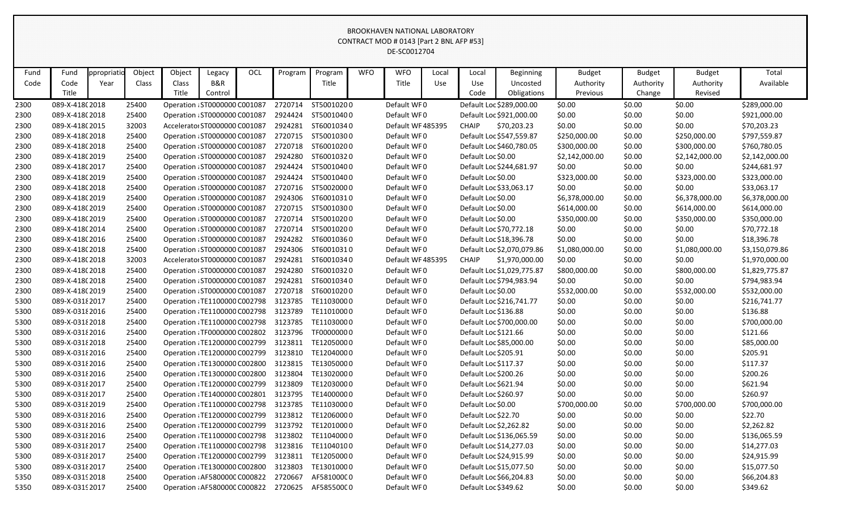| Object<br>Object<br>OCL<br><b>WFO</b><br><b>WFO</b><br>Fund<br>Program<br>Program<br>Total<br>Fund<br>ppropriati<br>Legacy<br>Local<br>Local<br><b>Beginning</b><br><b>Budget</b><br><b>Budget</b><br><b>Budget</b><br>B&R<br>Title<br>Code<br>Code<br>Class<br>Class<br>Title<br>Use<br>Available<br>Year<br>Use<br>Uncosted<br>Authority<br>Authority<br>Authority<br>Title<br>Title<br>Revised<br>Control<br>Code<br>Obligations<br>Previous<br>Change<br>ST50010200<br>Default WF0<br>Default Loc \$289,000.00<br>\$0.00<br>\$0.00<br>\$289,000.00<br>2300<br>089-X-418(2018<br>25400<br>Operation : ST0000000 C001087<br>2720714<br>\$0.00<br>\$0.00<br>089-X-418(2018<br>25400<br>2924424<br>ST50010400<br>Default WF0<br>Default Loc \$921,000.00<br>\$0.00<br>\$0.00<br>\$921,000.00<br>2300<br>Operation : ST0000000 C001087<br>2924281<br>ST60010340<br><b>CHAIP</b><br>\$70,203.23<br>\$0.00<br>\$70,203.23<br>089-X-418(2015<br>32003<br>Acceleratoi ST0000000 C001087<br>Default WF 485395<br>\$0.00<br>\$0.00<br>2300<br>2720715<br>ST50010300<br>Default Loc \$547,559.87<br>2300<br>089-X-418(2018<br>25400<br>Operation : ST0000000 C001087<br>Default WF0<br>\$250,000.00<br>\$0.00<br>\$250,000.00<br>\$797,559.87<br>2720718<br>ST60010200<br>089-X-418(2018<br>25400<br>Operation : ST0000000 C001087<br>Default WF0<br>Default Loc \$460,780.05<br>\$300,000.00<br>\$0.00<br>\$300,000.00<br>\$760,780.05<br>2300<br>2924280<br>ST60010320<br>Default Loc \$0.00<br>2300<br>Operation : ST0000000 C001087<br>Default WF0<br>\$2,142,000.00<br>\$2,142,000.00<br>\$2,142,000.00<br>089-X-418(2019<br>25400<br>\$0.00<br>2924424<br>ST50010400<br>Default Loc \$244,681.97<br>2300<br>089-X-418(2017<br>25400<br>Operation : ST0000000 C001087<br>Default WF0<br>\$0.00<br>\$0.00<br>\$0.00<br>\$244,681.97<br>2924424<br>ST50010400<br>Default Loc \$0.00<br>\$323,000.00<br>\$323,000.00<br>089-X-418(2019<br>25400<br>Operation : ST0000000 C001087<br>Default WF0<br>\$0.00<br>\$323,000.00<br>2300<br>25400<br>Operation : ST0000000 C001087<br>2720716<br>ST50020000<br>Default WF0<br>Default Loc \$33,063.17<br>\$0.00<br>\$0.00<br>\$0.00<br>\$33,063.17<br>2300<br>089-X-418(2018<br>2924306<br>ST60010310<br>089-X-418(2019<br>25400<br>Operation : ST0000000 C001087<br>Default WF0<br>Default Loc \$0.00<br>\$6,378,000.00<br>\$0.00<br>\$6,378,000.00<br>\$6,378,000.00<br>2300<br>2720715<br>ST50010300<br>25400<br>Default WF0<br>Default Loc \$0.00<br>\$614,000.00<br>\$0.00<br>\$614,000.00<br>\$614,000.00<br>2300<br>089-X-418(2019<br>Operation : ST0000000 C001087<br>2720714<br>ST50010200<br>Default WF0<br>Default Loc \$0.00<br>089-X-418(2019<br>25400<br>Operation : ST0000000 C001087<br>\$350,000.00<br>\$0.00<br>\$350,000.00<br>\$350,000.00<br>2300<br>2720714<br>ST50010200<br>Default Loc \$70,772.18<br>\$0.00<br>\$70,772.18<br>089-X-418(2014<br>25400<br>Operation : ST0000000 C001087<br>Default WF0<br>\$0.00<br>\$0.00<br>2300<br>25400<br>2924282<br>ST60010360<br>Default Loc \$18,396.78<br>\$0.00<br>\$0.00<br>2300<br>089-X-418(2016<br>Operation : ST0000000 C001087<br>Default WF0<br>\$0.00<br>\$18,396.78<br>ST60010310<br>Default WF0<br>089-X-418(2018<br>25400<br>Operation : ST0000000 C001087<br>2924306<br>Default Loc \$2,070,079.86<br>\$0.00<br>\$1,080,000.00<br>\$3,150,079.86<br>2300<br>\$1,080,000.00<br>2924281<br>ST60010340<br>2300<br>32003<br>Accelerato: ST0000000 C001087<br>Default WF 485395<br><b>CHAIP</b><br>\$1,970,000.00<br>\$0.00<br>\$0.00<br>\$0.00<br>\$1,970,000.00<br>089-X-418(2018<br>2924280<br>ST60010320<br>\$800,000.00<br>2300<br>089-X-418(2018<br>25400<br>Operation : ST0000000 C001087<br>Default WF0<br>Default Loc \$1,029,775.87<br>\$800,000.00<br>\$0.00<br>\$1,829,775.87<br>2924281<br>ST60010340<br>Default Loc \$794,983.94<br>\$0.00<br>089-X-418(2018<br>25400<br>Operation : ST0000000 C001087<br>Default WF0<br>\$0.00<br>\$0.00<br>\$794,983.94<br>2300<br>2720718<br>ST60010200<br>Default Loc \$0.00<br>089-X-418(2019<br>25400<br>Operation : ST0000000 C001087<br>Default WF0<br>\$532,000.00<br>\$0.00<br>\$532,000.00<br>\$532,000.00<br>2300<br>3123785<br>TE11030000<br>089-X-0318 2017<br>25400<br>Operation : TE1100000 C002798<br>Default WF0<br>Default Loc \$216,741.77<br>\$0.00<br>\$0.00<br>\$216,741.77<br>5300<br>\$0.00<br>3123789<br>TE11010000<br>\$0.00<br>\$136.88<br>25400<br>Operation : TE1100000 C002798<br>Default WF0<br>Default Loc \$136.88<br>\$0.00<br>\$0.00<br>5300<br>089-X-0318 2016<br>3123785<br>TE11030000<br>\$0.00<br>\$700,000.00<br>089-X-03182018<br>25400<br>Operation : TE1100000 C002798<br>Default WF0<br>Default Loc \$700,000.00<br>\$0.00<br>\$0.00<br>5300<br>3123796<br>TF00000000<br>\$121.66<br>25400<br>Operation : TF0000000 C002802<br>Default WF0<br>Default Loc \$121.66<br>\$0.00<br>\$0.00<br>\$0.00<br>5300<br>089-X-0318 2016<br>\$0.00<br>089-X-03182018<br>25400<br>Operation : TE1200000 C002799<br>3123811<br>TE12050000<br>Default WF0<br>Default Loc \$85,000.00<br>\$0.00<br>\$0.00<br>\$85,000.00<br>5300<br>3123810<br>Default Loc \$205.91<br>\$0.00<br>\$205.91<br>089-X-0318 2016<br>25400<br>Operation : TE1200000 C002799<br>TE12040000<br>Default WF0<br>\$0.00<br>\$0.00<br>5300<br>089-X-03182016<br>25400<br>Operation : TE1300000 C002800 3123815 TE13050000<br>Default Loc \$117.37<br>\$0.00<br>\$0.00<br>\$0.00<br>\$117.37<br>5300<br>Default WF0<br>\$0.00<br>\$0.00<br>089-X-03182016<br>25400<br>Operation : TE1300000 C002800<br>3123804<br>TE13020000<br>Default WF0<br>Default Loc \$200.26<br>\$0.00<br>\$200.26<br>5300<br>TE12030000<br>Default Loc \$621.94<br>\$0.00<br>\$621.94<br>5300<br>089-X-0318 2017<br>Operation : TE1200000 C002799<br>3123809<br>Default WF0<br>\$0.00<br>\$0.00<br>25400<br>3123795<br>TE14000000<br>Default Loc \$260.97<br>\$0.00<br>\$0.00<br>\$260.97<br>5300<br>089-X-0318 2017<br>25400<br>Operation : TE1400000 C002801<br>Default WF0<br>\$0.00<br>3123785<br>TE11030000<br>Default WF0<br>Default Loc \$0.00<br>\$700,000.00<br>\$700,000.00<br>089-X-03182019<br>25400<br>Operation : TE1100000 C002798<br>\$700,000.00<br>\$0.00<br>5300<br>\$22.70<br>089-X-03182016<br>Operation : TE1200000 C002799<br>3123812<br>TE12060000<br>Default WF0<br>Default Loc \$22.70<br>\$0.00<br>\$0.00<br>\$0.00<br>5300<br>25400<br>\$0.00<br>089-X-03182016<br>25400<br>Operation : TE1200000 C002799<br>3123792 TE12010000<br>Default WF0<br>Default Loc \$2,262.82<br>\$0.00<br>\$0.00<br>\$2,262.82<br>5300<br>3123802<br>TE11040000<br>\$0.00<br>\$0.00<br>\$136,065.59<br>5300<br>089-X-03182016<br>Operation : TE1100000 C002798<br>Default WF0<br>Default Loc \$136,065.59<br>\$0.00<br>25400<br>3123816 TE11040100<br>Default Loc \$14,277.03<br>\$0.00<br>\$0.00<br>5300<br>089-X-0318 2017<br>25400<br>Operation : TE1100000 C002798<br>Default WF0<br>\$0.00<br>\$14,277.03<br>Default Loc \$24,915.99<br>089-X-0318 2017<br>Operation : TE1200000 C002799<br>3123811<br>TE12050000<br>Default WF0<br>\$0.00<br>\$0.00<br>\$0.00<br>\$24,915.99<br>5300<br>25400<br>Default Loc \$15,077.50<br>Operation : TE1300000 C002800<br>3123803<br>TE13010000<br>Default WF0<br>\$0.00<br>\$0.00<br>\$15,077.50<br>5300<br>089-X-0318 2017<br>25400<br>\$0.00<br>089-X-0319 2018<br>25400<br>Operation : AF580000C C000822<br>2720667<br>AF58100000<br>Default WF0<br>Default Loc \$66,204.83<br>\$0.00<br>\$0.00<br>\$0.00<br>\$66,204.83<br>5350<br>Default WF0<br>Default Loc \$349.62<br>\$349.62<br>089-X-0319 2017<br>25400<br>Operation : AF580000C C000822<br>2720625<br>AF58550000<br>\$0.00<br>\$0.00<br>\$0.00<br>5350 |  |  |  |  |  | CONTRACT MOD # 0143 [Part 2 BNL AFP #53]<br>DE-SC0012704 |  |  |  |  |
|--------------------------------------------------------------------------------------------------------------------------------------------------------------------------------------------------------------------------------------------------------------------------------------------------------------------------------------------------------------------------------------------------------------------------------------------------------------------------------------------------------------------------------------------------------------------------------------------------------------------------------------------------------------------------------------------------------------------------------------------------------------------------------------------------------------------------------------------------------------------------------------------------------------------------------------------------------------------------------------------------------------------------------------------------------------------------------------------------------------------------------------------------------------------------------------------------------------------------------------------------------------------------------------------------------------------------------------------------------------------------------------------------------------------------------------------------------------------------------------------------------------------------------------------------------------------------------------------------------------------------------------------------------------------------------------------------------------------------------------------------------------------------------------------------------------------------------------------------------------------------------------------------------------------------------------------------------------------------------------------------------------------------------------------------------------------------------------------------------------------------------------------------------------------------------------------------------------------------------------------------------------------------------------------------------------------------------------------------------------------------------------------------------------------------------------------------------------------------------------------------------------------------------------------------------------------------------------------------------------------------------------------------------------------------------------------------------------------------------------------------------------------------------------------------------------------------------------------------------------------------------------------------------------------------------------------------------------------------------------------------------------------------------------------------------------------------------------------------------------------------------------------------------------------------------------------------------------------------------------------------------------------------------------------------------------------------------------------------------------------------------------------------------------------------------------------------------------------------------------------------------------------------------------------------------------------------------------------------------------------------------------------------------------------------------------------------------------------------------------------------------------------------------------------------------------------------------------------------------------------------------------------------------------------------------------------------------------------------------------------------------------------------------------------------------------------------------------------------------------------------------------------------------------------------------------------------------------------------------------------------------------------------------------------------------------------------------------------------------------------------------------------------------------------------------------------------------------------------------------------------------------------------------------------------------------------------------------------------------------------------------------------------------------------------------------------------------------------------------------------------------------------------------------------------------------------------------------------------------------------------------------------------------------------------------------------------------------------------------------------------------------------------------------------------------------------------------------------------------------------------------------------------------------------------------------------------------------------------------------------------------------------------------------------------------------------------------------------------------------------------------------------------------------------------------------------------------------------------------------------------------------------------------------------------------------------------------------------------------------------------------------------------------------------------------------------------------------------------------------------------------------------------------------------------------------------------------------------------------------------------------------------------------------------------------------------------------------------------------------------------------------------------------------------------------------------------------------------------------------------------------------------------------------------------------------------------------------------------------------------------------------------------------------------------------------------------------------------------------------------------------------------------------------------------------------------------------------------------------------------------------------------------------------------------------------------------------------------------------------------------------------------------------------------------------------------------------------------------------------------------------------------------------------------------------------------------------------------------------------------------------------------------------------------------------------------------------------------------------------------------------------------------------------------------------------------------------------------------------------------------------------------------------------------------------------------------------------------------------------------------------------------------------------------------------------------------------------------------------------------------------------------------------------------------------------------------------------------------------------------------------------------------------------------------------------------------------------------------------------------------------------------------------------------------------------------------------|--|--|--|--|--|----------------------------------------------------------|--|--|--|--|
|                                                                                                                                                                                                                                                                                                                                                                                                                                                                                                                                                                                                                                                                                                                                                                                                                                                                                                                                                                                                                                                                                                                                                                                                                                                                                                                                                                                                                                                                                                                                                                                                                                                                                                                                                                                                                                                                                                                                                                                                                                                                                                                                                                                                                                                                                                                                                                                                                                                                                                                                                                                                                                                                                                                                                                                                                                                                                                                                                                                                                                                                                                                                                                                                                                                                                                                                                                                                                                                                                                                                                                                                                                                                                                                                                                                                                                                                                                                                                                                                                                                                                                                                                                                                                                                                                                                                                                                                                                                                                                                                                                                                                                                                                                                                                                                                                                                                                                                                                                                                                                                                                                                                                                                                                                                                                                                                                                                                                                                                                                                                                                                                                                                                                                                                                                                                                                                                                                                                                                                                                                                                                                                                                                                                                                                                                                                                                                                                                                                                                                                                                                                                                                                                                                                                                                                                                                                                                                                                                                                                                                                                                                                                                                                                                                                                                                                                                                                                                                                                                                                                                                                                                                                                                                        |  |  |  |  |  |                                                          |  |  |  |  |
|                                                                                                                                                                                                                                                                                                                                                                                                                                                                                                                                                                                                                                                                                                                                                                                                                                                                                                                                                                                                                                                                                                                                                                                                                                                                                                                                                                                                                                                                                                                                                                                                                                                                                                                                                                                                                                                                                                                                                                                                                                                                                                                                                                                                                                                                                                                                                                                                                                                                                                                                                                                                                                                                                                                                                                                                                                                                                                                                                                                                                                                                                                                                                                                                                                                                                                                                                                                                                                                                                                                                                                                                                                                                                                                                                                                                                                                                                                                                                                                                                                                                                                                                                                                                                                                                                                                                                                                                                                                                                                                                                                                                                                                                                                                                                                                                                                                                                                                                                                                                                                                                                                                                                                                                                                                                                                                                                                                                                                                                                                                                                                                                                                                                                                                                                                                                                                                                                                                                                                                                                                                                                                                                                                                                                                                                                                                                                                                                                                                                                                                                                                                                                                                                                                                                                                                                                                                                                                                                                                                                                                                                                                                                                                                                                                                                                                                                                                                                                                                                                                                                                                                                                                                                                                        |  |  |  |  |  |                                                          |  |  |  |  |
|                                                                                                                                                                                                                                                                                                                                                                                                                                                                                                                                                                                                                                                                                                                                                                                                                                                                                                                                                                                                                                                                                                                                                                                                                                                                                                                                                                                                                                                                                                                                                                                                                                                                                                                                                                                                                                                                                                                                                                                                                                                                                                                                                                                                                                                                                                                                                                                                                                                                                                                                                                                                                                                                                                                                                                                                                                                                                                                                                                                                                                                                                                                                                                                                                                                                                                                                                                                                                                                                                                                                                                                                                                                                                                                                                                                                                                                                                                                                                                                                                                                                                                                                                                                                                                                                                                                                                                                                                                                                                                                                                                                                                                                                                                                                                                                                                                                                                                                                                                                                                                                                                                                                                                                                                                                                                                                                                                                                                                                                                                                                                                                                                                                                                                                                                                                                                                                                                                                                                                                                                                                                                                                                                                                                                                                                                                                                                                                                                                                                                                                                                                                                                                                                                                                                                                                                                                                                                                                                                                                                                                                                                                                                                                                                                                                                                                                                                                                                                                                                                                                                                                                                                                                                                                        |  |  |  |  |  |                                                          |  |  |  |  |
|                                                                                                                                                                                                                                                                                                                                                                                                                                                                                                                                                                                                                                                                                                                                                                                                                                                                                                                                                                                                                                                                                                                                                                                                                                                                                                                                                                                                                                                                                                                                                                                                                                                                                                                                                                                                                                                                                                                                                                                                                                                                                                                                                                                                                                                                                                                                                                                                                                                                                                                                                                                                                                                                                                                                                                                                                                                                                                                                                                                                                                                                                                                                                                                                                                                                                                                                                                                                                                                                                                                                                                                                                                                                                                                                                                                                                                                                                                                                                                                                                                                                                                                                                                                                                                                                                                                                                                                                                                                                                                                                                                                                                                                                                                                                                                                                                                                                                                                                                                                                                                                                                                                                                                                                                                                                                                                                                                                                                                                                                                                                                                                                                                                                                                                                                                                                                                                                                                                                                                                                                                                                                                                                                                                                                                                                                                                                                                                                                                                                                                                                                                                                                                                                                                                                                                                                                                                                                                                                                                                                                                                                                                                                                                                                                                                                                                                                                                                                                                                                                                                                                                                                                                                                                                        |  |  |  |  |  |                                                          |  |  |  |  |
|                                                                                                                                                                                                                                                                                                                                                                                                                                                                                                                                                                                                                                                                                                                                                                                                                                                                                                                                                                                                                                                                                                                                                                                                                                                                                                                                                                                                                                                                                                                                                                                                                                                                                                                                                                                                                                                                                                                                                                                                                                                                                                                                                                                                                                                                                                                                                                                                                                                                                                                                                                                                                                                                                                                                                                                                                                                                                                                                                                                                                                                                                                                                                                                                                                                                                                                                                                                                                                                                                                                                                                                                                                                                                                                                                                                                                                                                                                                                                                                                                                                                                                                                                                                                                                                                                                                                                                                                                                                                                                                                                                                                                                                                                                                                                                                                                                                                                                                                                                                                                                                                                                                                                                                                                                                                                                                                                                                                                                                                                                                                                                                                                                                                                                                                                                                                                                                                                                                                                                                                                                                                                                                                                                                                                                                                                                                                                                                                                                                                                                                                                                                                                                                                                                                                                                                                                                                                                                                                                                                                                                                                                                                                                                                                                                                                                                                                                                                                                                                                                                                                                                                                                                                                                                        |  |  |  |  |  |                                                          |  |  |  |  |
|                                                                                                                                                                                                                                                                                                                                                                                                                                                                                                                                                                                                                                                                                                                                                                                                                                                                                                                                                                                                                                                                                                                                                                                                                                                                                                                                                                                                                                                                                                                                                                                                                                                                                                                                                                                                                                                                                                                                                                                                                                                                                                                                                                                                                                                                                                                                                                                                                                                                                                                                                                                                                                                                                                                                                                                                                                                                                                                                                                                                                                                                                                                                                                                                                                                                                                                                                                                                                                                                                                                                                                                                                                                                                                                                                                                                                                                                                                                                                                                                                                                                                                                                                                                                                                                                                                                                                                                                                                                                                                                                                                                                                                                                                                                                                                                                                                                                                                                                                                                                                                                                                                                                                                                                                                                                                                                                                                                                                                                                                                                                                                                                                                                                                                                                                                                                                                                                                                                                                                                                                                                                                                                                                                                                                                                                                                                                                                                                                                                                                                                                                                                                                                                                                                                                                                                                                                                                                                                                                                                                                                                                                                                                                                                                                                                                                                                                                                                                                                                                                                                                                                                                                                                                                                        |  |  |  |  |  |                                                          |  |  |  |  |
|                                                                                                                                                                                                                                                                                                                                                                                                                                                                                                                                                                                                                                                                                                                                                                                                                                                                                                                                                                                                                                                                                                                                                                                                                                                                                                                                                                                                                                                                                                                                                                                                                                                                                                                                                                                                                                                                                                                                                                                                                                                                                                                                                                                                                                                                                                                                                                                                                                                                                                                                                                                                                                                                                                                                                                                                                                                                                                                                                                                                                                                                                                                                                                                                                                                                                                                                                                                                                                                                                                                                                                                                                                                                                                                                                                                                                                                                                                                                                                                                                                                                                                                                                                                                                                                                                                                                                                                                                                                                                                                                                                                                                                                                                                                                                                                                                                                                                                                                                                                                                                                                                                                                                                                                                                                                                                                                                                                                                                                                                                                                                                                                                                                                                                                                                                                                                                                                                                                                                                                                                                                                                                                                                                                                                                                                                                                                                                                                                                                                                                                                                                                                                                                                                                                                                                                                                                                                                                                                                                                                                                                                                                                                                                                                                                                                                                                                                                                                                                                                                                                                                                                                                                                                                                        |  |  |  |  |  |                                                          |  |  |  |  |
|                                                                                                                                                                                                                                                                                                                                                                                                                                                                                                                                                                                                                                                                                                                                                                                                                                                                                                                                                                                                                                                                                                                                                                                                                                                                                                                                                                                                                                                                                                                                                                                                                                                                                                                                                                                                                                                                                                                                                                                                                                                                                                                                                                                                                                                                                                                                                                                                                                                                                                                                                                                                                                                                                                                                                                                                                                                                                                                                                                                                                                                                                                                                                                                                                                                                                                                                                                                                                                                                                                                                                                                                                                                                                                                                                                                                                                                                                                                                                                                                                                                                                                                                                                                                                                                                                                                                                                                                                                                                                                                                                                                                                                                                                                                                                                                                                                                                                                                                                                                                                                                                                                                                                                                                                                                                                                                                                                                                                                                                                                                                                                                                                                                                                                                                                                                                                                                                                                                                                                                                                                                                                                                                                                                                                                                                                                                                                                                                                                                                                                                                                                                                                                                                                                                                                                                                                                                                                                                                                                                                                                                                                                                                                                                                                                                                                                                                                                                                                                                                                                                                                                                                                                                                                                        |  |  |  |  |  |                                                          |  |  |  |  |
|                                                                                                                                                                                                                                                                                                                                                                                                                                                                                                                                                                                                                                                                                                                                                                                                                                                                                                                                                                                                                                                                                                                                                                                                                                                                                                                                                                                                                                                                                                                                                                                                                                                                                                                                                                                                                                                                                                                                                                                                                                                                                                                                                                                                                                                                                                                                                                                                                                                                                                                                                                                                                                                                                                                                                                                                                                                                                                                                                                                                                                                                                                                                                                                                                                                                                                                                                                                                                                                                                                                                                                                                                                                                                                                                                                                                                                                                                                                                                                                                                                                                                                                                                                                                                                                                                                                                                                                                                                                                                                                                                                                                                                                                                                                                                                                                                                                                                                                                                                                                                                                                                                                                                                                                                                                                                                                                                                                                                                                                                                                                                                                                                                                                                                                                                                                                                                                                                                                                                                                                                                                                                                                                                                                                                                                                                                                                                                                                                                                                                                                                                                                                                                                                                                                                                                                                                                                                                                                                                                                                                                                                                                                                                                                                                                                                                                                                                                                                                                                                                                                                                                                                                                                                                                        |  |  |  |  |  |                                                          |  |  |  |  |
|                                                                                                                                                                                                                                                                                                                                                                                                                                                                                                                                                                                                                                                                                                                                                                                                                                                                                                                                                                                                                                                                                                                                                                                                                                                                                                                                                                                                                                                                                                                                                                                                                                                                                                                                                                                                                                                                                                                                                                                                                                                                                                                                                                                                                                                                                                                                                                                                                                                                                                                                                                                                                                                                                                                                                                                                                                                                                                                                                                                                                                                                                                                                                                                                                                                                                                                                                                                                                                                                                                                                                                                                                                                                                                                                                                                                                                                                                                                                                                                                                                                                                                                                                                                                                                                                                                                                                                                                                                                                                                                                                                                                                                                                                                                                                                                                                                                                                                                                                                                                                                                                                                                                                                                                                                                                                                                                                                                                                                                                                                                                                                                                                                                                                                                                                                                                                                                                                                                                                                                                                                                                                                                                                                                                                                                                                                                                                                                                                                                                                                                                                                                                                                                                                                                                                                                                                                                                                                                                                                                                                                                                                                                                                                                                                                                                                                                                                                                                                                                                                                                                                                                                                                                                                                        |  |  |  |  |  |                                                          |  |  |  |  |
|                                                                                                                                                                                                                                                                                                                                                                                                                                                                                                                                                                                                                                                                                                                                                                                                                                                                                                                                                                                                                                                                                                                                                                                                                                                                                                                                                                                                                                                                                                                                                                                                                                                                                                                                                                                                                                                                                                                                                                                                                                                                                                                                                                                                                                                                                                                                                                                                                                                                                                                                                                                                                                                                                                                                                                                                                                                                                                                                                                                                                                                                                                                                                                                                                                                                                                                                                                                                                                                                                                                                                                                                                                                                                                                                                                                                                                                                                                                                                                                                                                                                                                                                                                                                                                                                                                                                                                                                                                                                                                                                                                                                                                                                                                                                                                                                                                                                                                                                                                                                                                                                                                                                                                                                                                                                                                                                                                                                                                                                                                                                                                                                                                                                                                                                                                                                                                                                                                                                                                                                                                                                                                                                                                                                                                                                                                                                                                                                                                                                                                                                                                                                                                                                                                                                                                                                                                                                                                                                                                                                                                                                                                                                                                                                                                                                                                                                                                                                                                                                                                                                                                                                                                                                                                        |  |  |  |  |  |                                                          |  |  |  |  |
|                                                                                                                                                                                                                                                                                                                                                                                                                                                                                                                                                                                                                                                                                                                                                                                                                                                                                                                                                                                                                                                                                                                                                                                                                                                                                                                                                                                                                                                                                                                                                                                                                                                                                                                                                                                                                                                                                                                                                                                                                                                                                                                                                                                                                                                                                                                                                                                                                                                                                                                                                                                                                                                                                                                                                                                                                                                                                                                                                                                                                                                                                                                                                                                                                                                                                                                                                                                                                                                                                                                                                                                                                                                                                                                                                                                                                                                                                                                                                                                                                                                                                                                                                                                                                                                                                                                                                                                                                                                                                                                                                                                                                                                                                                                                                                                                                                                                                                                                                                                                                                                                                                                                                                                                                                                                                                                                                                                                                                                                                                                                                                                                                                                                                                                                                                                                                                                                                                                                                                                                                                                                                                                                                                                                                                                                                                                                                                                                                                                                                                                                                                                                                                                                                                                                                                                                                                                                                                                                                                                                                                                                                                                                                                                                                                                                                                                                                                                                                                                                                                                                                                                                                                                                                                        |  |  |  |  |  |                                                          |  |  |  |  |
|                                                                                                                                                                                                                                                                                                                                                                                                                                                                                                                                                                                                                                                                                                                                                                                                                                                                                                                                                                                                                                                                                                                                                                                                                                                                                                                                                                                                                                                                                                                                                                                                                                                                                                                                                                                                                                                                                                                                                                                                                                                                                                                                                                                                                                                                                                                                                                                                                                                                                                                                                                                                                                                                                                                                                                                                                                                                                                                                                                                                                                                                                                                                                                                                                                                                                                                                                                                                                                                                                                                                                                                                                                                                                                                                                                                                                                                                                                                                                                                                                                                                                                                                                                                                                                                                                                                                                                                                                                                                                                                                                                                                                                                                                                                                                                                                                                                                                                                                                                                                                                                                                                                                                                                                                                                                                                                                                                                                                                                                                                                                                                                                                                                                                                                                                                                                                                                                                                                                                                                                                                                                                                                                                                                                                                                                                                                                                                                                                                                                                                                                                                                                                                                                                                                                                                                                                                                                                                                                                                                                                                                                                                                                                                                                                                                                                                                                                                                                                                                                                                                                                                                                                                                                                                        |  |  |  |  |  |                                                          |  |  |  |  |
|                                                                                                                                                                                                                                                                                                                                                                                                                                                                                                                                                                                                                                                                                                                                                                                                                                                                                                                                                                                                                                                                                                                                                                                                                                                                                                                                                                                                                                                                                                                                                                                                                                                                                                                                                                                                                                                                                                                                                                                                                                                                                                                                                                                                                                                                                                                                                                                                                                                                                                                                                                                                                                                                                                                                                                                                                                                                                                                                                                                                                                                                                                                                                                                                                                                                                                                                                                                                                                                                                                                                                                                                                                                                                                                                                                                                                                                                                                                                                                                                                                                                                                                                                                                                                                                                                                                                                                                                                                                                                                                                                                                                                                                                                                                                                                                                                                                                                                                                                                                                                                                                                                                                                                                                                                                                                                                                                                                                                                                                                                                                                                                                                                                                                                                                                                                                                                                                                                                                                                                                                                                                                                                                                                                                                                                                                                                                                                                                                                                                                                                                                                                                                                                                                                                                                                                                                                                                                                                                                                                                                                                                                                                                                                                                                                                                                                                                                                                                                                                                                                                                                                                                                                                                                                        |  |  |  |  |  |                                                          |  |  |  |  |
|                                                                                                                                                                                                                                                                                                                                                                                                                                                                                                                                                                                                                                                                                                                                                                                                                                                                                                                                                                                                                                                                                                                                                                                                                                                                                                                                                                                                                                                                                                                                                                                                                                                                                                                                                                                                                                                                                                                                                                                                                                                                                                                                                                                                                                                                                                                                                                                                                                                                                                                                                                                                                                                                                                                                                                                                                                                                                                                                                                                                                                                                                                                                                                                                                                                                                                                                                                                                                                                                                                                                                                                                                                                                                                                                                                                                                                                                                                                                                                                                                                                                                                                                                                                                                                                                                                                                                                                                                                                                                                                                                                                                                                                                                                                                                                                                                                                                                                                                                                                                                                                                                                                                                                                                                                                                                                                                                                                                                                                                                                                                                                                                                                                                                                                                                                                                                                                                                                                                                                                                                                                                                                                                                                                                                                                                                                                                                                                                                                                                                                                                                                                                                                                                                                                                                                                                                                                                                                                                                                                                                                                                                                                                                                                                                                                                                                                                                                                                                                                                                                                                                                                                                                                                                                        |  |  |  |  |  |                                                          |  |  |  |  |
|                                                                                                                                                                                                                                                                                                                                                                                                                                                                                                                                                                                                                                                                                                                                                                                                                                                                                                                                                                                                                                                                                                                                                                                                                                                                                                                                                                                                                                                                                                                                                                                                                                                                                                                                                                                                                                                                                                                                                                                                                                                                                                                                                                                                                                                                                                                                                                                                                                                                                                                                                                                                                                                                                                                                                                                                                                                                                                                                                                                                                                                                                                                                                                                                                                                                                                                                                                                                                                                                                                                                                                                                                                                                                                                                                                                                                                                                                                                                                                                                                                                                                                                                                                                                                                                                                                                                                                                                                                                                                                                                                                                                                                                                                                                                                                                                                                                                                                                                                                                                                                                                                                                                                                                                                                                                                                                                                                                                                                                                                                                                                                                                                                                                                                                                                                                                                                                                                                                                                                                                                                                                                                                                                                                                                                                                                                                                                                                                                                                                                                                                                                                                                                                                                                                                                                                                                                                                                                                                                                                                                                                                                                                                                                                                                                                                                                                                                                                                                                                                                                                                                                                                                                                                                                        |  |  |  |  |  |                                                          |  |  |  |  |
|                                                                                                                                                                                                                                                                                                                                                                                                                                                                                                                                                                                                                                                                                                                                                                                                                                                                                                                                                                                                                                                                                                                                                                                                                                                                                                                                                                                                                                                                                                                                                                                                                                                                                                                                                                                                                                                                                                                                                                                                                                                                                                                                                                                                                                                                                                                                                                                                                                                                                                                                                                                                                                                                                                                                                                                                                                                                                                                                                                                                                                                                                                                                                                                                                                                                                                                                                                                                                                                                                                                                                                                                                                                                                                                                                                                                                                                                                                                                                                                                                                                                                                                                                                                                                                                                                                                                                                                                                                                                                                                                                                                                                                                                                                                                                                                                                                                                                                                                                                                                                                                                                                                                                                                                                                                                                                                                                                                                                                                                                                                                                                                                                                                                                                                                                                                                                                                                                                                                                                                                                                                                                                                                                                                                                                                                                                                                                                                                                                                                                                                                                                                                                                                                                                                                                                                                                                                                                                                                                                                                                                                                                                                                                                                                                                                                                                                                                                                                                                                                                                                                                                                                                                                                                                        |  |  |  |  |  |                                                          |  |  |  |  |
|                                                                                                                                                                                                                                                                                                                                                                                                                                                                                                                                                                                                                                                                                                                                                                                                                                                                                                                                                                                                                                                                                                                                                                                                                                                                                                                                                                                                                                                                                                                                                                                                                                                                                                                                                                                                                                                                                                                                                                                                                                                                                                                                                                                                                                                                                                                                                                                                                                                                                                                                                                                                                                                                                                                                                                                                                                                                                                                                                                                                                                                                                                                                                                                                                                                                                                                                                                                                                                                                                                                                                                                                                                                                                                                                                                                                                                                                                                                                                                                                                                                                                                                                                                                                                                                                                                                                                                                                                                                                                                                                                                                                                                                                                                                                                                                                                                                                                                                                                                                                                                                                                                                                                                                                                                                                                                                                                                                                                                                                                                                                                                                                                                                                                                                                                                                                                                                                                                                                                                                                                                                                                                                                                                                                                                                                                                                                                                                                                                                                                                                                                                                                                                                                                                                                                                                                                                                                                                                                                                                                                                                                                                                                                                                                                                                                                                                                                                                                                                                                                                                                                                                                                                                                                                        |  |  |  |  |  |                                                          |  |  |  |  |
|                                                                                                                                                                                                                                                                                                                                                                                                                                                                                                                                                                                                                                                                                                                                                                                                                                                                                                                                                                                                                                                                                                                                                                                                                                                                                                                                                                                                                                                                                                                                                                                                                                                                                                                                                                                                                                                                                                                                                                                                                                                                                                                                                                                                                                                                                                                                                                                                                                                                                                                                                                                                                                                                                                                                                                                                                                                                                                                                                                                                                                                                                                                                                                                                                                                                                                                                                                                                                                                                                                                                                                                                                                                                                                                                                                                                                                                                                                                                                                                                                                                                                                                                                                                                                                                                                                                                                                                                                                                                                                                                                                                                                                                                                                                                                                                                                                                                                                                                                                                                                                                                                                                                                                                                                                                                                                                                                                                                                                                                                                                                                                                                                                                                                                                                                                                                                                                                                                                                                                                                                                                                                                                                                                                                                                                                                                                                                                                                                                                                                                                                                                                                                                                                                                                                                                                                                                                                                                                                                                                                                                                                                                                                                                                                                                                                                                                                                                                                                                                                                                                                                                                                                                                                                                        |  |  |  |  |  |                                                          |  |  |  |  |
|                                                                                                                                                                                                                                                                                                                                                                                                                                                                                                                                                                                                                                                                                                                                                                                                                                                                                                                                                                                                                                                                                                                                                                                                                                                                                                                                                                                                                                                                                                                                                                                                                                                                                                                                                                                                                                                                                                                                                                                                                                                                                                                                                                                                                                                                                                                                                                                                                                                                                                                                                                                                                                                                                                                                                                                                                                                                                                                                                                                                                                                                                                                                                                                                                                                                                                                                                                                                                                                                                                                                                                                                                                                                                                                                                                                                                                                                                                                                                                                                                                                                                                                                                                                                                                                                                                                                                                                                                                                                                                                                                                                                                                                                                                                                                                                                                                                                                                                                                                                                                                                                                                                                                                                                                                                                                                                                                                                                                                                                                                                                                                                                                                                                                                                                                                                                                                                                                                                                                                                                                                                                                                                                                                                                                                                                                                                                                                                                                                                                                                                                                                                                                                                                                                                                                                                                                                                                                                                                                                                                                                                                                                                                                                                                                                                                                                                                                                                                                                                                                                                                                                                                                                                                                                        |  |  |  |  |  |                                                          |  |  |  |  |
|                                                                                                                                                                                                                                                                                                                                                                                                                                                                                                                                                                                                                                                                                                                                                                                                                                                                                                                                                                                                                                                                                                                                                                                                                                                                                                                                                                                                                                                                                                                                                                                                                                                                                                                                                                                                                                                                                                                                                                                                                                                                                                                                                                                                                                                                                                                                                                                                                                                                                                                                                                                                                                                                                                                                                                                                                                                                                                                                                                                                                                                                                                                                                                                                                                                                                                                                                                                                                                                                                                                                                                                                                                                                                                                                                                                                                                                                                                                                                                                                                                                                                                                                                                                                                                                                                                                                                                                                                                                                                                                                                                                                                                                                                                                                                                                                                                                                                                                                                                                                                                                                                                                                                                                                                                                                                                                                                                                                                                                                                                                                                                                                                                                                                                                                                                                                                                                                                                                                                                                                                                                                                                                                                                                                                                                                                                                                                                                                                                                                                                                                                                                                                                                                                                                                                                                                                                                                                                                                                                                                                                                                                                                                                                                                                                                                                                                                                                                                                                                                                                                                                                                                                                                                                                        |  |  |  |  |  |                                                          |  |  |  |  |
|                                                                                                                                                                                                                                                                                                                                                                                                                                                                                                                                                                                                                                                                                                                                                                                                                                                                                                                                                                                                                                                                                                                                                                                                                                                                                                                                                                                                                                                                                                                                                                                                                                                                                                                                                                                                                                                                                                                                                                                                                                                                                                                                                                                                                                                                                                                                                                                                                                                                                                                                                                                                                                                                                                                                                                                                                                                                                                                                                                                                                                                                                                                                                                                                                                                                                                                                                                                                                                                                                                                                                                                                                                                                                                                                                                                                                                                                                                                                                                                                                                                                                                                                                                                                                                                                                                                                                                                                                                                                                                                                                                                                                                                                                                                                                                                                                                                                                                                                                                                                                                                                                                                                                                                                                                                                                                                                                                                                                                                                                                                                                                                                                                                                                                                                                                                                                                                                                                                                                                                                                                                                                                                                                                                                                                                                                                                                                                                                                                                                                                                                                                                                                                                                                                                                                                                                                                                                                                                                                                                                                                                                                                                                                                                                                                                                                                                                                                                                                                                                                                                                                                                                                                                                                                        |  |  |  |  |  |                                                          |  |  |  |  |
|                                                                                                                                                                                                                                                                                                                                                                                                                                                                                                                                                                                                                                                                                                                                                                                                                                                                                                                                                                                                                                                                                                                                                                                                                                                                                                                                                                                                                                                                                                                                                                                                                                                                                                                                                                                                                                                                                                                                                                                                                                                                                                                                                                                                                                                                                                                                                                                                                                                                                                                                                                                                                                                                                                                                                                                                                                                                                                                                                                                                                                                                                                                                                                                                                                                                                                                                                                                                                                                                                                                                                                                                                                                                                                                                                                                                                                                                                                                                                                                                                                                                                                                                                                                                                                                                                                                                                                                                                                                                                                                                                                                                                                                                                                                                                                                                                                                                                                                                                                                                                                                                                                                                                                                                                                                                                                                                                                                                                                                                                                                                                                                                                                                                                                                                                                                                                                                                                                                                                                                                                                                                                                                                                                                                                                                                                                                                                                                                                                                                                                                                                                                                                                                                                                                                                                                                                                                                                                                                                                                                                                                                                                                                                                                                                                                                                                                                                                                                                                                                                                                                                                                                                                                                                                        |  |  |  |  |  |                                                          |  |  |  |  |
|                                                                                                                                                                                                                                                                                                                                                                                                                                                                                                                                                                                                                                                                                                                                                                                                                                                                                                                                                                                                                                                                                                                                                                                                                                                                                                                                                                                                                                                                                                                                                                                                                                                                                                                                                                                                                                                                                                                                                                                                                                                                                                                                                                                                                                                                                                                                                                                                                                                                                                                                                                                                                                                                                                                                                                                                                                                                                                                                                                                                                                                                                                                                                                                                                                                                                                                                                                                                                                                                                                                                                                                                                                                                                                                                                                                                                                                                                                                                                                                                                                                                                                                                                                                                                                                                                                                                                                                                                                                                                                                                                                                                                                                                                                                                                                                                                                                                                                                                                                                                                                                                                                                                                                                                                                                                                                                                                                                                                                                                                                                                                                                                                                                                                                                                                                                                                                                                                                                                                                                                                                                                                                                                                                                                                                                                                                                                                                                                                                                                                                                                                                                                                                                                                                                                                                                                                                                                                                                                                                                                                                                                                                                                                                                                                                                                                                                                                                                                                                                                                                                                                                                                                                                                                                        |  |  |  |  |  |                                                          |  |  |  |  |
|                                                                                                                                                                                                                                                                                                                                                                                                                                                                                                                                                                                                                                                                                                                                                                                                                                                                                                                                                                                                                                                                                                                                                                                                                                                                                                                                                                                                                                                                                                                                                                                                                                                                                                                                                                                                                                                                                                                                                                                                                                                                                                                                                                                                                                                                                                                                                                                                                                                                                                                                                                                                                                                                                                                                                                                                                                                                                                                                                                                                                                                                                                                                                                                                                                                                                                                                                                                                                                                                                                                                                                                                                                                                                                                                                                                                                                                                                                                                                                                                                                                                                                                                                                                                                                                                                                                                                                                                                                                                                                                                                                                                                                                                                                                                                                                                                                                                                                                                                                                                                                                                                                                                                                                                                                                                                                                                                                                                                                                                                                                                                                                                                                                                                                                                                                                                                                                                                                                                                                                                                                                                                                                                                                                                                                                                                                                                                                                                                                                                                                                                                                                                                                                                                                                                                                                                                                                                                                                                                                                                                                                                                                                                                                                                                                                                                                                                                                                                                                                                                                                                                                                                                                                                                                        |  |  |  |  |  |                                                          |  |  |  |  |
|                                                                                                                                                                                                                                                                                                                                                                                                                                                                                                                                                                                                                                                                                                                                                                                                                                                                                                                                                                                                                                                                                                                                                                                                                                                                                                                                                                                                                                                                                                                                                                                                                                                                                                                                                                                                                                                                                                                                                                                                                                                                                                                                                                                                                                                                                                                                                                                                                                                                                                                                                                                                                                                                                                                                                                                                                                                                                                                                                                                                                                                                                                                                                                                                                                                                                                                                                                                                                                                                                                                                                                                                                                                                                                                                                                                                                                                                                                                                                                                                                                                                                                                                                                                                                                                                                                                                                                                                                                                                                                                                                                                                                                                                                                                                                                                                                                                                                                                                                                                                                                                                                                                                                                                                                                                                                                                                                                                                                                                                                                                                                                                                                                                                                                                                                                                                                                                                                                                                                                                                                                                                                                                                                                                                                                                                                                                                                                                                                                                                                                                                                                                                                                                                                                                                                                                                                                                                                                                                                                                                                                                                                                                                                                                                                                                                                                                                                                                                                                                                                                                                                                                                                                                                                                        |  |  |  |  |  |                                                          |  |  |  |  |
|                                                                                                                                                                                                                                                                                                                                                                                                                                                                                                                                                                                                                                                                                                                                                                                                                                                                                                                                                                                                                                                                                                                                                                                                                                                                                                                                                                                                                                                                                                                                                                                                                                                                                                                                                                                                                                                                                                                                                                                                                                                                                                                                                                                                                                                                                                                                                                                                                                                                                                                                                                                                                                                                                                                                                                                                                                                                                                                                                                                                                                                                                                                                                                                                                                                                                                                                                                                                                                                                                                                                                                                                                                                                                                                                                                                                                                                                                                                                                                                                                                                                                                                                                                                                                                                                                                                                                                                                                                                                                                                                                                                                                                                                                                                                                                                                                                                                                                                                                                                                                                                                                                                                                                                                                                                                                                                                                                                                                                                                                                                                                                                                                                                                                                                                                                                                                                                                                                                                                                                                                                                                                                                                                                                                                                                                                                                                                                                                                                                                                                                                                                                                                                                                                                                                                                                                                                                                                                                                                                                                                                                                                                                                                                                                                                                                                                                                                                                                                                                                                                                                                                                                                                                                                                        |  |  |  |  |  |                                                          |  |  |  |  |
|                                                                                                                                                                                                                                                                                                                                                                                                                                                                                                                                                                                                                                                                                                                                                                                                                                                                                                                                                                                                                                                                                                                                                                                                                                                                                                                                                                                                                                                                                                                                                                                                                                                                                                                                                                                                                                                                                                                                                                                                                                                                                                                                                                                                                                                                                                                                                                                                                                                                                                                                                                                                                                                                                                                                                                                                                                                                                                                                                                                                                                                                                                                                                                                                                                                                                                                                                                                                                                                                                                                                                                                                                                                                                                                                                                                                                                                                                                                                                                                                                                                                                                                                                                                                                                                                                                                                                                                                                                                                                                                                                                                                                                                                                                                                                                                                                                                                                                                                                                                                                                                                                                                                                                                                                                                                                                                                                                                                                                                                                                                                                                                                                                                                                                                                                                                                                                                                                                                                                                                                                                                                                                                                                                                                                                                                                                                                                                                                                                                                                                                                                                                                                                                                                                                                                                                                                                                                                                                                                                                                                                                                                                                                                                                                                                                                                                                                                                                                                                                                                                                                                                                                                                                                                                        |  |  |  |  |  |                                                          |  |  |  |  |
|                                                                                                                                                                                                                                                                                                                                                                                                                                                                                                                                                                                                                                                                                                                                                                                                                                                                                                                                                                                                                                                                                                                                                                                                                                                                                                                                                                                                                                                                                                                                                                                                                                                                                                                                                                                                                                                                                                                                                                                                                                                                                                                                                                                                                                                                                                                                                                                                                                                                                                                                                                                                                                                                                                                                                                                                                                                                                                                                                                                                                                                                                                                                                                                                                                                                                                                                                                                                                                                                                                                                                                                                                                                                                                                                                                                                                                                                                                                                                                                                                                                                                                                                                                                                                                                                                                                                                                                                                                                                                                                                                                                                                                                                                                                                                                                                                                                                                                                                                                                                                                                                                                                                                                                                                                                                                                                                                                                                                                                                                                                                                                                                                                                                                                                                                                                                                                                                                                                                                                                                                                                                                                                                                                                                                                                                                                                                                                                                                                                                                                                                                                                                                                                                                                                                                                                                                                                                                                                                                                                                                                                                                                                                                                                                                                                                                                                                                                                                                                                                                                                                                                                                                                                                                                        |  |  |  |  |  |                                                          |  |  |  |  |
|                                                                                                                                                                                                                                                                                                                                                                                                                                                                                                                                                                                                                                                                                                                                                                                                                                                                                                                                                                                                                                                                                                                                                                                                                                                                                                                                                                                                                                                                                                                                                                                                                                                                                                                                                                                                                                                                                                                                                                                                                                                                                                                                                                                                                                                                                                                                                                                                                                                                                                                                                                                                                                                                                                                                                                                                                                                                                                                                                                                                                                                                                                                                                                                                                                                                                                                                                                                                                                                                                                                                                                                                                                                                                                                                                                                                                                                                                                                                                                                                                                                                                                                                                                                                                                                                                                                                                                                                                                                                                                                                                                                                                                                                                                                                                                                                                                                                                                                                                                                                                                                                                                                                                                                                                                                                                                                                                                                                                                                                                                                                                                                                                                                                                                                                                                                                                                                                                                                                                                                                                                                                                                                                                                                                                                                                                                                                                                                                                                                                                                                                                                                                                                                                                                                                                                                                                                                                                                                                                                                                                                                                                                                                                                                                                                                                                                                                                                                                                                                                                                                                                                                                                                                                                                        |  |  |  |  |  |                                                          |  |  |  |  |
|                                                                                                                                                                                                                                                                                                                                                                                                                                                                                                                                                                                                                                                                                                                                                                                                                                                                                                                                                                                                                                                                                                                                                                                                                                                                                                                                                                                                                                                                                                                                                                                                                                                                                                                                                                                                                                                                                                                                                                                                                                                                                                                                                                                                                                                                                                                                                                                                                                                                                                                                                                                                                                                                                                                                                                                                                                                                                                                                                                                                                                                                                                                                                                                                                                                                                                                                                                                                                                                                                                                                                                                                                                                                                                                                                                                                                                                                                                                                                                                                                                                                                                                                                                                                                                                                                                                                                                                                                                                                                                                                                                                                                                                                                                                                                                                                                                                                                                                                                                                                                                                                                                                                                                                                                                                                                                                                                                                                                                                                                                                                                                                                                                                                                                                                                                                                                                                                                                                                                                                                                                                                                                                                                                                                                                                                                                                                                                                                                                                                                                                                                                                                                                                                                                                                                                                                                                                                                                                                                                                                                                                                                                                                                                                                                                                                                                                                                                                                                                                                                                                                                                                                                                                                                                        |  |  |  |  |  |                                                          |  |  |  |  |
|                                                                                                                                                                                                                                                                                                                                                                                                                                                                                                                                                                                                                                                                                                                                                                                                                                                                                                                                                                                                                                                                                                                                                                                                                                                                                                                                                                                                                                                                                                                                                                                                                                                                                                                                                                                                                                                                                                                                                                                                                                                                                                                                                                                                                                                                                                                                                                                                                                                                                                                                                                                                                                                                                                                                                                                                                                                                                                                                                                                                                                                                                                                                                                                                                                                                                                                                                                                                                                                                                                                                                                                                                                                                                                                                                                                                                                                                                                                                                                                                                                                                                                                                                                                                                                                                                                                                                                                                                                                                                                                                                                                                                                                                                                                                                                                                                                                                                                                                                                                                                                                                                                                                                                                                                                                                                                                                                                                                                                                                                                                                                                                                                                                                                                                                                                                                                                                                                                                                                                                                                                                                                                                                                                                                                                                                                                                                                                                                                                                                                                                                                                                                                                                                                                                                                                                                                                                                                                                                                                                                                                                                                                                                                                                                                                                                                                                                                                                                                                                                                                                                                                                                                                                                                                        |  |  |  |  |  |                                                          |  |  |  |  |
|                                                                                                                                                                                                                                                                                                                                                                                                                                                                                                                                                                                                                                                                                                                                                                                                                                                                                                                                                                                                                                                                                                                                                                                                                                                                                                                                                                                                                                                                                                                                                                                                                                                                                                                                                                                                                                                                                                                                                                                                                                                                                                                                                                                                                                                                                                                                                                                                                                                                                                                                                                                                                                                                                                                                                                                                                                                                                                                                                                                                                                                                                                                                                                                                                                                                                                                                                                                                                                                                                                                                                                                                                                                                                                                                                                                                                                                                                                                                                                                                                                                                                                                                                                                                                                                                                                                                                                                                                                                                                                                                                                                                                                                                                                                                                                                                                                                                                                                                                                                                                                                                                                                                                                                                                                                                                                                                                                                                                                                                                                                                                                                                                                                                                                                                                                                                                                                                                                                                                                                                                                                                                                                                                                                                                                                                                                                                                                                                                                                                                                                                                                                                                                                                                                                                                                                                                                                                                                                                                                                                                                                                                                                                                                                                                                                                                                                                                                                                                                                                                                                                                                                                                                                                                                        |  |  |  |  |  |                                                          |  |  |  |  |
|                                                                                                                                                                                                                                                                                                                                                                                                                                                                                                                                                                                                                                                                                                                                                                                                                                                                                                                                                                                                                                                                                                                                                                                                                                                                                                                                                                                                                                                                                                                                                                                                                                                                                                                                                                                                                                                                                                                                                                                                                                                                                                                                                                                                                                                                                                                                                                                                                                                                                                                                                                                                                                                                                                                                                                                                                                                                                                                                                                                                                                                                                                                                                                                                                                                                                                                                                                                                                                                                                                                                                                                                                                                                                                                                                                                                                                                                                                                                                                                                                                                                                                                                                                                                                                                                                                                                                                                                                                                                                                                                                                                                                                                                                                                                                                                                                                                                                                                                                                                                                                                                                                                                                                                                                                                                                                                                                                                                                                                                                                                                                                                                                                                                                                                                                                                                                                                                                                                                                                                                                                                                                                                                                                                                                                                                                                                                                                                                                                                                                                                                                                                                                                                                                                                                                                                                                                                                                                                                                                                                                                                                                                                                                                                                                                                                                                                                                                                                                                                                                                                                                                                                                                                                                                        |  |  |  |  |  |                                                          |  |  |  |  |
|                                                                                                                                                                                                                                                                                                                                                                                                                                                                                                                                                                                                                                                                                                                                                                                                                                                                                                                                                                                                                                                                                                                                                                                                                                                                                                                                                                                                                                                                                                                                                                                                                                                                                                                                                                                                                                                                                                                                                                                                                                                                                                                                                                                                                                                                                                                                                                                                                                                                                                                                                                                                                                                                                                                                                                                                                                                                                                                                                                                                                                                                                                                                                                                                                                                                                                                                                                                                                                                                                                                                                                                                                                                                                                                                                                                                                                                                                                                                                                                                                                                                                                                                                                                                                                                                                                                                                                                                                                                                                                                                                                                                                                                                                                                                                                                                                                                                                                                                                                                                                                                                                                                                                                                                                                                                                                                                                                                                                                                                                                                                                                                                                                                                                                                                                                                                                                                                                                                                                                                                                                                                                                                                                                                                                                                                                                                                                                                                                                                                                                                                                                                                                                                                                                                                                                                                                                                                                                                                                                                                                                                                                                                                                                                                                                                                                                                                                                                                                                                                                                                                                                                                                                                                                                        |  |  |  |  |  |                                                          |  |  |  |  |
|                                                                                                                                                                                                                                                                                                                                                                                                                                                                                                                                                                                                                                                                                                                                                                                                                                                                                                                                                                                                                                                                                                                                                                                                                                                                                                                                                                                                                                                                                                                                                                                                                                                                                                                                                                                                                                                                                                                                                                                                                                                                                                                                                                                                                                                                                                                                                                                                                                                                                                                                                                                                                                                                                                                                                                                                                                                                                                                                                                                                                                                                                                                                                                                                                                                                                                                                                                                                                                                                                                                                                                                                                                                                                                                                                                                                                                                                                                                                                                                                                                                                                                                                                                                                                                                                                                                                                                                                                                                                                                                                                                                                                                                                                                                                                                                                                                                                                                                                                                                                                                                                                                                                                                                                                                                                                                                                                                                                                                                                                                                                                                                                                                                                                                                                                                                                                                                                                                                                                                                                                                                                                                                                                                                                                                                                                                                                                                                                                                                                                                                                                                                                                                                                                                                                                                                                                                                                                                                                                                                                                                                                                                                                                                                                                                                                                                                                                                                                                                                                                                                                                                                                                                                                                                        |  |  |  |  |  |                                                          |  |  |  |  |
|                                                                                                                                                                                                                                                                                                                                                                                                                                                                                                                                                                                                                                                                                                                                                                                                                                                                                                                                                                                                                                                                                                                                                                                                                                                                                                                                                                                                                                                                                                                                                                                                                                                                                                                                                                                                                                                                                                                                                                                                                                                                                                                                                                                                                                                                                                                                                                                                                                                                                                                                                                                                                                                                                                                                                                                                                                                                                                                                                                                                                                                                                                                                                                                                                                                                                                                                                                                                                                                                                                                                                                                                                                                                                                                                                                                                                                                                                                                                                                                                                                                                                                                                                                                                                                                                                                                                                                                                                                                                                                                                                                                                                                                                                                                                                                                                                                                                                                                                                                                                                                                                                                                                                                                                                                                                                                                                                                                                                                                                                                                                                                                                                                                                                                                                                                                                                                                                                                                                                                                                                                                                                                                                                                                                                                                                                                                                                                                                                                                                                                                                                                                                                                                                                                                                                                                                                                                                                                                                                                                                                                                                                                                                                                                                                                                                                                                                                                                                                                                                                                                                                                                                                                                                                                        |  |  |  |  |  |                                                          |  |  |  |  |
|                                                                                                                                                                                                                                                                                                                                                                                                                                                                                                                                                                                                                                                                                                                                                                                                                                                                                                                                                                                                                                                                                                                                                                                                                                                                                                                                                                                                                                                                                                                                                                                                                                                                                                                                                                                                                                                                                                                                                                                                                                                                                                                                                                                                                                                                                                                                                                                                                                                                                                                                                                                                                                                                                                                                                                                                                                                                                                                                                                                                                                                                                                                                                                                                                                                                                                                                                                                                                                                                                                                                                                                                                                                                                                                                                                                                                                                                                                                                                                                                                                                                                                                                                                                                                                                                                                                                                                                                                                                                                                                                                                                                                                                                                                                                                                                                                                                                                                                                                                                                                                                                                                                                                                                                                                                                                                                                                                                                                                                                                                                                                                                                                                                                                                                                                                                                                                                                                                                                                                                                                                                                                                                                                                                                                                                                                                                                                                                                                                                                                                                                                                                                                                                                                                                                                                                                                                                                                                                                                                                                                                                                                                                                                                                                                                                                                                                                                                                                                                                                                                                                                                                                                                                                                                        |  |  |  |  |  |                                                          |  |  |  |  |
|                                                                                                                                                                                                                                                                                                                                                                                                                                                                                                                                                                                                                                                                                                                                                                                                                                                                                                                                                                                                                                                                                                                                                                                                                                                                                                                                                                                                                                                                                                                                                                                                                                                                                                                                                                                                                                                                                                                                                                                                                                                                                                                                                                                                                                                                                                                                                                                                                                                                                                                                                                                                                                                                                                                                                                                                                                                                                                                                                                                                                                                                                                                                                                                                                                                                                                                                                                                                                                                                                                                                                                                                                                                                                                                                                                                                                                                                                                                                                                                                                                                                                                                                                                                                                                                                                                                                                                                                                                                                                                                                                                                                                                                                                                                                                                                                                                                                                                                                                                                                                                                                                                                                                                                                                                                                                                                                                                                                                                                                                                                                                                                                                                                                                                                                                                                                                                                                                                                                                                                                                                                                                                                                                                                                                                                                                                                                                                                                                                                                                                                                                                                                                                                                                                                                                                                                                                                                                                                                                                                                                                                                                                                                                                                                                                                                                                                                                                                                                                                                                                                                                                                                                                                                                                        |  |  |  |  |  |                                                          |  |  |  |  |
|                                                                                                                                                                                                                                                                                                                                                                                                                                                                                                                                                                                                                                                                                                                                                                                                                                                                                                                                                                                                                                                                                                                                                                                                                                                                                                                                                                                                                                                                                                                                                                                                                                                                                                                                                                                                                                                                                                                                                                                                                                                                                                                                                                                                                                                                                                                                                                                                                                                                                                                                                                                                                                                                                                                                                                                                                                                                                                                                                                                                                                                                                                                                                                                                                                                                                                                                                                                                                                                                                                                                                                                                                                                                                                                                                                                                                                                                                                                                                                                                                                                                                                                                                                                                                                                                                                                                                                                                                                                                                                                                                                                                                                                                                                                                                                                                                                                                                                                                                                                                                                                                                                                                                                                                                                                                                                                                                                                                                                                                                                                                                                                                                                                                                                                                                                                                                                                                                                                                                                                                                                                                                                                                                                                                                                                                                                                                                                                                                                                                                                                                                                                                                                                                                                                                                                                                                                                                                                                                                                                                                                                                                                                                                                                                                                                                                                                                                                                                                                                                                                                                                                                                                                                                                                        |  |  |  |  |  |                                                          |  |  |  |  |
|                                                                                                                                                                                                                                                                                                                                                                                                                                                                                                                                                                                                                                                                                                                                                                                                                                                                                                                                                                                                                                                                                                                                                                                                                                                                                                                                                                                                                                                                                                                                                                                                                                                                                                                                                                                                                                                                                                                                                                                                                                                                                                                                                                                                                                                                                                                                                                                                                                                                                                                                                                                                                                                                                                                                                                                                                                                                                                                                                                                                                                                                                                                                                                                                                                                                                                                                                                                                                                                                                                                                                                                                                                                                                                                                                                                                                                                                                                                                                                                                                                                                                                                                                                                                                                                                                                                                                                                                                                                                                                                                                                                                                                                                                                                                                                                                                                                                                                                                                                                                                                                                                                                                                                                                                                                                                                                                                                                                                                                                                                                                                                                                                                                                                                                                                                                                                                                                                                                                                                                                                                                                                                                                                                                                                                                                                                                                                                                                                                                                                                                                                                                                                                                                                                                                                                                                                                                                                                                                                                                                                                                                                                                                                                                                                                                                                                                                                                                                                                                                                                                                                                                                                                                                                                        |  |  |  |  |  |                                                          |  |  |  |  |
|                                                                                                                                                                                                                                                                                                                                                                                                                                                                                                                                                                                                                                                                                                                                                                                                                                                                                                                                                                                                                                                                                                                                                                                                                                                                                                                                                                                                                                                                                                                                                                                                                                                                                                                                                                                                                                                                                                                                                                                                                                                                                                                                                                                                                                                                                                                                                                                                                                                                                                                                                                                                                                                                                                                                                                                                                                                                                                                                                                                                                                                                                                                                                                                                                                                                                                                                                                                                                                                                                                                                                                                                                                                                                                                                                                                                                                                                                                                                                                                                                                                                                                                                                                                                                                                                                                                                                                                                                                                                                                                                                                                                                                                                                                                                                                                                                                                                                                                                                                                                                                                                                                                                                                                                                                                                                                                                                                                                                                                                                                                                                                                                                                                                                                                                                                                                                                                                                                                                                                                                                                                                                                                                                                                                                                                                                                                                                                                                                                                                                                                                                                                                                                                                                                                                                                                                                                                                                                                                                                                                                                                                                                                                                                                                                                                                                                                                                                                                                                                                                                                                                                                                                                                                                                        |  |  |  |  |  |                                                          |  |  |  |  |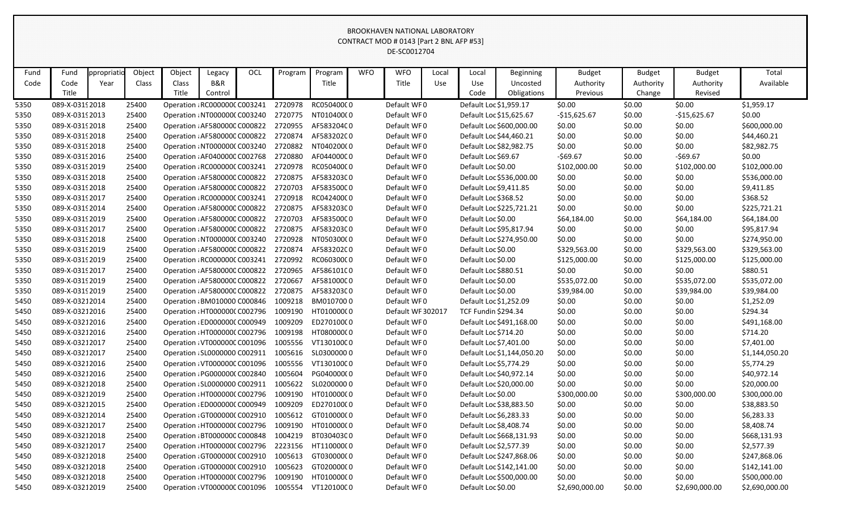|      |                 |            |        |                               |         |     |         |                    |            | CONTRACT MOD # 0143 [Part 2 BNL AFP #53] |       |                         |                            |                |               |                |                |
|------|-----------------|------------|--------|-------------------------------|---------|-----|---------|--------------------|------------|------------------------------------------|-------|-------------------------|----------------------------|----------------|---------------|----------------|----------------|
|      |                 |            |        |                               |         |     |         |                    |            | DE-SC0012704                             |       |                         |                            |                |               |                |                |
|      |                 |            |        |                               |         |     |         |                    |            |                                          |       |                         |                            |                |               |                |                |
| Fund | Fund            | ppropriati | Object | Object                        | Legacy  | OCL | Program | Program            | <b>WFO</b> | <b>WFO</b>                               | Local | Local                   | <b>Beginning</b>           | <b>Budget</b>  | <b>Budget</b> | <b>Budget</b>  | Total          |
| Code | Code            | Year       | Class  | Class                         | B&R     |     |         | Title              |            | Title                                    | Use   | Use                     | Uncosted                   | Authority      | Authority     | Authority      | Available      |
|      | Title           |            |        | Title                         | Control |     |         |                    |            |                                          |       | Code                    | Obligations                | Previous       | Change        | Revised        |                |
| 5350 | 089-X-0319 2018 |            | 25400  | Operation : RC000000C C003241 |         |     | 2720978 | RC050400C0         |            | Default WF0                              |       | Default Loc \$1,959.17  |                            | \$0.00         | \$0.00        | \$0.00         | \$1,959.17     |
| 5350 | 089-X-0319 2013 |            | 25400  | Operation : NT0000000 C003240 |         |     | 2720775 | NT01040000         |            | Default WF0                              |       | Default Loc \$15,625.67 |                            | $-$15,625.67$  | \$0.00        | $-$15,625.67$  | \$0.00         |
| 5350 | 089-X-0319 2018 |            | 25400  | Operation : AF580000C C000822 |         |     | 2720955 | AF58320400         |            | Default WF0                              |       |                         | Default Loc \$600,000.00   | \$0.00         | \$0.00        | \$0.00         | \$600,000.00   |
| 5350 | 089-X-0319 2018 |            | 25400  | Operation : AF580000C C000822 |         |     | 2720874 | AF58320200         |            | Default WF0                              |       | Default Loc \$44,460.21 |                            | \$0.00         | \$0.00        | \$0.00         | \$44,460.21    |
| 5350 | 089-X-03192018  |            | 25400  | Operation : NT0000000 C003240 |         |     | 2720882 | NT04020000         |            | Default WF0                              |       | Default Loc \$82,982.75 |                            | \$0.00         | \$0.00        | \$0.00         | \$82,982.75    |
| 5350 | 089-X-0319 2016 |            | 25400  | Operation : AF040000C C002768 |         |     | 2720880 | AF04400000         |            | Default WF0                              |       | Default Loc \$69.67     |                            | $-569.67$      | \$0.00        | $-569.67$      | \$0.00         |
| 5350 | 089-X-0319 2019 |            | 25400  | Operation : RC000000C C003241 |         |     | 2720978 | RC050400C0         |            | Default WF0                              |       | Default Loc \$0.00      |                            | \$102,000.00   | \$0.00        | \$102,000.00   | \$102,000.00   |
| 5350 | 089-X-0319 2018 |            | 25400  | Operation : AF580000C C000822 |         |     | 2720875 | AF58320300         |            | Default WF0                              |       |                         | Default Loc \$536,000.00   | \$0.00         | \$0.00        | \$0.00         | \$536,000.00   |
| 5350 | 089-X-0319 2018 |            | 25400  | Operation : AF580000C C000822 |         |     | 2720703 | AF58350000         |            | Default WF0                              |       | Default Loc \$9,411.85  |                            | \$0.00         | \$0.00        | \$0.00         | \$9,411.85     |
| 5350 | 089-X-0319 2017 |            | 25400  | Operation : RC000000C C003241 |         |     | 2720918 | RC042400C0         |            | Default WF0                              |       | Default Loc \$368.52    |                            | \$0.00         | \$0.00        | \$0.00         | \$368.52       |
| 5350 | 089-X-0319 2014 |            | 25400  | Operation : AF580000C C000822 |         |     | 2720875 | AF58320300         |            | Default WF0                              |       |                         | Default Loc \$225,721.21   | \$0.00         | \$0.00        | \$0.00         | \$225,721.21   |
| 5350 | 089-X-0319 2019 |            | 25400  | Operation : AF580000C C000822 |         |     | 2720703 | AF58350000         |            | Default WF0                              |       | Default Loc \$0.00      |                            | \$64,184.00    | \$0.00        | \$64,184.00    | \$64,184.00    |
| 5350 | 089-X-0319 2017 |            | 25400  | Operation : AF580000C C000822 |         |     | 2720875 | AF58320300         |            | Default WF0                              |       | Default Loc \$95,817.94 |                            | \$0.00         | \$0.00        | \$0.00         | \$95,817.94    |
| 5350 | 089-X-0319 2018 |            | 25400  | Operation : NT0000000 C003240 |         |     | 2720928 | NT05030000         |            | Default WF0                              |       |                         | Default Loc \$274,950.00   | \$0.00         | \$0.00        | \$0.00         | \$274,950.00   |
| 5350 | 089-X-0319 2019 |            | 25400  | Operation : AF580000C C000822 |         |     | 2720874 | AF58320200         |            | Default WF0                              |       | Default Loc \$0.00      |                            | \$329,563.00   | \$0.00        | \$329,563.00   | \$329,563.00   |
| 5350 | 089-X-0319 2019 |            | 25400  | Operation : RC000000C C003241 |         |     | 2720992 | RC060300C0         |            | Default WF0                              |       | Default Loc \$0.00      |                            | \$125,000.00   | \$0.00        | \$125,000.00   | \$125,000.00   |
| 5350 | 089-X-0319 2017 |            | 25400  | Operation : AF580000C C000822 |         |     | 2720965 | AF58610100         |            | Default WF0                              |       | Default Loc \$880.51    |                            | \$0.00         | \$0.00        | \$0.00         | \$880.51       |
| 5350 | 089-X-0319 2019 |            | 25400  | Operation : AF580000C C000822 |         |     | 2720667 | AF58100000         |            | Default WF0                              |       | Default Loc \$0.00      |                            | \$535,072.00   | \$0.00        | \$535,072.00   | \$535,072.00   |
| 5350 | 089-X-0319 2019 |            | 25400  | Operation : AF580000C C000822 |         |     | 2720875 | AF58320300         |            | Default WF0                              |       | Default Loc \$0.00      |                            | \$39,984.00    | \$0.00        | \$39,984.00    | \$39,984.00    |
| 5450 | 089-X-03212014  |            | 25400  | Operation : BM010000 C000846  |         |     | 1009218 | BM0107000          |            | Default WF0                              |       | Default Loc \$1,252.09  |                            | \$0.00         | \$0.00        | \$0.00         | \$1,252.09     |
| 5450 | 089-X-03212016  |            | 25400  | Operation : HT000000C C002796 |         |     | 1009190 | HT01000000         |            | Default WF 302017                        |       | TCF Fundin \$294.34     |                            | \$0.00         | \$0.00        | \$0.00         | \$294.34       |
| 5450 | 089-X-03212016  |            | 25400  | Operation : ED0000000 C000949 |         |     | 1009209 | ED27010000         |            | Default WF0                              |       |                         | Default Loc \$491,168.00   | \$0.00         | \$0.00        | \$0.00         | \$491,168.00   |
| 5450 | 089-X-03212016  |            | 25400  | Operation : HT0000000 C002796 |         |     | 1009198 | HT080000000        |            | Default WF0                              |       | Default Loc \$714.20    |                            | \$0.00         | \$0.00        | \$0.00         | \$714.20       |
| 5450 | 089-X-03212017  |            | 25400  | Operation : VT000000C C001096 |         |     | 1005556 | VT13010000         |            | Default WF0                              |       | Default Loc \$7,401.00  |                            | \$0.00         | \$0.00        | \$0.00         | \$7,401.00     |
| 5450 | 089-X-03212017  |            | 25400  | Operation : SL0000000 C002911 |         |     |         | 1005616 SL03000000 |            | Default WF0                              |       |                         | Default Loc \$1,144,050.20 | \$0.00         | \$0.00        | \$0.00         | \$1,144,050.20 |
| 5450 | 089-X-03212016  |            | 25400  | Operation : VT000000C C001096 |         |     | 1005556 | VT13010000         |            | Default WF0                              |       | Default Loc \$5,774.29  |                            | \$0.00         | \$0.00        | \$0.00         | \$5,774.29     |
| 5450 | 089-X-03212016  |            | 25400  | Operation : PG0000000 C002840 |         |     | 1005604 | PG04000000         |            | Default WF0                              |       | Default Loc \$40,972.14 |                            | \$0.00         | \$0.00        | \$0.00         | \$40,972.14    |
| 5450 | 089-X-03212018  |            | 25400  | Operation : SL0000000 C002911 |         |     | 1005622 | SL02000000         |            | Default WF0                              |       | Default Loc \$20,000.00 |                            | \$0.00         | \$0.00        | \$0.00         | \$20,000.00    |
| 5450 | 089-X-03212019  |            | 25400  | Operation: HT0000000 C002796  |         |     | 1009190 | HT010000C0         |            | Default WF0                              |       | Default Loc \$0.00      |                            | \$300,000.00   | \$0.00        | \$300,000.00   | \$300,000.00   |
| 5450 | 089-X-03212015  |            | 25400  | Operation : ED0000000 C000949 |         |     | 1009209 | ED27010000         |            | Default WF0                              |       | Default Loc \$38,883.50 |                            | \$0.00         | \$0.00        | \$0.00         | \$38,883.50    |
| 5450 | 089-X-03212014  |            | 25400  | Operation : GT0000000 C002910 |         |     | 1005612 | GT01000000         |            | Default WF0                              |       | Default Loc \$6,283.33  |                            | \$0.00         | \$0.00        | \$0.00         | \$6,283.33     |
| 5450 | 089-X-03212017  |            | 25400  | Operation : HT0000000 C002796 |         |     | 1009190 | HT01000000         |            | Default WF0                              |       | Default Loc \$8,408.74  |                            | \$0.00         | \$0.00        | \$0.00         | \$8,408.74     |
| 5450 | 089-X-03212018  |            | 25400  | Operation : BT0000000 C000848 |         |     | 1004219 | BT03040300         |            | Default WF0                              |       |                         | Default Loc \$668,131.93   | \$0.00         | \$0.00        | \$0.00         | \$668,131.93   |
| 5450 | 089-X-03212017  |            | 25400  | Operation : HT0000000 C002796 |         |     | 2223156 | HT11000000         |            | Default WF0                              |       | Default Loc \$2,577.39  |                            | \$0.00         | \$0.00        | \$0.00         | \$2,577.39     |
| 5450 | 089-X-03212018  |            | 25400  | Operation : GT0000000 C002910 |         |     | 1005613 | GT03000000         |            | Default WF0                              |       |                         | Default Loc \$247,868.06   | \$0.00         | \$0.00        | \$0.00         | \$247,868.06   |
| 5450 | 089-X-03212018  |            | 25400  | Operation : GT0000000 C002910 |         |     | 1005623 | GT020000C0         |            | Default WF0                              |       |                         | Default Loc \$142,141.00   | \$0.00         | \$0.00        | \$0.00         | \$142,141.00   |
| 5450 | 089-X-03212018  |            | 25400  | Operation : HT0000000 C002796 |         |     | 1009190 | HT01000000         |            | Default WF0                              |       |                         | Default Loc \$500,000.00   | \$0.00         | \$0.00        | \$0.00         | \$500,000.00   |
| 5450 | 089-X-03212019  |            | 25400  | Operation : VT000000C C001096 |         |     | 1005554 | VT12010000         |            | Default WF0                              |       | Default Loc \$0.00      |                            | \$2,690,000.00 | \$0.00        | \$2,690,000.00 | \$2,690,000.00 |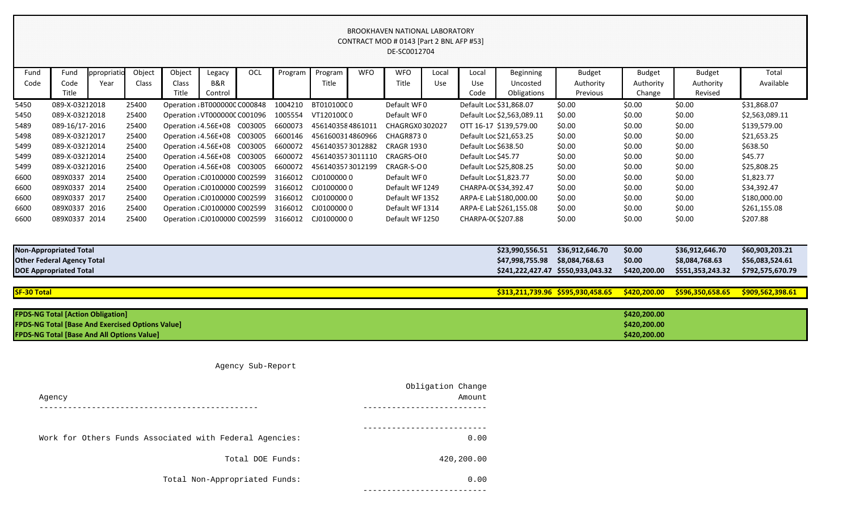|                    |                                                         |                    |                 |                               |               |     |         |                  |            | <b>BROOKHAVEN NATIONAL LABORATORY</b><br>CONTRACT MOD # 0143 [Part 2 BNL AFP #53]<br>DE-SC0012704 |              |                         |                            |                                   |                            |                            |                    |
|--------------------|---------------------------------------------------------|--------------------|-----------------|-------------------------------|---------------|-----|---------|------------------|------------|---------------------------------------------------------------------------------------------------|--------------|-------------------------|----------------------------|-----------------------------------|----------------------------|----------------------------|--------------------|
| Fund<br>Code       | Fund<br>Code                                            | ppropriati<br>Year | Object<br>Class | Object<br>Class               | Legacy<br>B&R | OCL | Program | Program<br>Title | <b>WFO</b> | <b>WFO</b><br>Title                                                                               | Local<br>Use | Local<br>Use            | Beginning<br>Uncosted      | <b>Budget</b><br>Authority        | <b>Budget</b><br>Authority | <b>Budget</b><br>Authority | Total<br>Available |
|                    | Title                                                   |                    |                 | Title                         | Control       |     |         |                  |            |                                                                                                   |              | Code                    | Obligations                | Previous                          | Change                     | Revised                    |                    |
| 5450               | 089-X-03212018                                          |                    | 25400           | Operation : BT0000000 C000848 |               |     | 1004210 | BT01010000       |            | Default WF0                                                                                       |              | Default Loc \$31,868.07 |                            | \$0.00                            | \$0.00                     | \$0.00                     | \$31,868.07        |
| 5450               | 089-X-03212018                                          |                    | 25400           | Operation : VT000000C C001096 |               |     | 1005554 | VT12010000       |            | Default WF0                                                                                       |              |                         | Default Loc \$2,563,089.11 | \$0.00                            | \$0.00                     | \$0.00                     | \$2,563,089.11     |
| 5489               | 089-16/17-2016                                          |                    | 25400           | Operation : 4.56E+08 C003005  |               |     | 6600073 | 4561403584861011 |            | CHAGRGX0302027                                                                                    |              |                         | OTT 16-17 \$139,579.00     | \$0.00                            | \$0.00                     | \$0.00                     | \$139,579.00       |
| 5498               | 089-X-03212017                                          |                    | 25400           | Operation : 4.56E+08 C003005  |               |     | 6600146 | 4561600314860966 |            | <b>CHAGR8730</b>                                                                                  |              | Default Loc \$21,653.25 |                            | \$0.00                            | \$0.00                     | \$0.00                     | \$21,653.25        |
| 5499               | 089-X-03212014                                          |                    | 25400           | Operation : 4.56E+08 C003005  |               |     | 6600072 | 4561403573012882 |            | <b>CRAGR 1930</b>                                                                                 |              | Default Loc \$638.50    |                            | \$0.00                            | \$0.00                     | \$0.00                     | \$638.50           |
| 5499               | 089-X-03212014                                          |                    | 25400           | Operation : 4.56E+08 C003005  |               |     | 6600072 | 4561403573011110 |            | CRAGRS-OI0                                                                                        |              | Default Loc \$45.77     |                            | \$0.00                            | \$0.00                     | \$0.00                     | \$45.77            |
| 5499               | 089-X-03212016                                          |                    | 25400           | Operation : 4.56E+08 C003005  |               |     | 6600072 | 4561403573012199 |            | CRAGR-S-OO                                                                                        |              | Default Loc \$25,808.25 |                            | \$0.00                            | \$0.00                     | \$0.00                     | \$25,808.25        |
| 6600               | 089X0337 2014                                           |                    | 25400           | Operation : CJ0100000 C002599 |               |     | 3166012 | CJ01000000       |            | Default WF0                                                                                       |              | Default Loc \$1,823.77  |                            | \$0.00                            | \$0.00                     | \$0.00                     | \$1,823.77         |
| 6600               | 089X0337 2014                                           |                    | 25400           | Operation : CJ0100000 C002599 |               |     | 3166012 | CJ01000000       |            | Default WF 1249                                                                                   |              | CHARPA-00 \$34,392.47   |                            | \$0.00                            | \$0.00                     | \$0.00                     | \$34,392.47        |
| 6600               | 089X0337 2017                                           |                    | 25400           | Operation : CJ0100000 C002599 |               |     | 3166012 | CJ01000000       |            | Default WF 1352                                                                                   |              |                         | ARPA-E Lat \$180,000.00    | \$0.00                            | \$0.00                     | \$0.00                     | \$180,000.00       |
| 6600               | 089X0337 2016                                           |                    | 25400           | Operation : CJ0100000 C002599 |               |     | 3166012 | CJ01000000       |            | Default WF 1314                                                                                   |              |                         | ARPA-E Lat \$261,155.08    | \$0.00                            | \$0.00                     | \$0.00                     | \$261,155.08       |
| 6600               | 089X0337 2014                                           |                    | 25400           | Operation : CJ0100000 C002599 |               |     | 3166012 | CJ01000000       |            | Default WF 1250                                                                                   |              | CHARPA-00 \$207.88      |                            | \$0.00                            | \$0.00                     | \$0.00                     | \$207.88           |
|                    |                                                         |                    |                 |                               |               |     |         |                  |            |                                                                                                   |              |                         |                            |                                   |                            |                            |                    |
|                    | <b>Non-Appropriated Total</b>                           |                    |                 |                               |               |     |         |                  |            |                                                                                                   |              |                         | \$23,990,556.51            | \$36,912,646.70                   | \$0.00                     | \$36,912,646.70            | \$60,903,203.21    |
|                    | <b>Other Federal Agency Total</b>                       |                    |                 |                               |               |     |         |                  |            |                                                                                                   |              |                         | \$47,998,755.98            | \$8,084,768.63                    | \$0.00                     | \$8,084,768.63             | \$56,083,524.61    |
|                    | <b>DOE Appropriated Total</b>                           |                    |                 |                               |               |     |         |                  |            |                                                                                                   |              |                         |                            | \$241,222,427.47 \$550,933,043.32 | \$420,200.00               | \$551,353,243.32           | \$792,575,670.79   |
|                    |                                                         |                    |                 |                               |               |     |         |                  |            |                                                                                                   |              |                         |                            |                                   |                            |                            |                    |
| <b>SF-30 Total</b> |                                                         |                    |                 |                               |               |     |         |                  |            |                                                                                                   |              |                         |                            | \$313,211,739.96 \$595,930,458.65 | \$420,200.00               | \$596,350,658.65           | \$909,562,398.61   |
|                    |                                                         |                    |                 |                               |               |     |         |                  |            |                                                                                                   |              |                         |                            |                                   |                            |                            |                    |
|                    | <b>FPDS-NG Total [Action Obligation]</b>                |                    |                 |                               |               |     |         |                  |            |                                                                                                   |              |                         |                            |                                   | \$420,200.00               |                            |                    |
|                    | <b>FPDS-NG Total [Base And Exercised Options Value]</b> |                    |                 |                               |               |     |         |                  |            |                                                                                                   |              |                         |                            |                                   | \$420,200.00               |                            |                    |
|                    | <b>FPDS-NG Total [Base And All Options Value]</b>       |                    |                 |                               |               |     |         |                  |            |                                                                                                   |              |                         |                            |                                   | \$420,200.00               |                            |                    |

| <b>Non-Appropriated Total</b>     | \$23,990,556.51 | \$36,912,646.70                   | \$0.00 |
|-----------------------------------|-----------------|-----------------------------------|--------|
| <b>Other Federal Agency Total</b> | \$47,998,755.98 | \$8,084,768.63                    | \$0.00 |
| <b>DOE Appropriated Total</b>     |                 | \$241,222,427.47 \$550,933,043.32 | \$420, |

| <b>FPDS-NG Total [Action Obligation]</b>                | \$420,20 |
|---------------------------------------------------------|----------|
| <b>FPDS-NG Total [Base And Exercised Options Value]</b> | \$420,20 |
| <b>FPDS-NG Total [Base And All Options Value]</b>       | \$420,20 |

Agency Sub-Report

| Obligation Change<br>Amount | Agency                                                  |
|-----------------------------|---------------------------------------------------------|
|                             |                                                         |
| 0.00                        | Work for Others Funds Associated with Federal Agencies: |
| 420,200.00                  | Total DOE Funds:                                        |
| 0.00                        | Total Non-Appropriated Funds:                           |
|                             |                                                         |